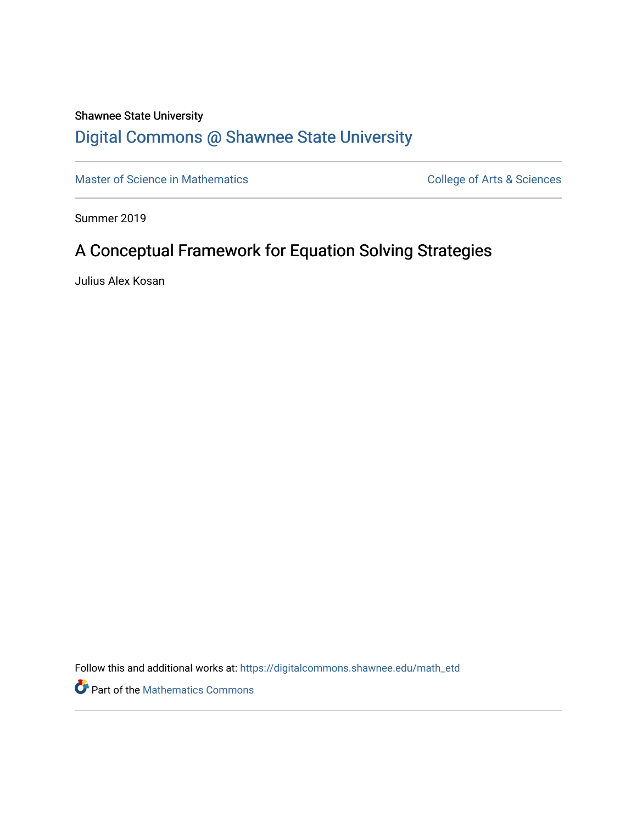# Shawnee State University

# [Digital Commons @ Shawnee State University](https://digitalcommons.shawnee.edu/)

[Master of Science in Mathematics](https://digitalcommons.shawnee.edu/math_etd) **College of Arts & Sciences** College of Arts & Sciences

Summer 2019

# A Conceptual Framework for Equation Solving Strategies

Julius Alex Kosan

Follow this and additional works at: [https://digitalcommons.shawnee.edu/math\\_etd](https://digitalcommons.shawnee.edu/math_etd?utm_source=digitalcommons.shawnee.edu%2Fmath_etd%2F16&utm_medium=PDF&utm_campaign=PDFCoverPages) 

Part of the [Mathematics Commons](https://network.bepress.com/hgg/discipline/174?utm_source=digitalcommons.shawnee.edu%2Fmath_etd%2F16&utm_medium=PDF&utm_campaign=PDFCoverPages)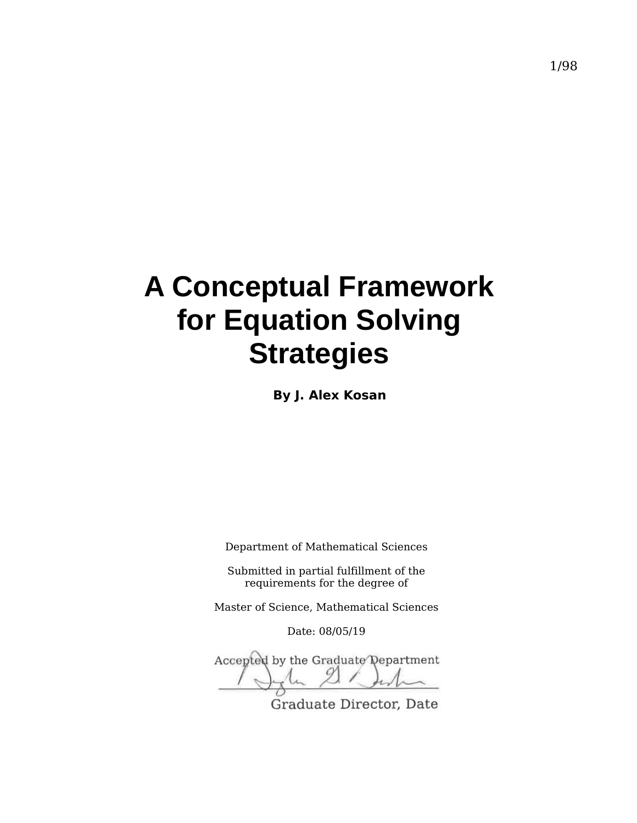# **A Conceptual Framework for Equation Solving Strategies**

**By J. Alex Kosan**

Department of Mathematical Sciences

Submitted in partial fulfillment of the requirements for the degree of

Master of Science, Mathematical Sciences

Date: 08/05/19

Accepted by the Graduate Department

Graduate Director, Date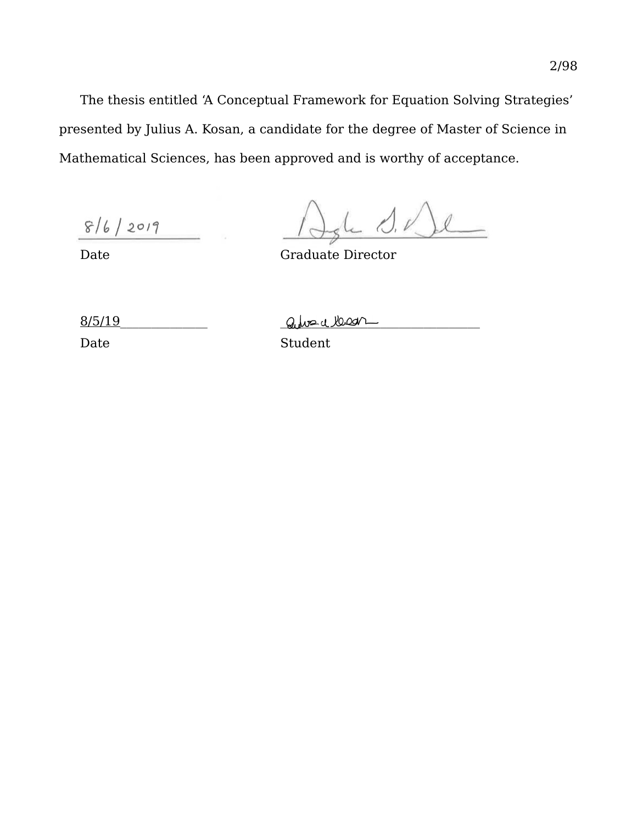The thesis entitled 'A Conceptual Framework for Equation Solving Strategies' presented by Julius A. Kosan, a candidate for the degree of Master of Science in Mathematical Sciences, has been approved and is worthy of acceptance.

 $8/6/2019$ 

 $0.1$ 

Date Graduate Director

 $8/5/19$  alweat lead

Date Student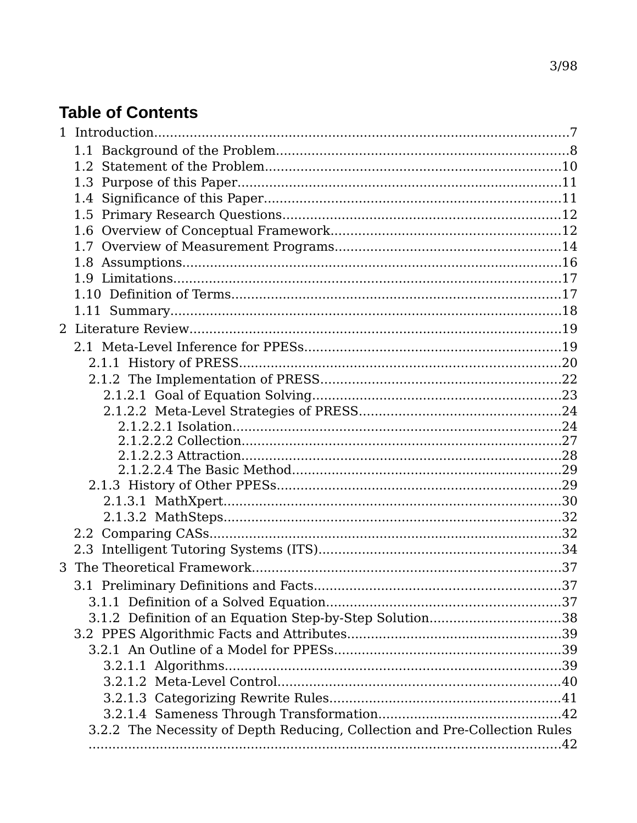# **Table of Contents**

| 3 |                                                                            |  |
|---|----------------------------------------------------------------------------|--|
|   |                                                                            |  |
|   |                                                                            |  |
|   | 3.1.2 Definition of an Equation Step-by-Step Solution38                    |  |
|   |                                                                            |  |
|   |                                                                            |  |
|   |                                                                            |  |
|   |                                                                            |  |
|   |                                                                            |  |
|   |                                                                            |  |
|   | 3.2.2 The Necessity of Depth Reducing, Collection and Pre-Collection Rules |  |
|   |                                                                            |  |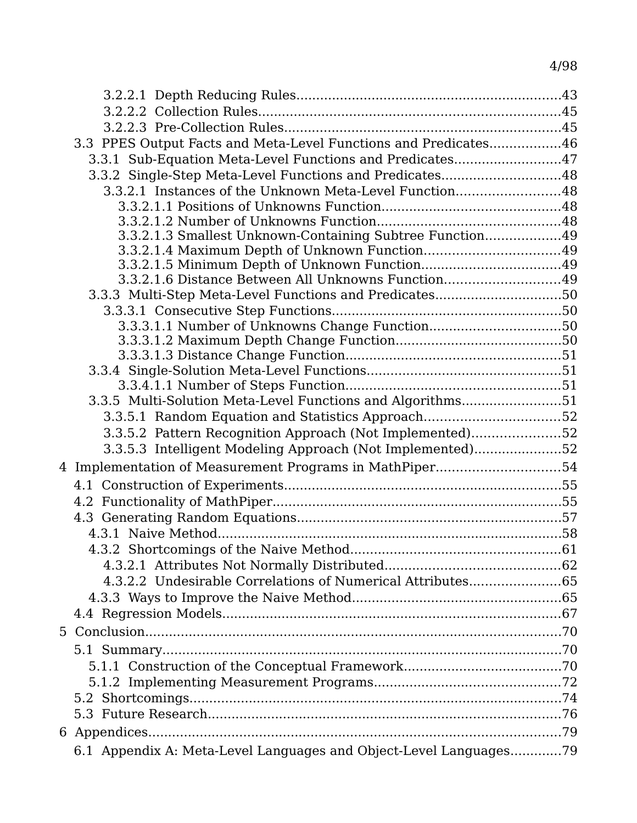| 3.3 PPES Output Facts and Meta-Level Functions and Predicates46   |  |
|-------------------------------------------------------------------|--|
| 3.3.1 Sub-Equation Meta-Level Functions and Predicates47          |  |
| 3.3.2 Single-Step Meta-Level Functions and Predicates48           |  |
| 3.3.2.1 Instances of the Unknown Meta-Level Function48            |  |
|                                                                   |  |
|                                                                   |  |
| 3.3.2.1.3 Smallest Unknown-Containing Subtree Function49          |  |
|                                                                   |  |
| 3.3.2.1.6 Distance Between All Unknowns Function49                |  |
|                                                                   |  |
| 3.3.3 Multi-Step Meta-Level Functions and Predicates50            |  |
|                                                                   |  |
|                                                                   |  |
|                                                                   |  |
|                                                                   |  |
|                                                                   |  |
| 3.3.5 Multi-Solution Meta-Level Functions and Algorithms51        |  |
| 3.3.5.1 Random Equation and Statistics Approach52                 |  |
| 3.3.5.2 Pattern Recognition Approach (Not Implemented)52          |  |
| 3.3.5.3 Intelligent Modeling Approach (Not Implemented)52         |  |
|                                                                   |  |
| 4 Implementation of Measurement Programs in MathPiper54           |  |
|                                                                   |  |
|                                                                   |  |
|                                                                   |  |
|                                                                   |  |
|                                                                   |  |
|                                                                   |  |
|                                                                   |  |
|                                                                   |  |
|                                                                   |  |
|                                                                   |  |
|                                                                   |  |
|                                                                   |  |
|                                                                   |  |
|                                                                   |  |
|                                                                   |  |
|                                                                   |  |
|                                                                   |  |
| 6.1 Appendix A: Meta-Level Languages and Object-Level Languages79 |  |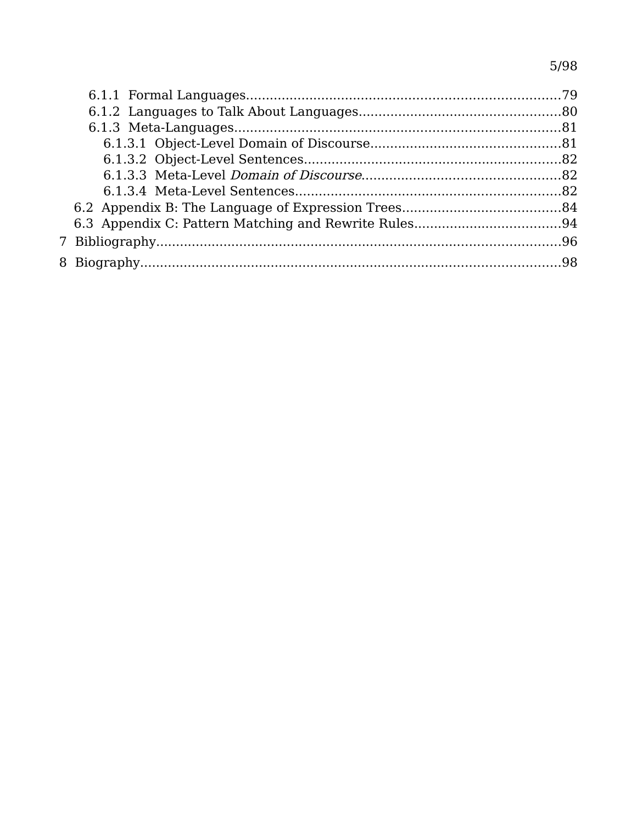# $5/98$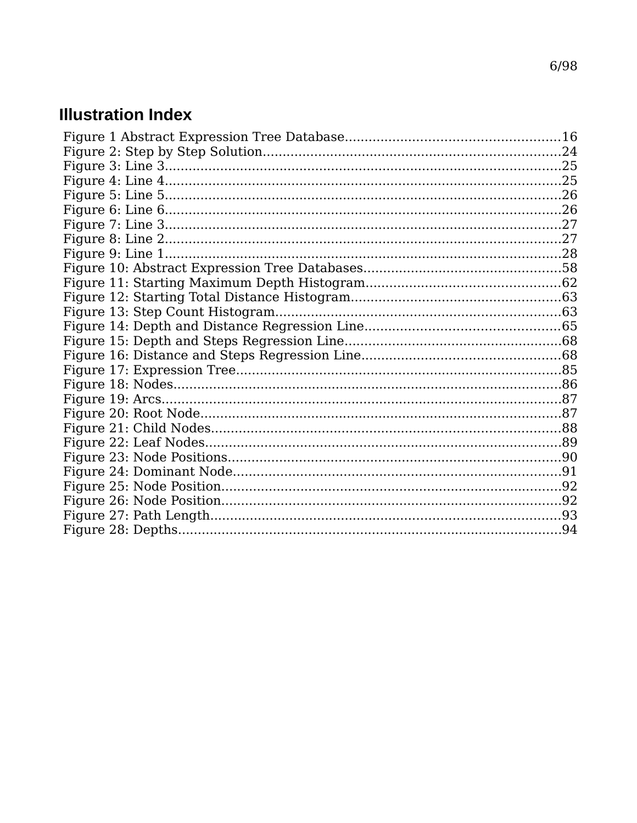# **Illustration Index**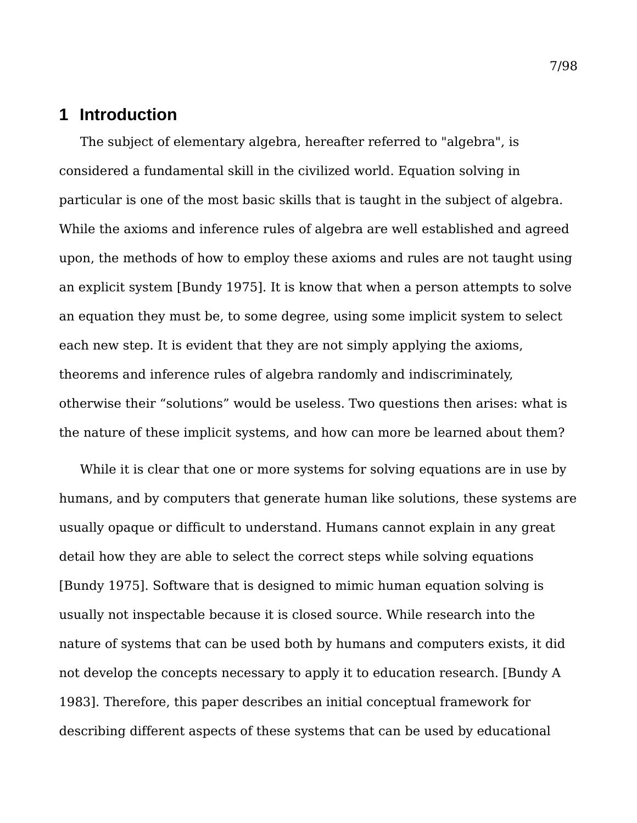# **1 Introduction**

The subject of elementary algebra, hereafter referred to "algebra", is considered a fundamental skill in the civilized world. Equation solving in particular is one of the most basic skills that is taught in the subject of algebra. While the axioms and inference rules of algebra are well established and agreed upon, the methods of how to employ these axioms and rules are not taught using an explicit system [Bundy 1975]. It is know that when a person attempts to solve an equation they must be, to some degree, using some implicit system to select each new step. It is evident that they are not simply applying the axioms, theorems and inference rules of algebra randomly and indiscriminately, otherwise their "solutions" would be useless. Two questions then arises: what is the nature of these implicit systems, and how can more be learned about them?

While it is clear that one or more systems for solving equations are in use by humans, and by computers that generate human like solutions, these systems are usually opaque or difficult to understand. Humans cannot explain in any great detail how they are able to select the correct steps while solving equations [Bundy 1975]. Software that is designed to mimic human equation solving is usually not inspectable because it is closed source. While research into the nature of systems that can be used both by humans and computers exists, it did not develop the concepts necessary to apply it to education research. [Bundy A 1983]. Therefore, this paper describes an initial conceptual framework for describing different aspects of these systems that can be used by educational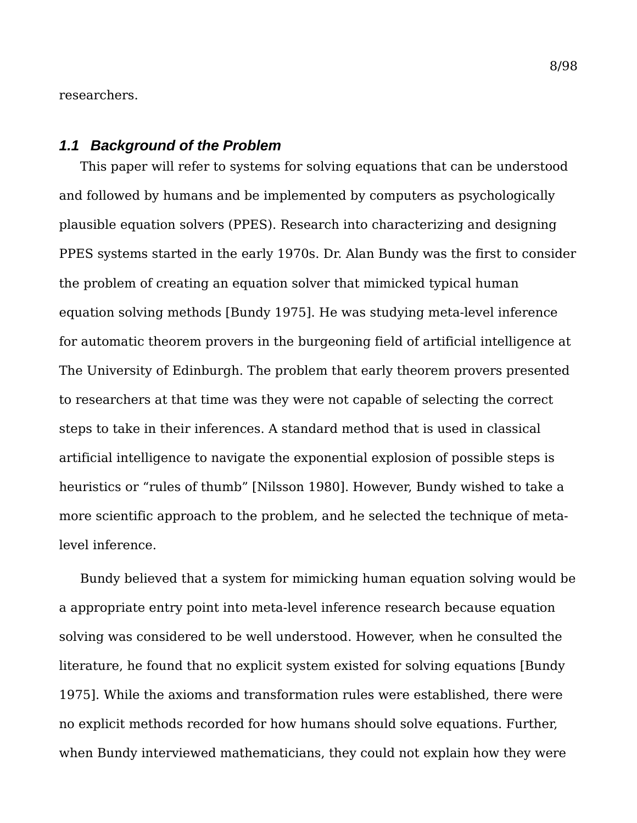researchers.

#### *1.1 Background of the Problem*

This paper will refer to systems for solving equations that can be understood and followed by humans and be implemented by computers as psychologically plausible equation solvers (PPES). Research into characterizing and designing PPES systems started in the early 1970s. Dr. Alan Bundy was the first to consider the problem of creating an equation solver that mimicked typical human equation solving methods [Bundy 1975]. He was studying meta-level inference for automatic theorem provers in the burgeoning field of artificial intelligence at The University of Edinburgh. The problem that early theorem provers presented to researchers at that time was they were not capable of selecting the correct steps to take in their inferences. A standard method that is used in classical artificial intelligence to navigate the exponential explosion of possible steps is heuristics or "rules of thumb" [Nilsson 1980]. However, Bundy wished to take a more scientific approach to the problem, and he selected the technique of metalevel inference.

Bundy believed that a system for mimicking human equation solving would be a appropriate entry point into meta-level inference research because equation solving was considered to be well understood. However, when he consulted the literature, he found that no explicit system existed for solving equations [Bundy 1975]. While the axioms and transformation rules were established, there were no explicit methods recorded for how humans should solve equations. Further, when Bundy interviewed mathematicians, they could not explain how they were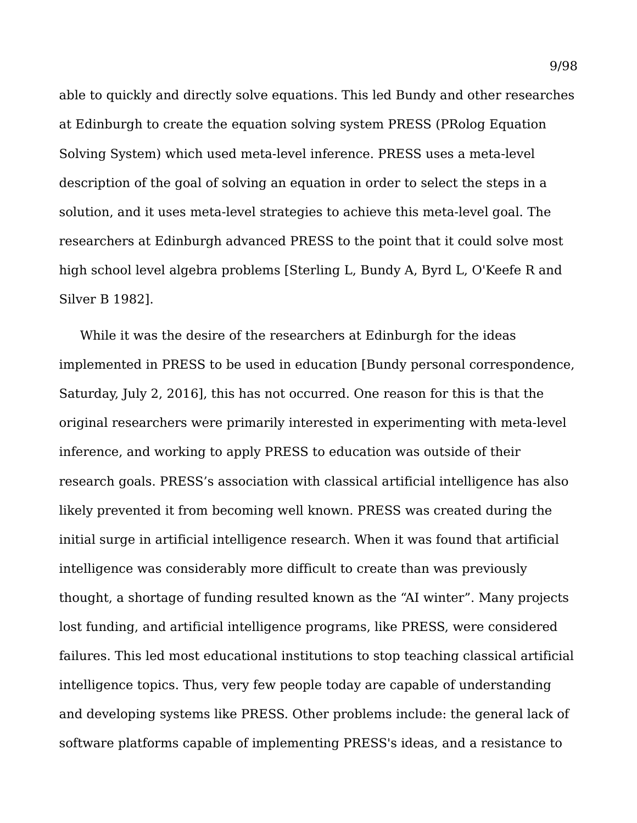able to quickly and directly solve equations. This led Bundy and other researches at Edinburgh to create the equation solving system PRESS (PRolog Equation Solving System) which used meta-level inference. PRESS uses a meta-level description of the goal of solving an equation in order to select the steps in a solution, and it uses meta-level strategies to achieve this meta-level goal. The researchers at Edinburgh advanced PRESS to the point that it could solve most high school level algebra problems [Sterling L, Bundy A, Byrd L, O'Keefe R and Silver B 1982].

While it was the desire of the researchers at Edinburgh for the ideas implemented in PRESS to be used in education [Bundy personal correspondence, Saturday, July 2, 2016], this has not occurred. One reason for this is that the original researchers were primarily interested in experimenting with meta-level inference, and working to apply PRESS to education was outside of their research goals. PRESS's association with classical artificial intelligence has also likely prevented it from becoming well known. PRESS was created during the initial surge in artificial intelligence research. When it was found that artificial intelligence was considerably more difficult to create than was previously thought, a shortage of funding resulted known as the "AI winter". Many projects lost funding, and artificial intelligence programs, like PRESS, were considered failures. This led most educational institutions to stop teaching classical artificial intelligence topics. Thus, very few people today are capable of understanding and developing systems like PRESS. Other problems include: the general lack of software platforms capable of implementing PRESS's ideas, and a resistance to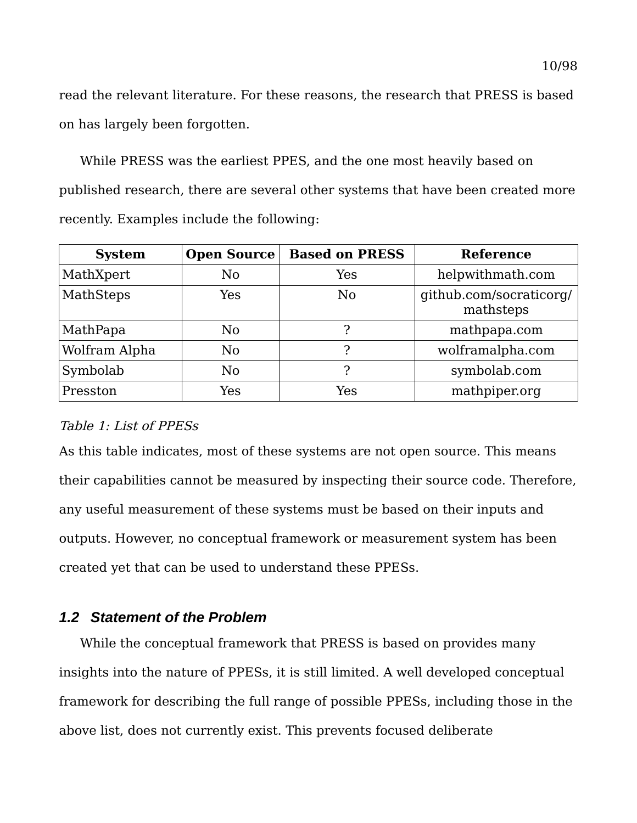read the relevant literature. For these reasons, the research that PRESS is based on has largely been forgotten.

While PRESS was the earliest PPES, and the one most heavily based on published research, there are several other systems that have been created more recently. Examples include the following:

| <b>System</b> | <b>Open Source</b> | <b>Based on PRESS</b> | <b>Reference</b>                     |
|---------------|--------------------|-----------------------|--------------------------------------|
| MathXpert     | N <sub>0</sub>     | Yes                   | helpwithmath.com                     |
| MathSteps     | Yes                | No.                   | github.com/socraticorg/<br>mathsteps |
| MathPapa      | N <sub>0</sub>     |                       | mathpapa.com                         |
| Wolfram Alpha | N <sub>0</sub>     | っ                     | wolframalpha.com                     |
| Symbolab      | N <sub>0</sub>     | ႒                     | symbolab.com                         |
| Presston      | Yes                | Yes                   | mathpiper.org                        |

# Table 1: List of PPESs

As this table indicates, most of these systems are not open source. This means their capabilities cannot be measured by inspecting their source code. Therefore, any useful measurement of these systems must be based on their inputs and outputs. However, no conceptual framework or measurement system has been created yet that can be used to understand these PPESs.

# *1.2 Statement of the Problem*

While the conceptual framework that PRESS is based on provides many insights into the nature of PPESs, it is still limited. A well developed conceptual framework for describing the full range of possible PPESs, including those in the above list, does not currently exist. This prevents focused deliberate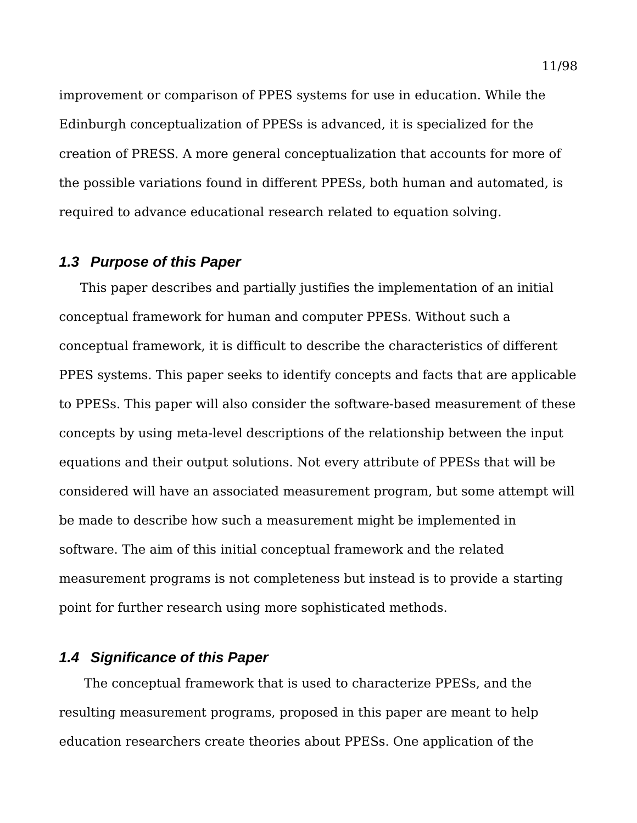improvement or comparison of PPES systems for use in education. While the Edinburgh conceptualization of PPESs is advanced, it is specialized for the creation of PRESS. A more general conceptualization that accounts for more of the possible variations found in different PPESs, both human and automated, is required to advance educational research related to equation solving.

# *1.3 Purpose of this Paper*

This paper describes and partially justifies the implementation of an initial conceptual framework for human and computer PPESs. Without such a conceptual framework, it is difficult to describe the characteristics of different PPES systems. This paper seeks to identify concepts and facts that are applicable to PPESs. This paper will also consider the software-based measurement of these concepts by using meta-level descriptions of the relationship between the input equations and their output solutions. Not every attribute of PPESs that will be considered will have an associated measurement program, but some attempt will be made to describe how such a measurement might be implemented in software. The aim of this initial conceptual framework and the related measurement programs is not completeness but instead is to provide a starting point for further research using more sophisticated methods.

## *1.4 Significance of this Paper*

 The conceptual framework that is used to characterize PPESs, and the resulting measurement programs, proposed in this paper are meant to help education researchers create theories about PPESs. One application of the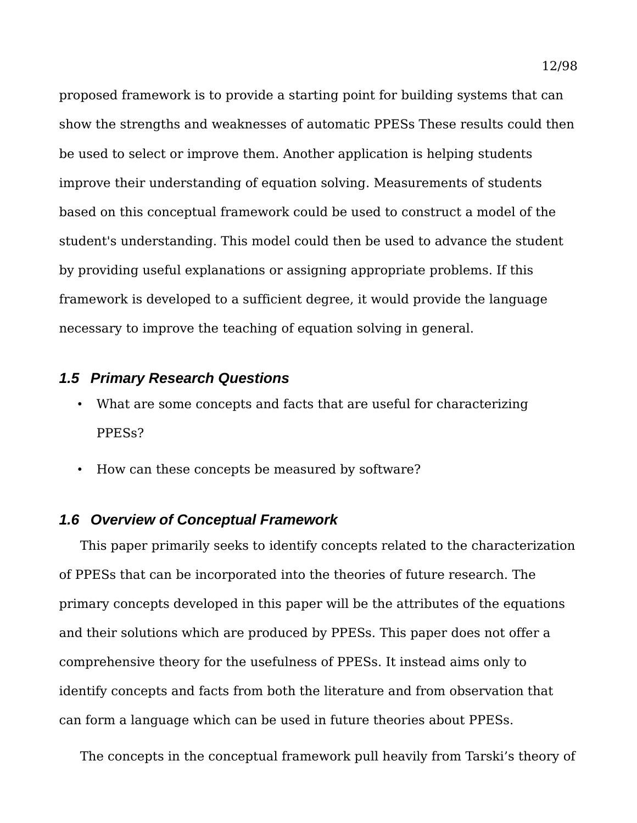proposed framework is to provide a starting point for building systems that can show the strengths and weaknesses of automatic PPESs These results could then be used to select or improve them. Another application is helping students improve their understanding of equation solving. Measurements of students based on this conceptual framework could be used to construct a model of the student's understanding. This model could then be used to advance the student by providing useful explanations or assigning appropriate problems. If this framework is developed to a sufficient degree, it would provide the language necessary to improve the teaching of equation solving in general.

## *1.5 Primary Research Questions*

- What are some concepts and facts that are useful for characterizing PPESs?
- How can these concepts be measured by software?

#### *1.6 Overview of Conceptual Framework*

This paper primarily seeks to identify concepts related to the characterization of PPESs that can be incorporated into the theories of future research. The primary concepts developed in this paper will be the attributes of the equations and their solutions which are produced by PPESs. This paper does not offer a comprehensive theory for the usefulness of PPESs. It instead aims only to identify concepts and facts from both the literature and from observation that can form a language which can be used in future theories about PPESs.

The concepts in the conceptual framework pull heavily from Tarski's theory of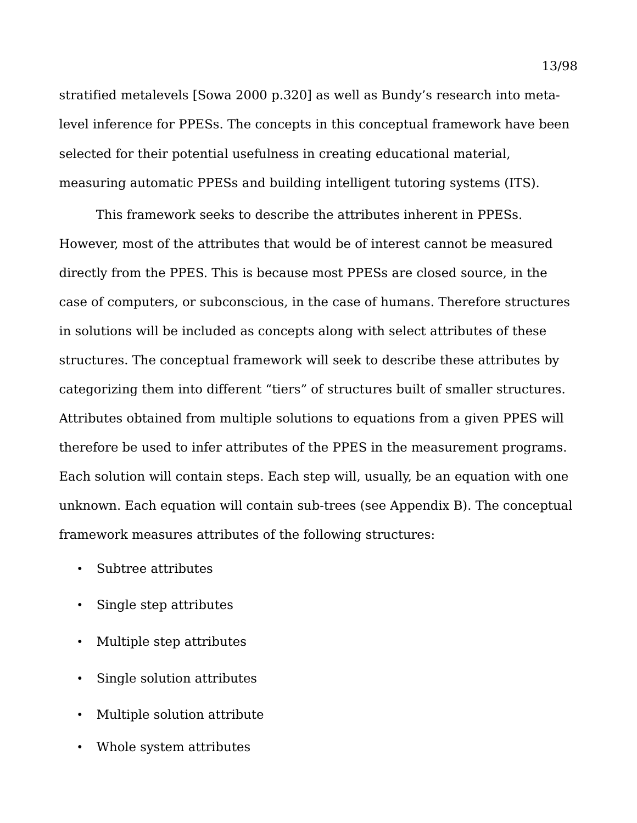stratified metalevels [Sowa 2000 p.320] as well as Bundy's research into metalevel inference for PPESs. The concepts in this conceptual framework have been selected for their potential usefulness in creating educational material, measuring automatic PPESs and building intelligent tutoring systems (ITS).

This framework seeks to describe the attributes inherent in PPESs. However, most of the attributes that would be of interest cannot be measured directly from the PPES. This is because most PPESs are closed source, in the case of computers, or subconscious, in the case of humans. Therefore structures in solutions will be included as concepts along with select attributes of these structures. The conceptual framework will seek to describe these attributes by categorizing them into different "tiers" of structures built of smaller structures. Attributes obtained from multiple solutions to equations from a given PPES will therefore be used to infer attributes of the PPES in the measurement programs. Each solution will contain steps. Each step will, usually, be an equation with one unknown. Each equation will contain sub-trees (see Appendix B). The conceptual framework measures attributes of the following structures:

- Subtree attributes
- Single step attributes
- Multiple step attributes
- Single solution attributes
- Multiple solution attribute
- Whole system attributes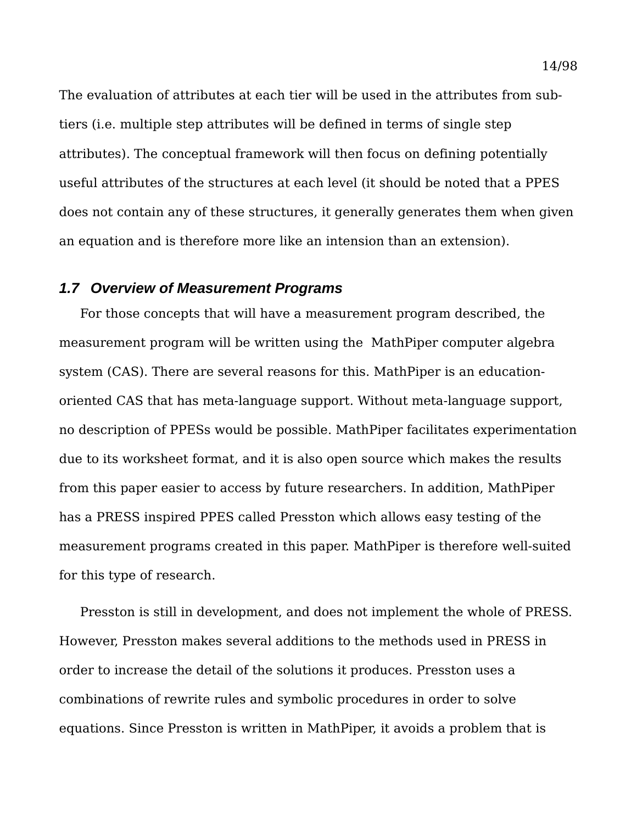The evaluation of attributes at each tier will be used in the attributes from subtiers (i.e. multiple step attributes will be defined in terms of single step attributes). The conceptual framework will then focus on defining potentially useful attributes of the structures at each level (it should be noted that a PPES does not contain any of these structures, it generally generates them when given an equation and is therefore more like an intension than an extension).

#### *1.7 Overview of Measurement Programs*

For those concepts that will have a measurement program described, the measurement program will be written using the MathPiper computer algebra system (CAS). There are several reasons for this. MathPiper is an educationoriented CAS that has meta-language support. Without meta-language support, no description of PPESs would be possible. MathPiper facilitates experimentation due to its worksheet format, and it is also open source which makes the results from this paper easier to access by future researchers. In addition, MathPiper has a PRESS inspired PPES called Presston which allows easy testing of the measurement programs created in this paper. MathPiper is therefore well-suited for this type of research.

Presston is still in development, and does not implement the whole of PRESS. However, Presston makes several additions to the methods used in PRESS in order to increase the detail of the solutions it produces. Presston uses a combinations of rewrite rules and symbolic procedures in order to solve equations. Since Presston is written in MathPiper, it avoids a problem that is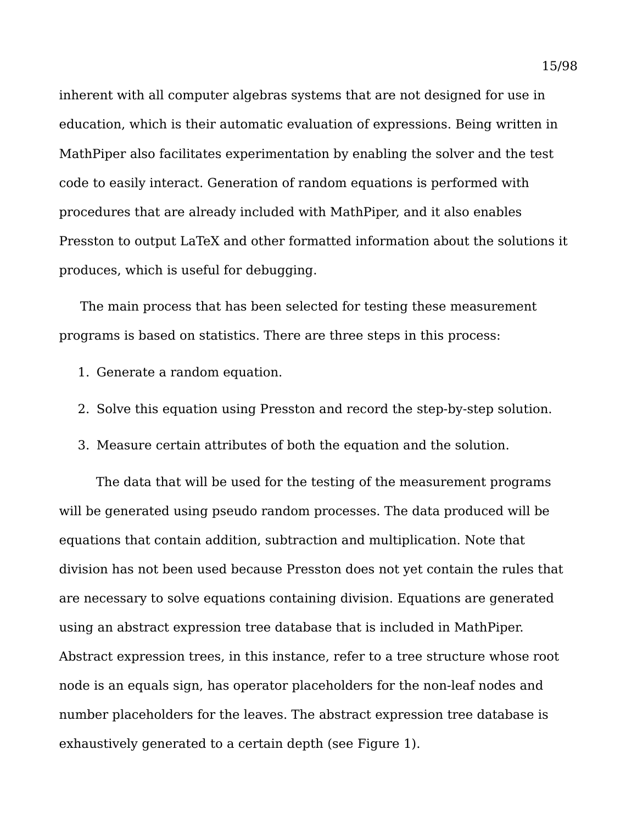inherent with all computer algebras systems that are not designed for use in education, which is their automatic evaluation of expressions. Being written in MathPiper also facilitates experimentation by enabling the solver and the test code to easily interact. Generation of random equations is performed with procedures that are already included with MathPiper, and it also enables Presston to output LaTeX and other formatted information about the solutions it produces, which is useful for debugging.

The main process that has been selected for testing these measurement programs is based on statistics. There are three steps in this process:

- 1. Generate a random equation.
- 2. Solve this equation using Presston and record the step-by-step solution.
- 3. Measure certain attributes of both the equation and the solution.

The data that will be used for the testing of the measurement programs will be generated using pseudo random processes. The data produced will be equations that contain addition, subtraction and multiplication. Note that division has not been used because Presston does not yet contain the rules that are necessary to solve equations containing division. Equations are generated using an abstract expression tree database that is included in MathPiper. Abstract expression trees, in this instance, refer to a tree structure whose root node is an equals sign, has operator placeholders for the non-leaf nodes and number placeholders for the leaves. The abstract expression tree database is exhaustively generated to a certain depth (see [Figure 1\)](#page-16-0).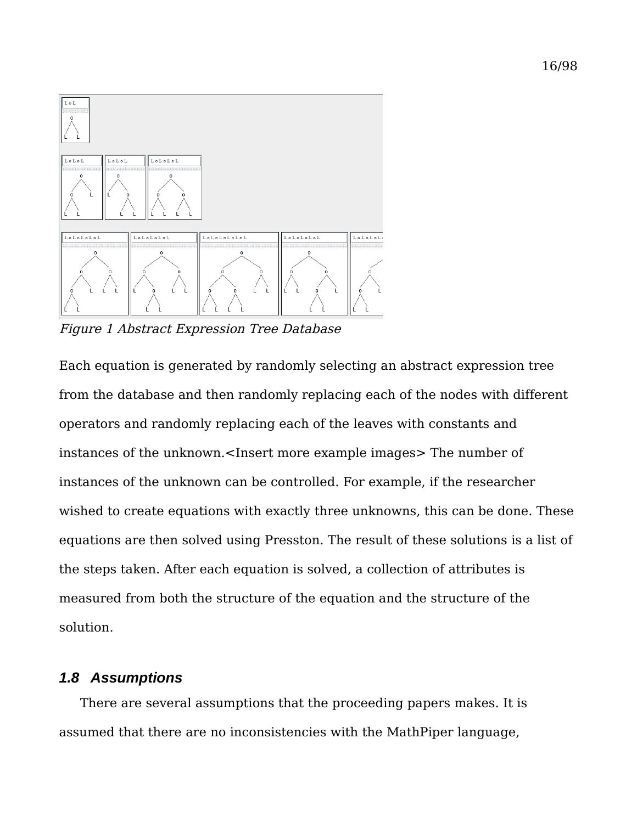

<span id="page-16-0"></span>Figure 1 Abstract Expression Tree Database

Each equation is generated by randomly selecting an abstract expression tree from the database and then randomly replacing each of the nodes with different operators and randomly replacing each of the leaves with constants and instances of the unknown.<Insert more example images> The number of instances of the unknown can be controlled. For example, if the researcher wished to create equations with exactly three unknowns, this can be done. These equations are then solved using Presston. The result of these solutions is a list of the steps taken. After each equation is solved, a collection of attributes is measured from both the structure of the equation and the structure of the solution.

## *1.8 Assumptions*

There are several assumptions that the proceeding papers makes. It is assumed that there are no inconsistencies with the MathPiper language,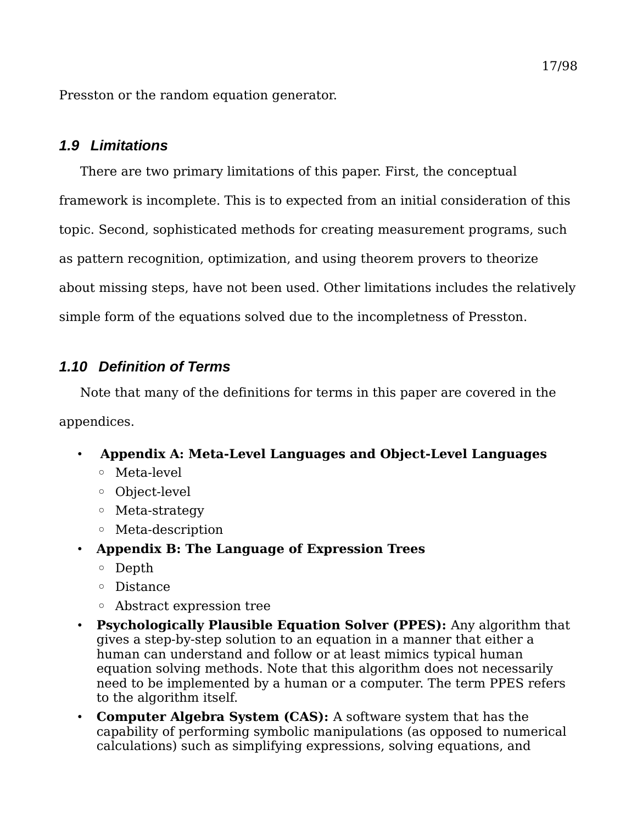Presston or the random equation generator.

# *1.9 Limitations*

There are two primary limitations of this paper. First, the conceptual framework is incomplete. This is to expected from an initial consideration of this topic. Second, sophisticated methods for creating measurement programs, such as pattern recognition, optimization, and using theorem provers to theorize about missing steps, have not been used. Other limitations includes the relatively simple form of the equations solved due to the incompletness of Presston.

# *1.10 Definition of Terms*

Note that many of the definitions for terms in this paper are covered in the appendices.

- **[Appendix A: Meta-Level Languages and Object-Level Languages](#page-79-0)**
	- Meta-level
	- Object-level
	- Meta-strategy
	- Meta-description
- **[Appendix B: The Language of Expression Trees](#page-84-0)**
	- Depth
	- Distance
	- Abstract expression tree
- **Psychologically Plausible Equation Solver (PPES):** Any algorithm that gives a step-by-step solution to an equation in a manner that either a human can understand and follow or at least mimics typical human equation solving methods. Note that this algorithm does not necessarily need to be implemented by a human or a computer. The term PPES refers to the algorithm itself.
- **Computer Algebra System (CAS):** A software system that has the capability of performing symbolic manipulations (as opposed to numerical calculations) such as simplifying expressions, solving equations, and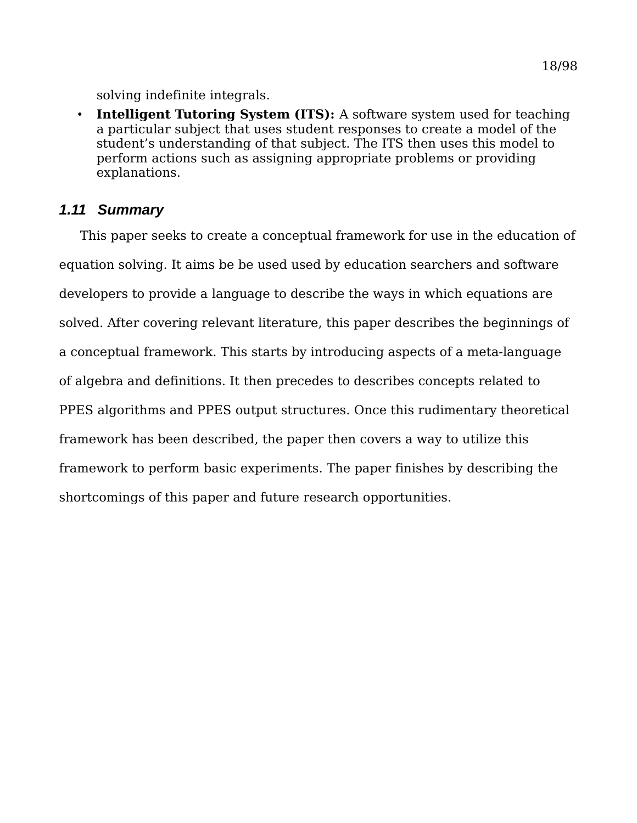solving indefinite integrals.

• **Intelligent Tutoring System (ITS):** A software system used for teaching a particular subject that uses student responses to create a model of the student's understanding of that subject. The ITS then uses this model to perform actions such as assigning appropriate problems or providing explanations.

# *1.11 Summary*

This paper seeks to create a conceptual framework for use in the education of equation solving. It aims be be used used by education searchers and software developers to provide a language to describe the ways in which equations are solved. After covering relevant literature, this paper describes the beginnings of a conceptual framework. This starts by introducing aspects of a meta-language of algebra and definitions. It then precedes to describes concepts related to PPES algorithms and PPES output structures. Once this rudimentary theoretical framework has been described, the paper then covers a way to utilize this framework to perform basic experiments. The paper finishes by describing the shortcomings of this paper and future research opportunities.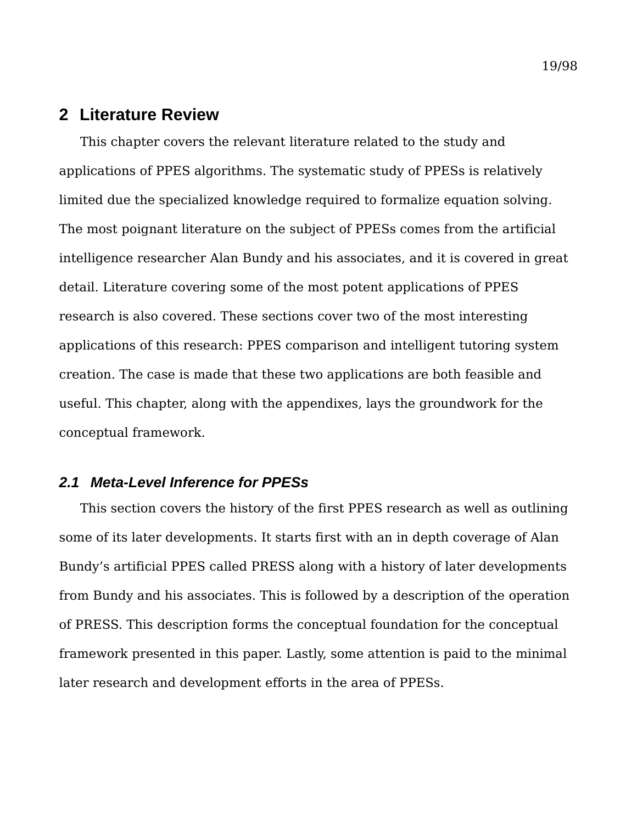# **2 Literature Review**

This chapter covers the relevant literature related to the study and applications of PPES algorithms. The systematic study of PPESs is relatively limited due the specialized knowledge required to formalize equation solving. The most poignant literature on the subject of PPESs comes from the artificial intelligence researcher Alan Bundy and his associates, and it is covered in great detail. Literature covering some of the most potent applications of PPES research is also covered. These sections cover two of the most interesting applications of this research: PPES comparison and intelligent tutoring system creation. The case is made that these two applications are both feasible and useful. This chapter, along with the appendixes, lays the groundwork for the conceptual framework.

## *2.1 Meta-Level Inference for PPESs*

This section covers the history of the first PPES research as well as outlining some of its later developments. It starts first with an in depth coverage of Alan Bundy's artificial PPES called PRESS along with a history of later developments from Bundy and his associates. This is followed by a description of the operation of PRESS. This description forms the conceptual foundation for the conceptual framework presented in this paper. Lastly, some attention is paid to the minimal later research and development efforts in the area of PPESs.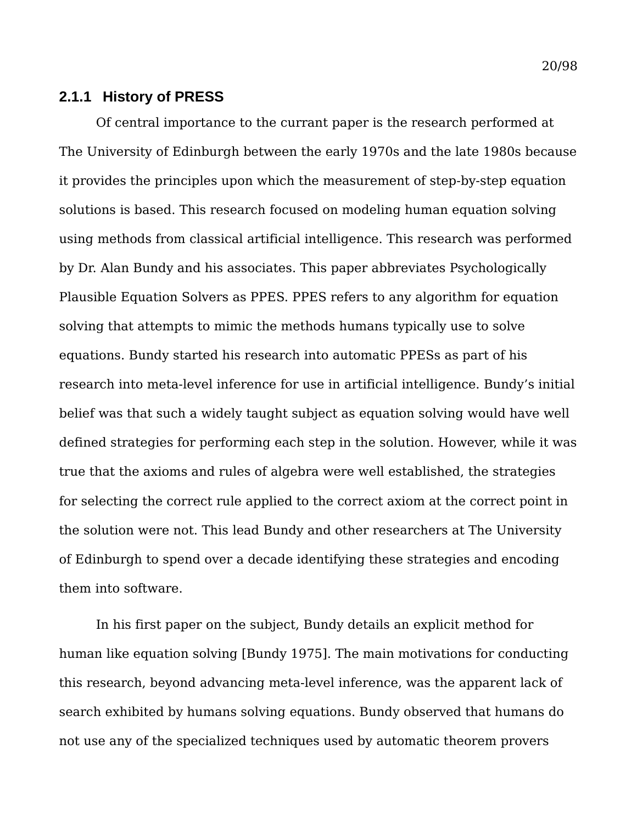Of central importance to the currant paper is the research performed at The University of Edinburgh between the early 1970s and the late 1980s because it provides the principles upon which the measurement of step-by-step equation solutions is based. This research focused on modeling human equation solving using methods from classical artificial intelligence. This research was performed by Dr. Alan Bundy and his associates. This paper abbreviates Psychologically Plausible Equation Solvers as PPES. PPES refers to any algorithm for equation solving that attempts to mimic the methods humans typically use to solve equations. Bundy started his research into automatic PPESs as part of his research into meta-level inference for use in artificial intelligence. Bundy's initial belief was that such a widely taught subject as equation solving would have well defined strategies for performing each step in the solution. However, while it was true that the axioms and rules of algebra were well established, the strategies for selecting the correct rule applied to the correct axiom at the correct point in the solution were not. This lead Bundy and other researchers at The University of Edinburgh to spend over a decade identifying these strategies and encoding them into software.

In his first paper on the subject, Bundy details an explicit method for human like equation solving [Bundy 1975]. The main motivations for conducting this research, beyond advancing meta-level inference, was the apparent lack of search exhibited by humans solving equations. Bundy observed that humans do not use any of the specialized techniques used by automatic theorem provers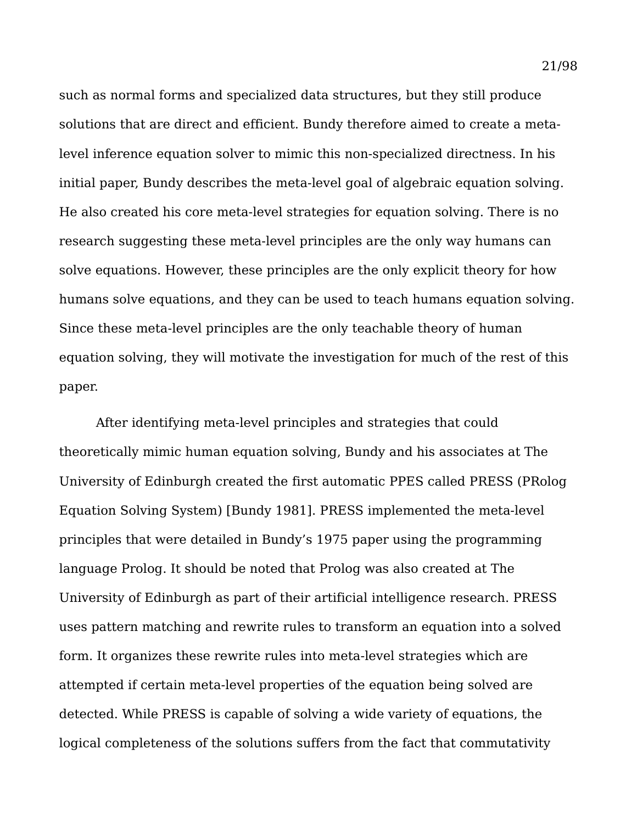such as normal forms and specialized data structures, but they still produce solutions that are direct and efficient. Bundy therefore aimed to create a metalevel inference equation solver to mimic this non-specialized directness. In his initial paper, Bundy describes the meta-level goal of algebraic equation solving. He also created his core meta-level strategies for equation solving. There is no research suggesting these meta-level principles are the only way humans can solve equations. However, these principles are the only explicit theory for how humans solve equations, and they can be used to teach humans equation solving. Since these meta-level principles are the only teachable theory of human equation solving, they will motivate the investigation for much of the rest of this paper.

After identifying meta-level principles and strategies that could theoretically mimic human equation solving, Bundy and his associates at The University of Edinburgh created the first automatic PPES called PRESS (PRolog Equation Solving System) [Bundy 1981]. PRESS implemented the meta-level principles that were detailed in Bundy's 1975 paper using the programming language Prolog. It should be noted that Prolog was also created at The University of Edinburgh as part of their artificial intelligence research. PRESS uses pattern matching and rewrite rules to transform an equation into a solved form. It organizes these rewrite rules into meta-level strategies which are attempted if certain meta-level properties of the equation being solved are detected. While PRESS is capable of solving a wide variety of equations, the logical completeness of the solutions suffers from the fact that commutativity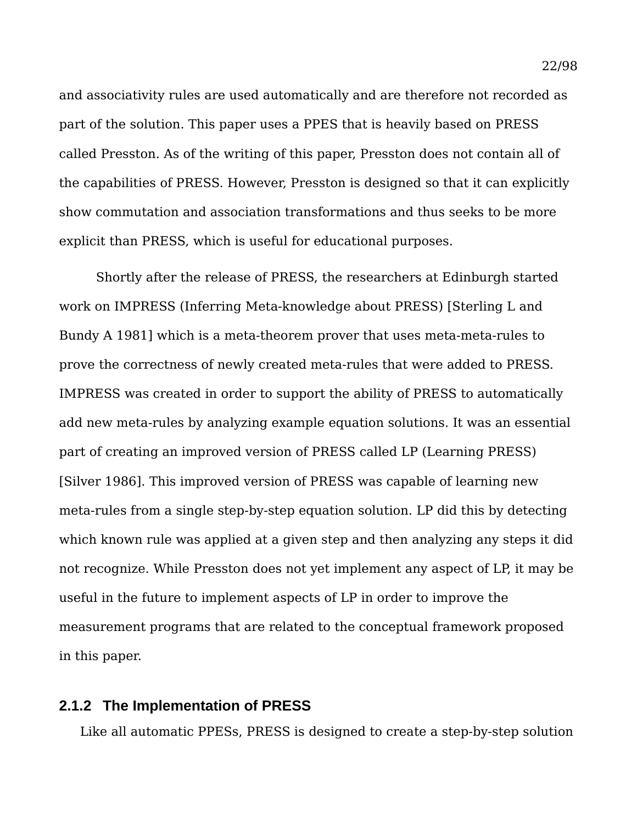and associativity rules are used automatically and are therefore not recorded as part of the solution. This paper uses a PPES that is heavily based on PRESS called Presston. As of the writing of this paper, Presston does not contain all of the capabilities of PRESS. However, Presston is designed so that it can explicitly show commutation and association transformations and thus seeks to be more explicit than PRESS, which is useful for educational purposes.

Shortly after the release of PRESS, the researchers at Edinburgh started work on IMPRESS (Inferring Meta-knowledge about PRESS) [Sterling L and Bundy A 1981] which is a meta-theorem prover that uses meta-meta-rules to prove the correctness of newly created meta-rules that were added to PRESS. IMPRESS was created in order to support the ability of PRESS to automatically add new meta-rules by analyzing example equation solutions. It was an essential part of creating an improved version of PRESS called LP (Learning PRESS) [Silver 1986]. This improved version of PRESS was capable of learning new meta-rules from a single step-by-step equation solution. LP did this by detecting which known rule was applied at a given step and then analyzing any steps it did not recognize. While Presston does not yet implement any aspect of LP, it may be useful in the future to implement aspects of LP in order to improve the measurement programs that are related to the conceptual framework proposed in this paper.

# **2.1.2 The Implementation of PRESS**

Like all automatic PPESs, PRESS is designed to create a step-by-step solution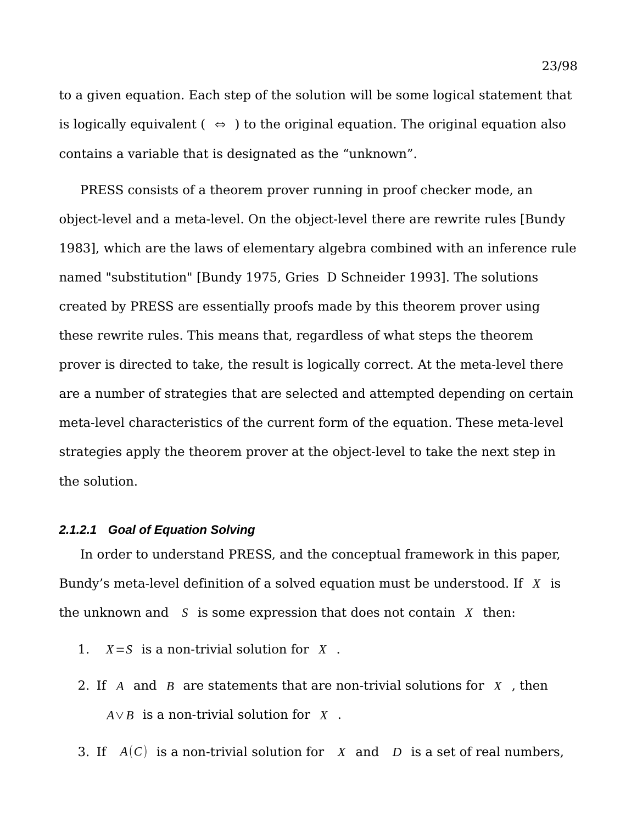to a given equation. Each step of the solution will be some logical statement that is logically equivalent (  $\Leftrightarrow$  ) to the original equation. The original equation also contains a variable that is designated as the "unknown".

PRESS consists of a theorem prover running in proof checker mode, an object-level and a meta-level. On the object-level there are rewrite rules [Bundy 1983], which are the laws of elementary algebra combined with an inference rule named "substitution" [Bundy 1975, Gries D Schneider 1993]. The solutions created by PRESS are essentially proofs made by this theorem prover using these rewrite rules. This means that, regardless of what steps the theorem prover is directed to take, the result is logically correct. At the meta-level there are a number of strategies that are selected and attempted depending on certain meta-level characteristics of the current form of the equation. These meta-level strategies apply the theorem prover at the object-level to take the next step in the solution.

#### *2.1.2.1 Goal of Equation Solving*

In order to understand PRESS, and the conceptual framework in this paper, Bundy's meta-level definition of a solved equation must be understood. If *X* is the unknown and *S* is some expression that does not contain *X* then:

- 1. *X*=*S* is a non-trivial solution for *X* .
- 2. If *A* and *B* are statements that are non-trivial solutions for *X* , then *A*∨*B* is a non-trivial solution for *X* .
- 3. If *A*(*C*) is a non-trivial solution for *X* and *D* is a set of real numbers,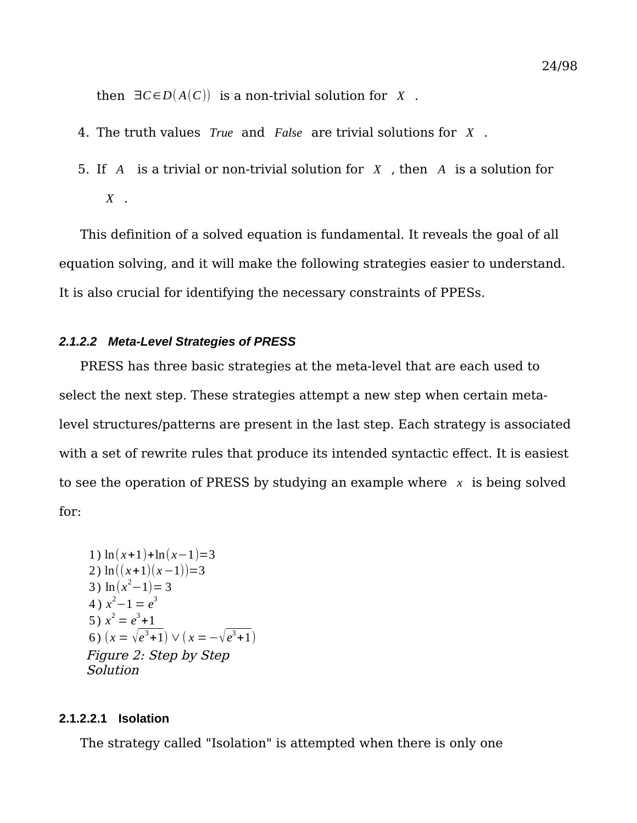then  $\exists C \in D(A(C))$  is a non-trivial solution for *X*.

- 4. The truth values *True* and *False* are trivial solutions for *X* .
- 5. If *A* is a trivial or non-trivial solution for *X* , then *A* is a solution for *X* .

This definition of a solved equation is fundamental. It reveals the goal of all equation solving, and it will make the following strategies easier to understand. It is also crucial for identifying the necessary constraints of PPESs.

#### *2.1.2.2 Meta-Level Strategies of PRESS*

PRESS has three basic strategies at the meta-level that are each used to select the next step. These strategies attempt a new step when certain metalevel structures/patterns are present in the last step. Each strategy is associated with a set of rewrite rules that produce its intended syntactic effect. It is easiest to see the operation of PRESS by studying an example where *x* is being solved for:

1) 
$$
\ln(x+1)+\ln(x-1)=3
$$
  
\n2)  $\ln((x+1)(x-1))=3$   
\n3)  $\ln(x^2-1)=3$   
\n4)  $x^2-1=e^3$   
\n5)  $x^2 = e^3 + 1$   
\n6)  $(x = \sqrt{e^3 + 1}) \vee (x = -\sqrt{e^3 + 1})$   
\nFigure 2: Step by Step  
\nSolution

#### **2.1.2.2.1 Isolation**

The strategy called "Isolation" is attempted when there is only one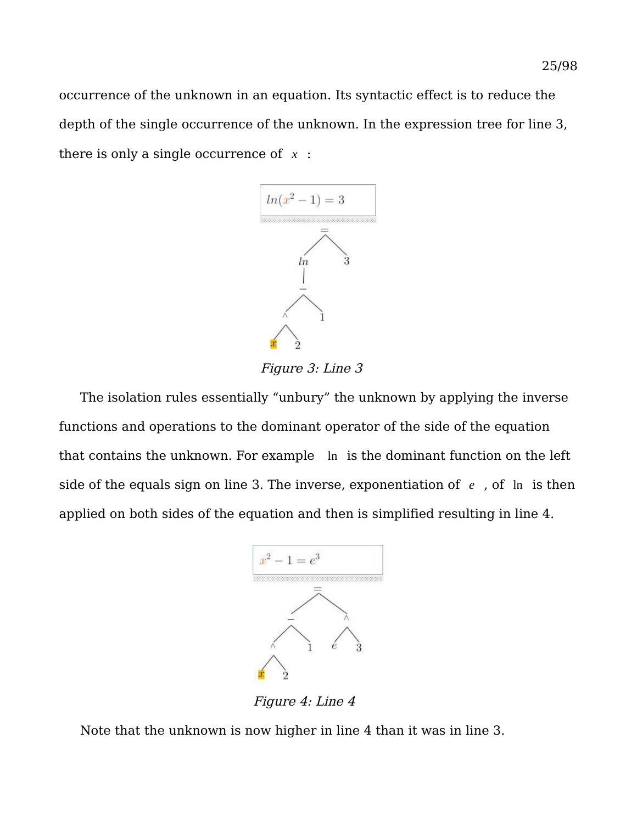occurrence of the unknown in an equation. Its syntactic effect is to reduce the depth of the single occurrence of the unknown. In the expression tree for line 3, there is only a single occurrence of *x* :



Figure 3: Line 3

The isolation rules essentially "unbury" the unknown by applying the inverse functions and operations to the dominant operator of the side of the equation that contains the unknown. For example ln is the dominant function on the left side of the equals sign on line 3. The inverse, exponentiation of *e* , of ln is then applied on both sides of the equation and then is simplified resulting in line 4.



Figure 4: Line 4

Note that the unknown is now higher in line 4 than it was in line 3.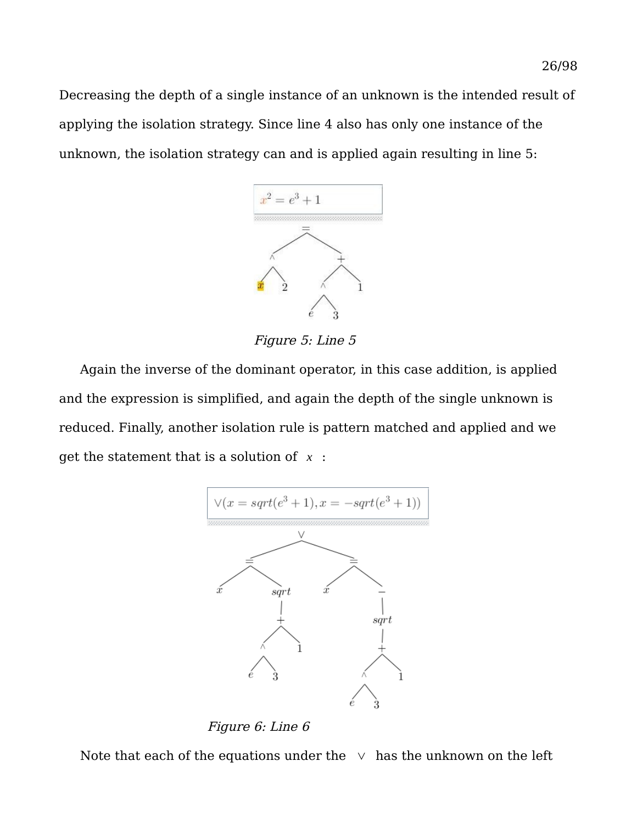Decreasing the depth of a single instance of an unknown is the intended result of applying the isolation strategy. Since line 4 also has only one instance of the unknown, the isolation strategy can and is applied again resulting in line 5:



Figure 5: Line 5

Again the inverse of the dominant operator, in this case addition, is applied and the expression is simplified, and again the depth of the single unknown is reduced. Finally, another isolation rule is pattern matched and applied and we get the statement that is a solution of *x* :



Figure 6: Line 6

Note that each of the equations under the  $\vee$  has the unknown on the left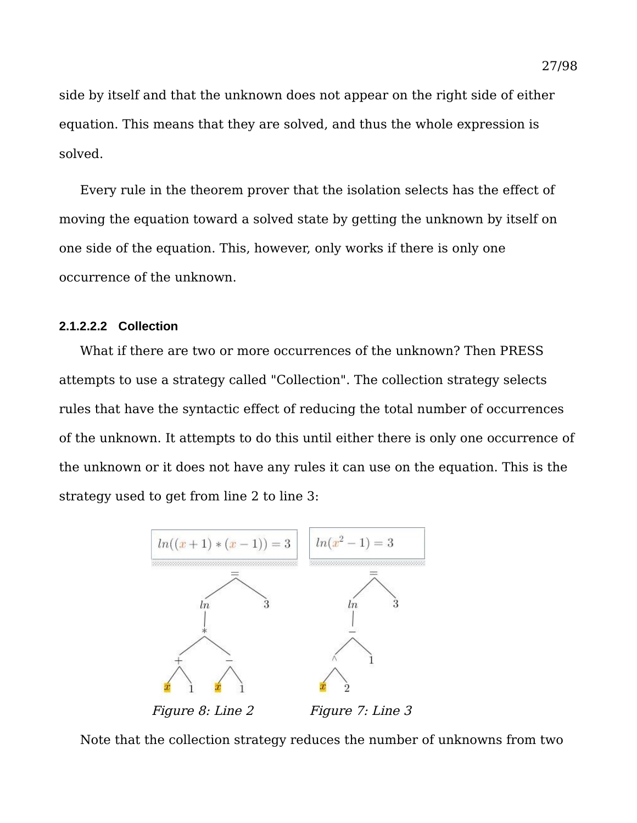side by itself and that the unknown does not appear on the right side of either equation. This means that they are solved, and thus the whole expression is solved.

Every rule in the theorem prover that the isolation selects has the effect of moving the equation toward a solved state by getting the unknown by itself on one side of the equation. This, however, only works if there is only one occurrence of the unknown.

#### **2.1.2.2.2 Collection**

What if there are two or more occurrences of the unknown? Then PRESS attempts to use a strategy called "Collection". The collection strategy selects rules that have the syntactic effect of reducing the total number of occurrences of the unknown. It attempts to do this until either there is only one occurrence of the unknown or it does not have any rules it can use on the equation. This is the strategy used to get from line 2 to line 3:



Note that the collection strategy reduces the number of unknowns from two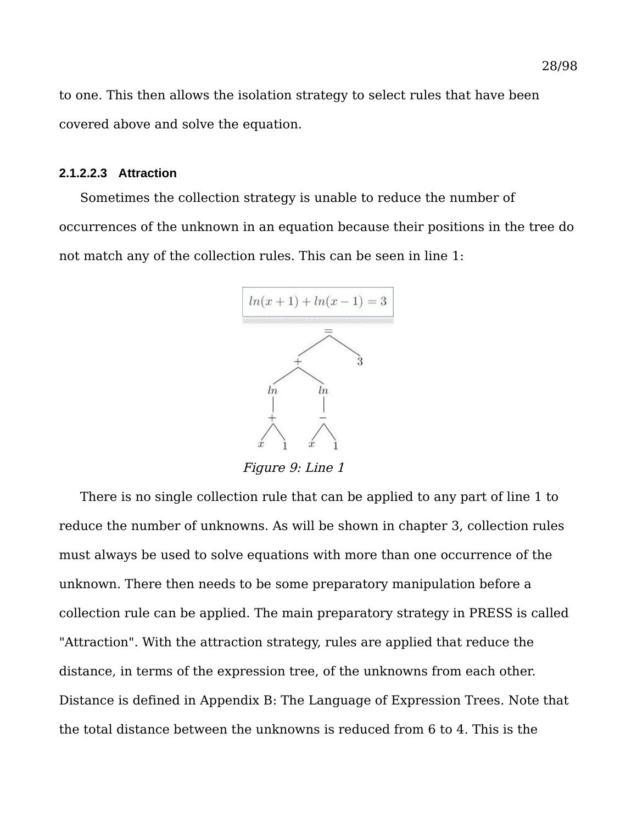to one. This then allows the isolation strategy to select rules that have been covered above and solve the equation.

#### **2.1.2.2.3 Attraction**

Sometimes the collection strategy is unable to reduce the number of occurrences of the unknown in an equation because their positions in the tree do not match any of the collection rules. This can be seen in line 1:



Figure 9: Line 1

There is no single collection rule that can be applied to any part of line 1 to reduce the number of unknowns. As will be shown in chapter 3, collection rules must always be used to solve equations with more than one occurrence of the unknown. There then needs to be some preparatory manipulation before a collection rule can be applied. The main preparatory strategy in PRESS is called "Attraction". With the attraction strategy, rules are applied that reduce the distance, in terms of the expression tree, of the unknowns from each other. Distance is defined in [Appendix B: The Language of Expression Trees.](#page-84-0) Note that the total distance between the unknowns is reduced from 6 to 4. This is the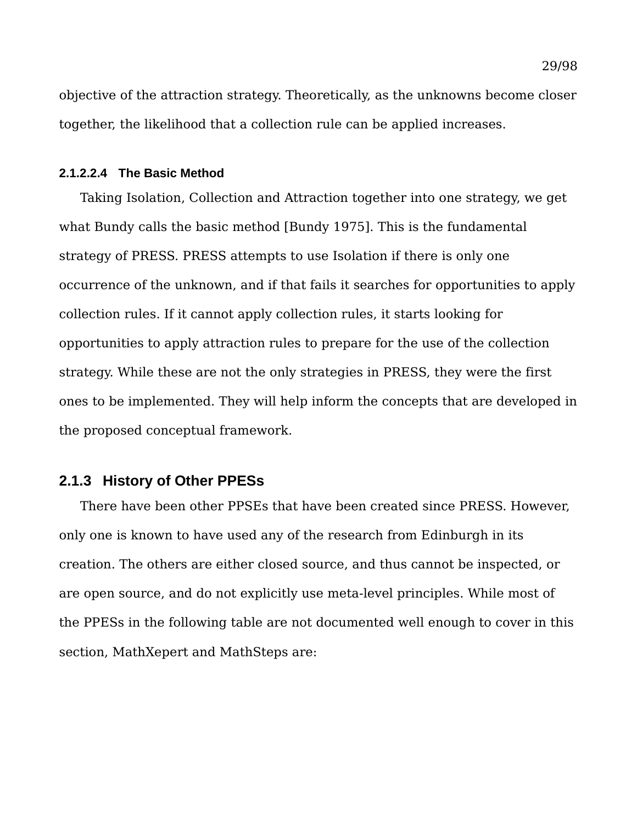objective of the attraction strategy. Theoretically, as the unknowns become closer together, the likelihood that a collection rule can be applied increases.

#### **2.1.2.2.4 The Basic Method**

Taking Isolation, Collection and Attraction together into one strategy, we get what Bundy calls the basic method [Bundy 1975]. This is the fundamental strategy of PRESS. PRESS attempts to use Isolation if there is only one occurrence of the unknown, and if that fails it searches for opportunities to apply collection rules. If it cannot apply collection rules, it starts looking for opportunities to apply attraction rules to prepare for the use of the collection strategy. While these are not the only strategies in PRESS, they were the first ones to be implemented. They will help inform the concepts that are developed in the proposed conceptual framework.

# **2.1.3 History of Other PPESs**

There have been other PPSEs that have been created since PRESS. However, only one is known to have used any of the research from Edinburgh in its creation. The others are either closed source, and thus cannot be inspected, or are open source, and do not explicitly use meta-level principles. While most of the PPESs in the following table are not documented well enough to cover in this section, MathXepert and MathSteps are: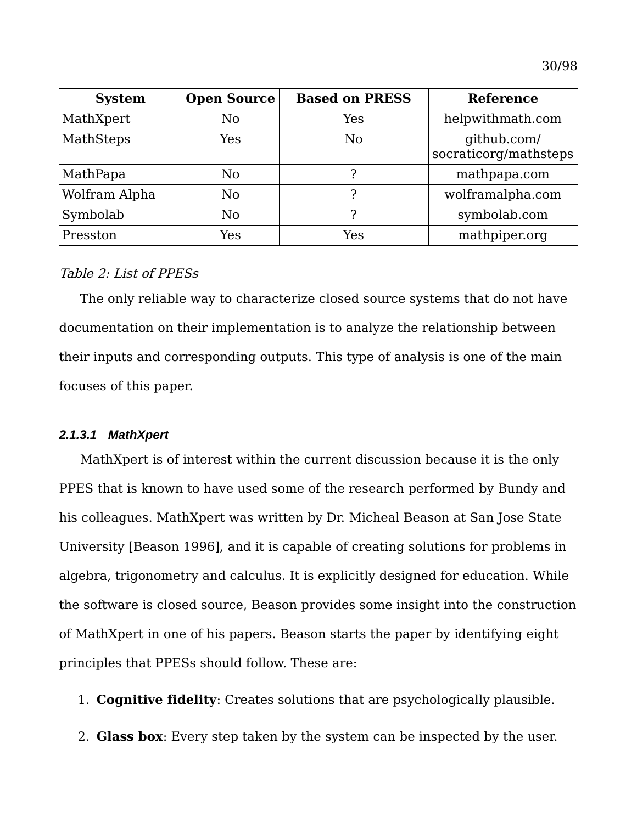| <b>System</b> | <b>Open Source</b> | <b>Based on PRESS</b> | <b>Reference</b>                     |
|---------------|--------------------|-----------------------|--------------------------------------|
| MathXpert     | N <sub>0</sub>     | Yes                   | helpwithmath.com                     |
| MathSteps     | Yes                | N <sub>0</sub>        | github.com/<br>socraticorg/mathsteps |
| MathPapa      | No                 | ?                     | mathpapa.com                         |
| Wolfram Alpha | No                 | ႒                     | wolframalpha.com                     |
| Symbolab      | No                 | ႒                     | symbolab.com                         |
| Presston      | Yes                | Yes                   | mathpiper.org                        |

#### Table 2: List of PPESs

The only reliable way to characterize closed source systems that do not have documentation on their implementation is to analyze the relationship between their inputs and corresponding outputs. This type of analysis is one of the main focuses of this paper.

#### *2.1.3.1 MathXpert*

MathXpert is of interest within the current discussion because it is the only PPES that is known to have used some of the research performed by Bundy and his colleagues. MathXpert was written by Dr. Micheal Beason at San Jose State University [Beason 1996], and it is capable of creating solutions for problems in algebra, trigonometry and calculus. It is explicitly designed for education. While the software is closed source, Beason provides some insight into the construction of MathXpert in one of his papers. Beason starts the paper by identifying eight principles that PPESs should follow. These are:

- 1. **Cognitive fidelity**: Creates solutions that are psychologically plausible.
- 2. **Glass box**: Every step taken by the system can be inspected by the user.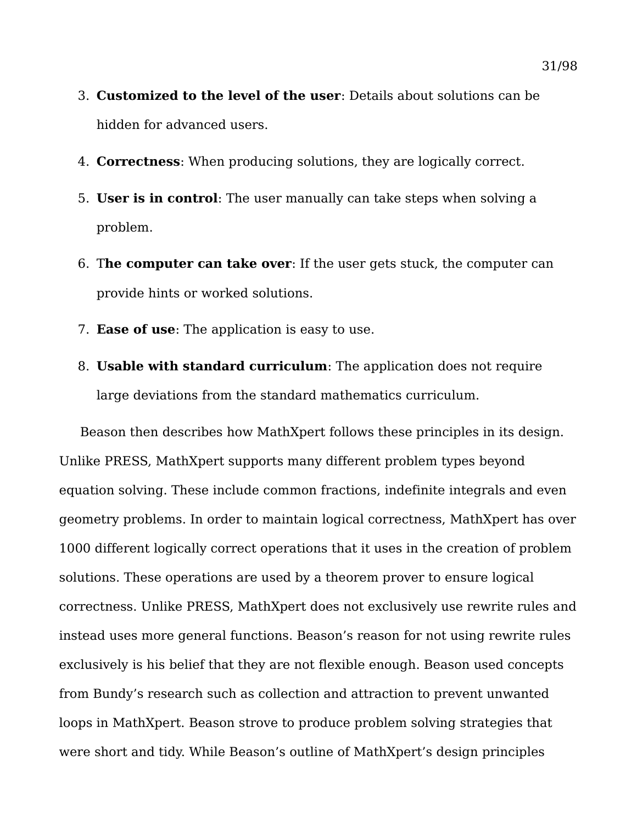- 3. **Customized to the level of the user**: Details about solutions can be hidden for advanced users.
- 4. **Correctness**: When producing solutions, they are logically correct.
- 5. **User is in control**: The user manually can take steps when solving a problem.
- 6. T**he computer can take over**: If the user gets stuck, the computer can provide hints or worked solutions.
- 7. **Ease of use**: The application is easy to use.
- 8. **Usable with standard curriculum**: The application does not require large deviations from the standard mathematics curriculum.

Beason then describes how MathXpert follows these principles in its design. Unlike PRESS, MathXpert supports many different problem types beyond equation solving. These include common fractions, indefinite integrals and even geometry problems. In order to maintain logical correctness, MathXpert has over 1000 different logically correct operations that it uses in the creation of problem solutions. These operations are used by a theorem prover to ensure logical correctness. Unlike PRESS, MathXpert does not exclusively use rewrite rules and instead uses more general functions. Beason's reason for not using rewrite rules exclusively is his belief that they are not flexible enough. Beason used concepts from Bundy's research such as collection and attraction to prevent unwanted loops in MathXpert. Beason strove to produce problem solving strategies that were short and tidy. While Beason's outline of MathXpert's design principles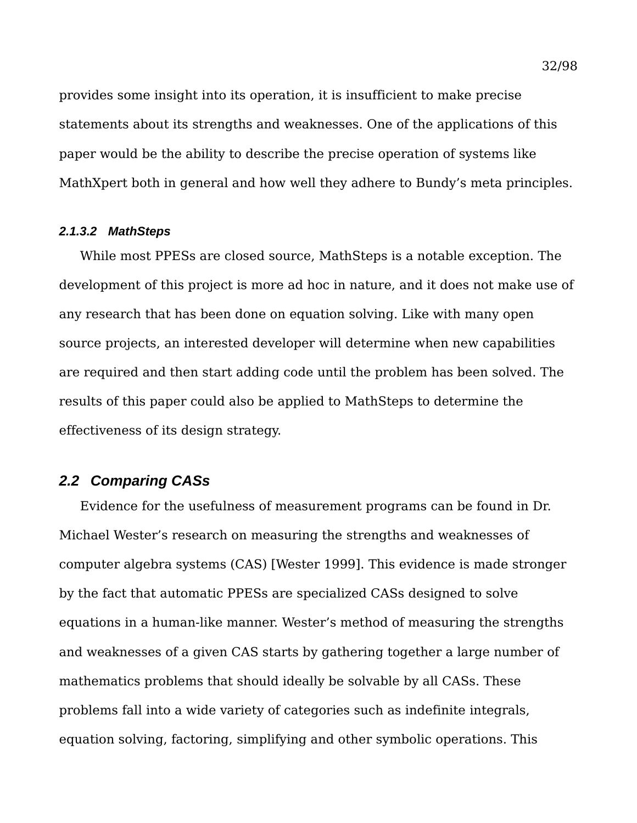provides some insight into its operation, it is insufficient to make precise statements about its strengths and weaknesses. One of the applications of this paper would be the ability to describe the precise operation of systems like MathXpert both in general and how well they adhere to Bundy's meta principles.

#### *2.1.3.2 MathSteps*

While most PPESs are closed source, MathSteps is a notable exception. The development of this project is more ad hoc in nature, and it does not make use of any research that has been done on equation solving. Like with many open source projects, an interested developer will determine when new capabilities are required and then start adding code until the problem has been solved. The results of this paper could also be applied to MathSteps to determine the effectiveness of its design strategy.

## *2.2 Comparing CASs*

Evidence for the usefulness of measurement programs can be found in Dr. Michael Wester's research on measuring the strengths and weaknesses of computer algebra systems (CAS) [Wester 1999]. This evidence is made stronger by the fact that automatic PPESs are specialized CASs designed to solve equations in a human-like manner. Wester's method of measuring the strengths and weaknesses of a given CAS starts by gathering together a large number of mathematics problems that should ideally be solvable by all CASs. These problems fall into a wide variety of categories such as indefinite integrals, equation solving, factoring, simplifying and other symbolic operations. This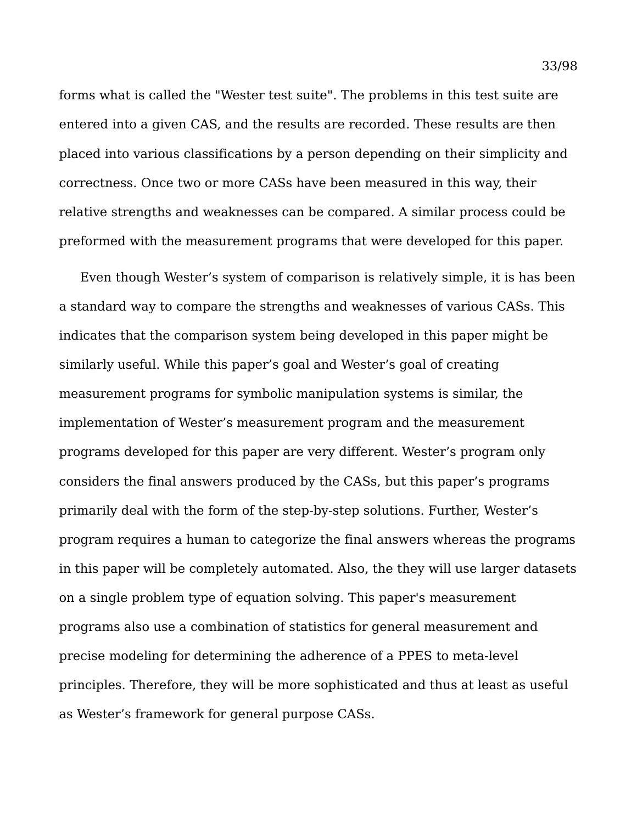forms what is called the "Wester test suite". The problems in this test suite are entered into a given CAS, and the results are recorded. These results are then placed into various classifications by a person depending on their simplicity and correctness. Once two or more CASs have been measured in this way, their relative strengths and weaknesses can be compared. A similar process could be preformed with the measurement programs that were developed for this paper.

Even though Wester's system of comparison is relatively simple, it is has been a standard way to compare the strengths and weaknesses of various CASs. This indicates that the comparison system being developed in this paper might be similarly useful. While this paper's goal and Wester's goal of creating measurement programs for symbolic manipulation systems is similar, the implementation of Wester's measurement program and the measurement programs developed for this paper are very different. Wester's program only considers the final answers produced by the CASs, but this paper's programs primarily deal with the form of the step-by-step solutions. Further, Wester's program requires a human to categorize the final answers whereas the programs in this paper will be completely automated. Also, the they will use larger datasets on a single problem type of equation solving. This paper's measurement programs also use a combination of statistics for general measurement and precise modeling for determining the adherence of a PPES to meta-level principles. Therefore, they will be more sophisticated and thus at least as useful as Wester's framework for general purpose CASs.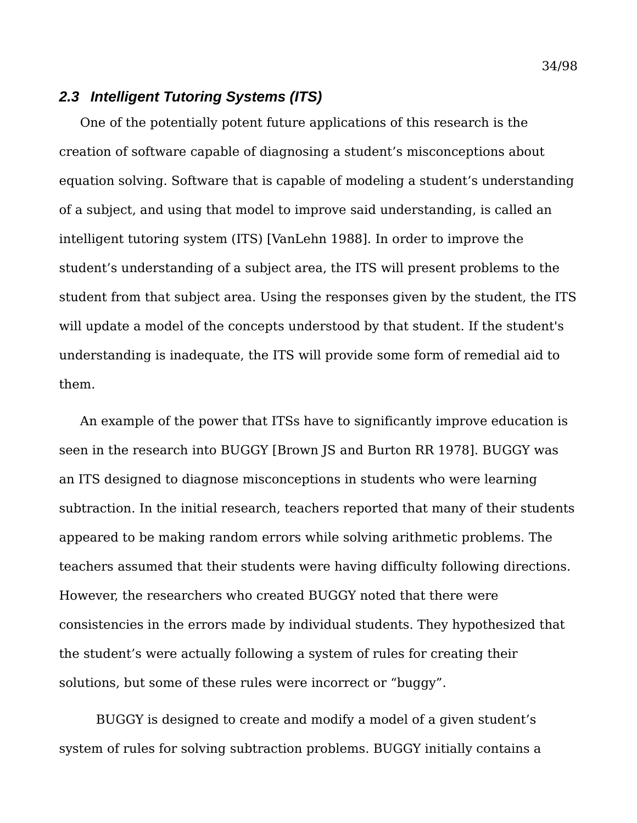# *2.3 Intelligent Tutoring Systems (ITS)*

One of the potentially potent future applications of this research is the creation of software capable of diagnosing a student's misconceptions about equation solving. Software that is capable of modeling a student's understanding of a subject, and using that model to improve said understanding, is called an intelligent tutoring system (ITS) [VanLehn 1988]. In order to improve the student's understanding of a subject area, the ITS will present problems to the student from that subject area. Using the responses given by the student, the ITS will update a model of the concepts understood by that student. If the student's understanding is inadequate, the ITS will provide some form of remedial aid to them.

An example of the power that ITSs have to significantly improve education is seen in the research into BUGGY [Brown JS and Burton RR 1978]. BUGGY was an ITS designed to diagnose misconceptions in students who were learning subtraction. In the initial research, teachers reported that many of their students appeared to be making random errors while solving arithmetic problems. The teachers assumed that their students were having difficulty following directions. However, the researchers who created BUGGY noted that there were consistencies in the errors made by individual students. They hypothesized that the student's were actually following a system of rules for creating their solutions, but some of these rules were incorrect or "buggy".

BUGGY is designed to create and modify a model of a given student's system of rules for solving subtraction problems. BUGGY initially contains a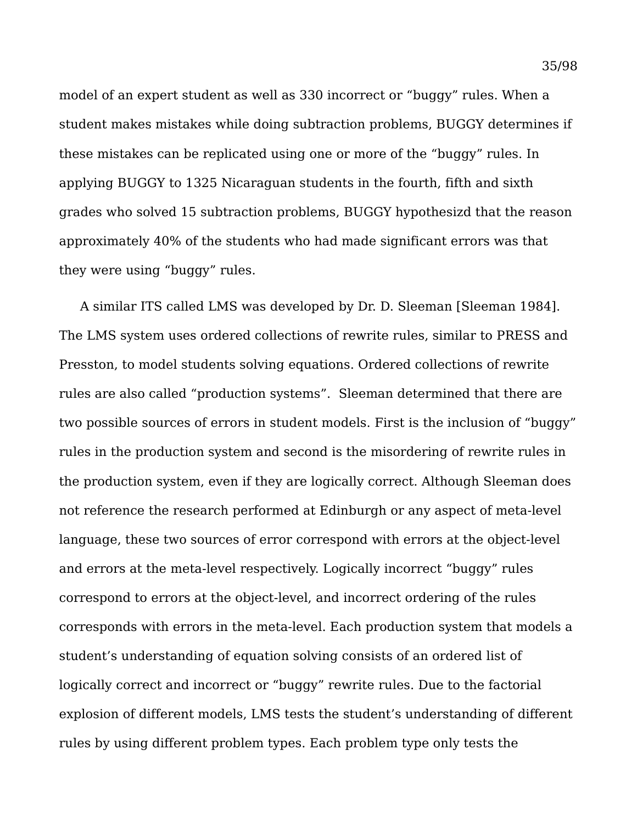model of an expert student as well as 330 incorrect or "buggy" rules. When a student makes mistakes while doing subtraction problems, BUGGY determines if these mistakes can be replicated using one or more of the "buggy" rules. In applying BUGGY to 1325 Nicaraguan students in the fourth, fifth and sixth grades who solved 15 subtraction problems, BUGGY hypothesizd that the reason approximately 40% of the students who had made significant errors was that they were using "buggy" rules.

A similar ITS called LMS was developed by Dr. D. Sleeman [Sleeman 1984]. The LMS system uses ordered collections of rewrite rules, similar to PRESS and Presston, to model students solving equations. Ordered collections of rewrite rules are also called "production systems". Sleeman determined that there are two possible sources of errors in student models. First is the inclusion of "buggy" rules in the production system and second is the misordering of rewrite rules in the production system, even if they are logically correct. Although Sleeman does not reference the research performed at Edinburgh or any aspect of meta-level language, these two sources of error correspond with errors at the object-level and errors at the meta-level respectively. Logically incorrect "buggy" rules correspond to errors at the object-level, and incorrect ordering of the rules corresponds with errors in the meta-level. Each production system that models a student's understanding of equation solving consists of an ordered list of logically correct and incorrect or "buggy" rewrite rules. Due to the factorial explosion of different models, LMS tests the student's understanding of different rules by using different problem types. Each problem type only tests the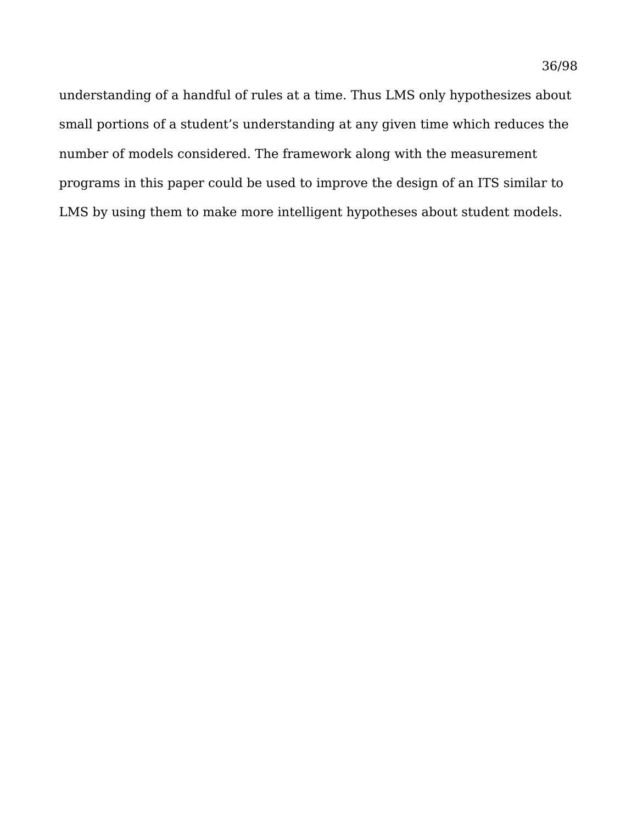understanding of a handful of rules at a time. Thus LMS only hypothesizes about small portions of a student's understanding at any given time which reduces the number of models considered. The framework along with the measurement programs in this paper could be used to improve the design of an ITS similar to LMS by using them to make more intelligent hypotheses about student models.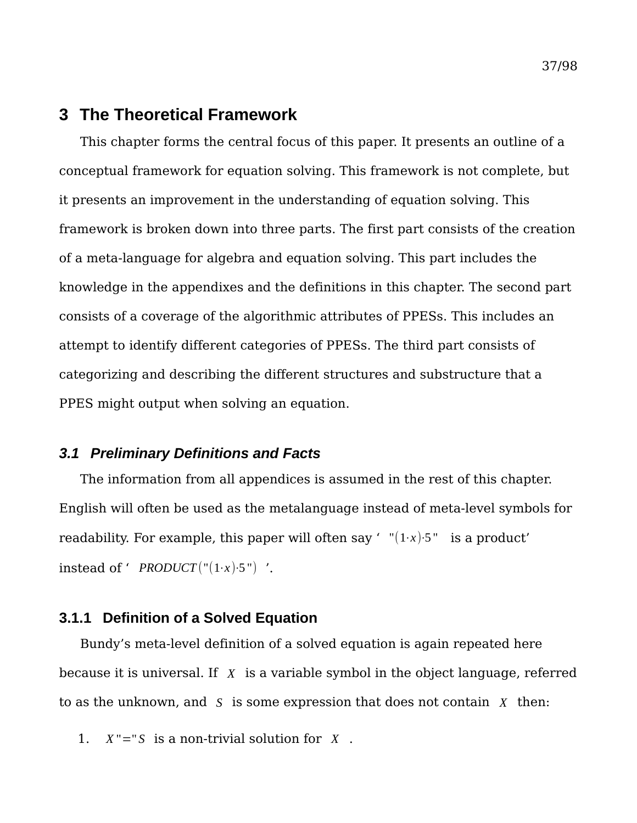# **3 The Theoretical Framework**

This chapter forms the central focus of this paper. It presents an outline of a conceptual framework for equation solving. This framework is not complete, but it presents an improvement in the understanding of equation solving. This framework is broken down into three parts. The first part consists of the creation of a meta-language for algebra and equation solving. This part includes the knowledge in the appendixes and the definitions in this chapter. The second part consists of a coverage of the algorithmic attributes of PPESs. This includes an attempt to identify different categories of PPESs. The third part consists of categorizing and describing the different structures and substructure that a PPES might output when solving an equation.

## *3.1 Preliminary Definitions and Facts*

The information from all appendices is assumed in the rest of this chapter. English will often be used as the metalanguage instead of meta-level symbols for readability. For example, this paper will often say '  $"(1·x)·5"$  is a product' instead of '  $PRODUCT("1·x)·5"$  '.

## **3.1.1 Definition of a Solved Equation**

Bundy's meta-level definition of a solved equation is again repeated here because it is universal. If *X* is a variable symbol in the object language, referred to as the unknown, and *S* is some expression that does not contain *X* then:

1.  $X'' = S$  is a non-trivial solution for  $X$ .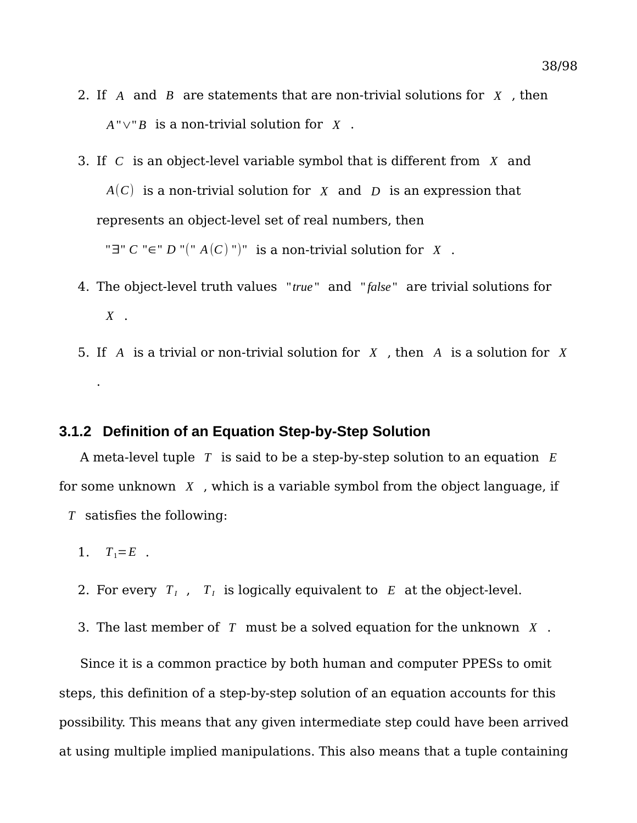- 2. If *A* and *B* are statements that are non-trivial solutions for *X* , then *A*"∨"*B* is a non-trivial solution for *X* .
- 3. If *C* is an object-level variable symbol that is different from *X* and *A*(*C*) is a non-trivial solution for *X* and *D* is an expression that represents an object-level set of real numbers, then "∃" *C* "∈" *D* "("  $A(C)$  ")" is a non-trivial solution for *X*.
- 4. The object-level truth values "*true* " and " *false* " are trivial solutions for *X* .
- 5. If *A* is a trivial or non-trivial solution for *X* , then *A* is a solution for *X* .

## **3.1.2 Definition of an Equation Step-by-Step Solution**

A meta-level tuple *T* is said to be a step-by-step solution to an equation *E* for some unknown *X* , which is a variable symbol from the object language, if *T* satisfies the following:

- 1.  $T_1 = E$ .
- 2. For every  $T_I$ ,  $T_I$  is logically equivalent to  $E$  at the object-level.
- 3. The last member of *T* must be a solved equation for the unknown *X* .

Since it is a common practice by both human and computer PPESs to omit steps, this definition of a step-by-step solution of an equation accounts for this possibility. This means that any given intermediate step could have been arrived at using multiple implied manipulations. This also means that a tuple containing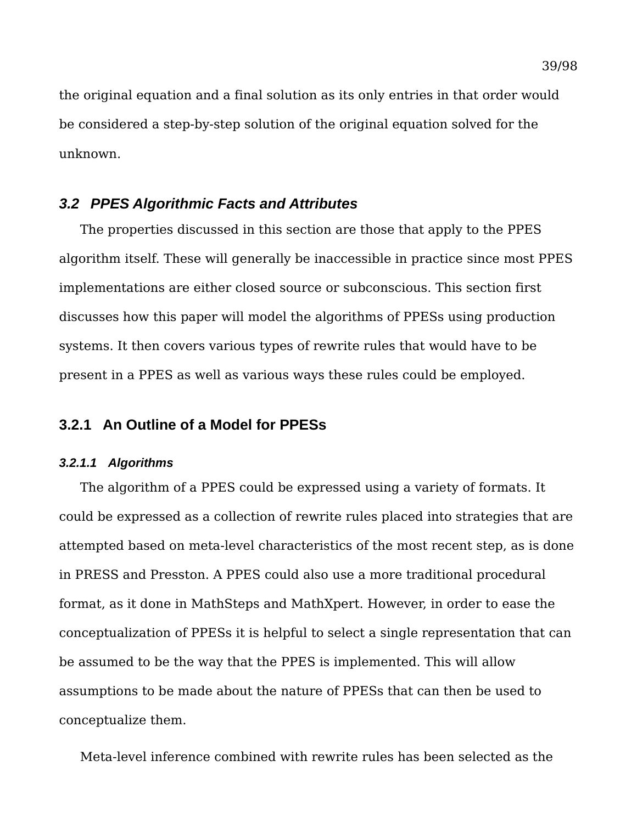the original equation and a final solution as its only entries in that order would be considered a step-by-step solution of the original equation solved for the unknown.

## *3.2 PPES Algorithmic Facts and Attributes*

The properties discussed in this section are those that apply to the PPES algorithm itself. These will generally be inaccessible in practice since most PPES implementations are either closed source or subconscious. This section first discusses how this paper will model the algorithms of PPESs using production systems. It then covers various types of rewrite rules that would have to be present in a PPES as well as various ways these rules could be employed.

# **3.2.1 An Outline of a Model for PPESs**

#### *3.2.1.1 Algorithms*

The algorithm of a PPES could be expressed using a variety of formats. It could be expressed as a collection of rewrite rules placed into strategies that are attempted based on meta-level characteristics of the most recent step, as is done in PRESS and Presston. A PPES could also use a more traditional procedural format, as it done in MathSteps and MathXpert. However, in order to ease the conceptualization of PPESs it is helpful to select a single representation that can be assumed to be the way that the PPES is implemented. This will allow assumptions to be made about the nature of PPESs that can then be used to conceptualize them.

Meta-level inference combined with rewrite rules has been selected as the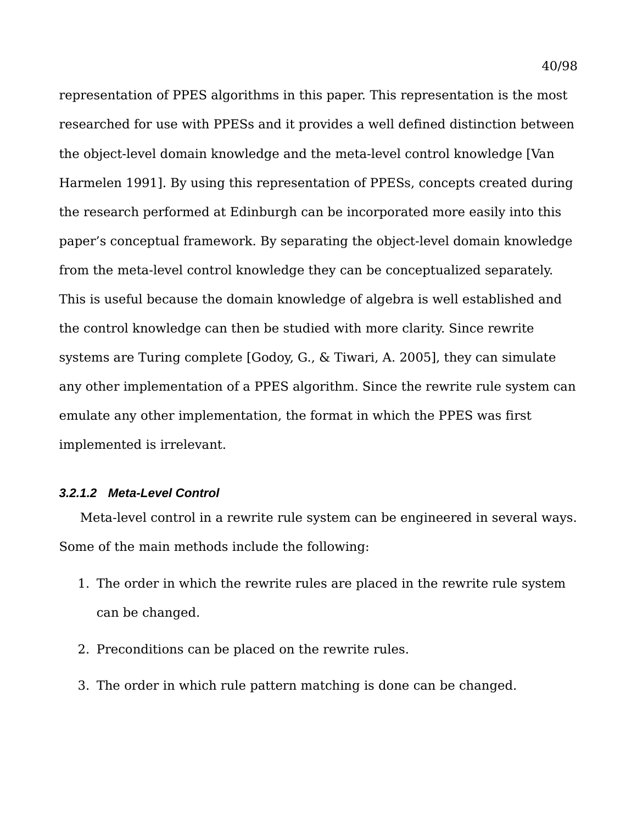representation of PPES algorithms in this paper. This representation is the most researched for use with PPESs and it provides a well defined distinction between the object-level domain knowledge and the meta-level control knowledge [Van Harmelen 1991]. By using this representation of PPESs, concepts created during the research performed at Edinburgh can be incorporated more easily into this paper's conceptual framework. By separating the object-level domain knowledge from the meta-level control knowledge they can be conceptualized separately. This is useful because the domain knowledge of algebra is well established and the control knowledge can then be studied with more clarity. Since rewrite systems are Turing complete [Godoy, G., & Tiwari, A. 2005], they can simulate any other implementation of a PPES algorithm. Since the rewrite rule system can emulate any other implementation, the format in which the PPES was first implemented is irrelevant.

### *3.2.1.2 Meta-Level Control*

Meta-level control in a rewrite rule system can be engineered in several ways. Some of the main methods include the following:

- 1. The order in which the rewrite rules are placed in the rewrite rule system can be changed.
- 2. Preconditions can be placed on the rewrite rules.
- 3. The order in which rule pattern matching is done can be changed.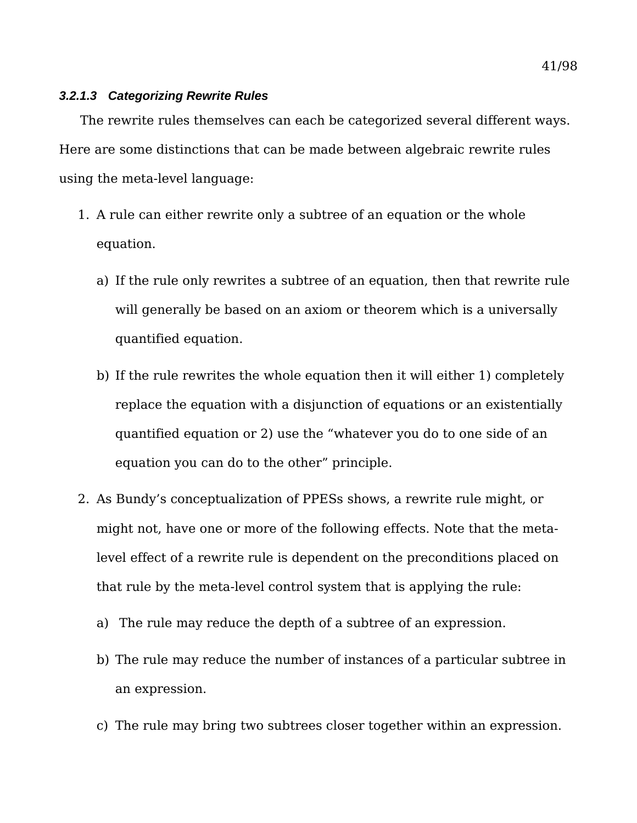#### *3.2.1.3 Categorizing Rewrite Rules*

The rewrite rules themselves can each be categorized several different ways. Here are some distinctions that can be made between algebraic rewrite rules using the meta-level language:

- 1. A rule can either rewrite only a subtree of an equation or the whole equation.
	- a) If the rule only rewrites a subtree of an equation, then that rewrite rule will generally be based on an axiom or theorem which is a universally quantified equation.
	- b) If the rule rewrites the whole equation then it will either 1) completely replace the equation with a disjunction of equations or an existentially quantified equation or 2) use the "whatever you do to one side of an equation you can do to the other" principle.
- 2. As Bundy's conceptualization of PPESs shows, a rewrite rule might, or might not, have one or more of the following effects. Note that the metalevel effect of a rewrite rule is dependent on the preconditions placed on that rule by the meta-level control system that is applying the rule:
	- a) The rule may reduce the depth of a subtree of an expression.
	- b) The rule may reduce the number of instances of a particular subtree in an expression.
	- c) The rule may bring two subtrees closer together within an expression.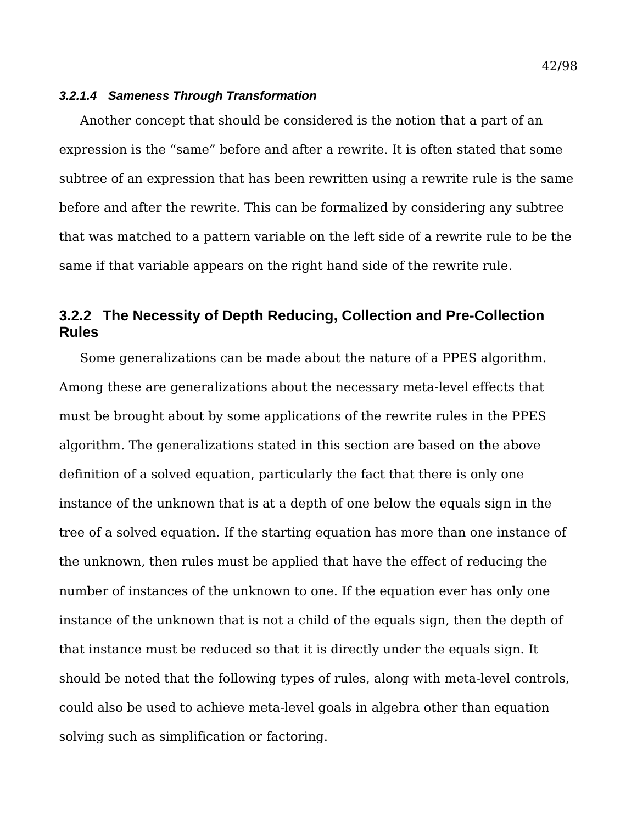#### *3.2.1.4 Sameness Through Transformation*

Another concept that should be considered is the notion that a part of an expression is the "same" before and after a rewrite. It is often stated that some subtree of an expression that has been rewritten using a rewrite rule is the same before and after the rewrite. This can be formalized by considering any subtree that was matched to a pattern variable on the left side of a rewrite rule to be the same if that variable appears on the right hand side of the rewrite rule.

# **3.2.2 The Necessity of Depth Reducing, Collection and Pre-Collection Rules**

Some generalizations can be made about the nature of a PPES algorithm. Among these are generalizations about the necessary meta-level effects that must be brought about by some applications of the rewrite rules in the PPES algorithm. The generalizations stated in this section are based on the above definition of a solved equation, particularly the fact that there is only one instance of the unknown that is at a depth of one below the equals sign in the tree of a solved equation. If the starting equation has more than one instance of the unknown, then rules must be applied that have the effect of reducing the number of instances of the unknown to one. If the equation ever has only one instance of the unknown that is not a child of the equals sign, then the depth of that instance must be reduced so that it is directly under the equals sign. It should be noted that the following types of rules, along with meta-level controls, could also be used to achieve meta-level goals in algebra other than equation solving such as simplification or factoring.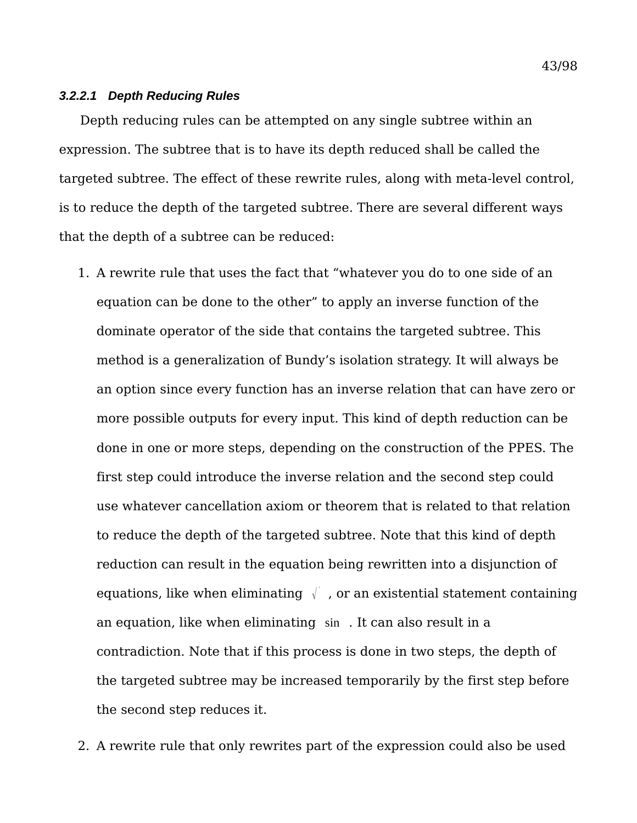#### *3.2.2.1 Depth Reducing Rules*

Depth reducing rules can be attempted on any single subtree within an expression. The subtree that is to have its depth reduced shall be called the targeted subtree. The effect of these rewrite rules, along with meta-level control, is to reduce the depth of the targeted subtree. There are several different ways that the depth of a subtree can be reduced:

1. A rewrite rule that uses the fact that "whatever you do to one side of an equation can be done to the other" to apply an inverse function of the dominate operator of the side that contains the targeted subtree. This method is a generalization of Bundy's isolation strategy. It will always be an option since every function has an inverse relation that can have zero or more possible outputs for every input. This kind of depth reduction can be done in one or more steps, depending on the construction of the PPES. The first step could introduce the inverse relation and the second step could use whatever cancellation axiom or theorem that is related to that relation to reduce the depth of the targeted subtree. Note that this kind of depth reduction can result in the equation being rewritten into a disjunction of equations, like when eliminating  $\sqrt{\ }$ , or an existential statement containing an equation, like when eliminating sin . It can also result in a contradiction. Note that if this process is done in two steps, the depth of the targeted subtree may be increased temporarily by the first step before the second step reduces it.

2. A rewrite rule that only rewrites part of the expression could also be used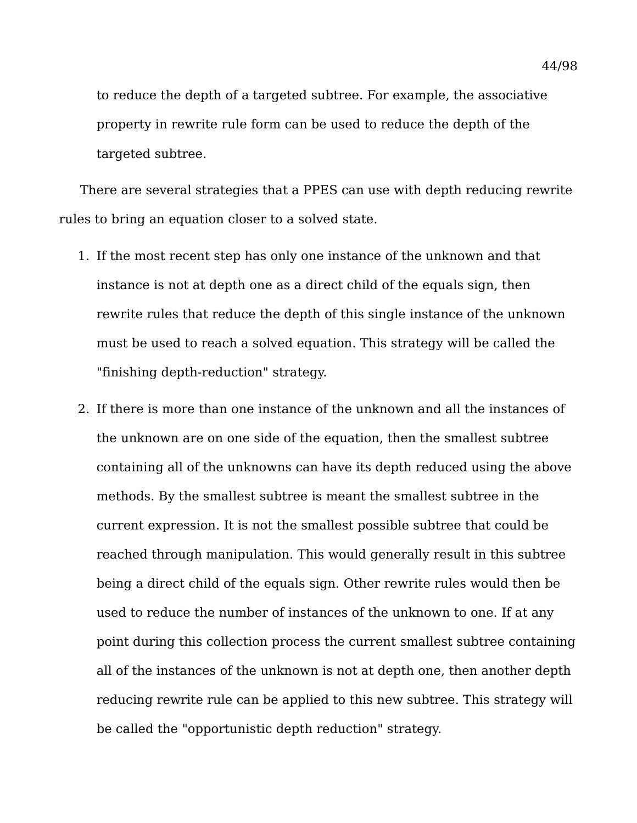to reduce the depth of a targeted subtree. For example, the associative property in rewrite rule form can be used to reduce the depth of the targeted subtree.

There are several strategies that a PPES can use with depth reducing rewrite rules to bring an equation closer to a solved state.

- 1. If the most recent step has only one instance of the unknown and that instance is not at depth one as a direct child of the equals sign, then rewrite rules that reduce the depth of this single instance of the unknown must be used to reach a solved equation. This strategy will be called the "finishing depth-reduction" strategy.
- 2. If there is more than one instance of the unknown and all the instances of the unknown are on one side of the equation, then the smallest subtree containing all of the unknowns can have its depth reduced using the above methods. By the smallest subtree is meant the smallest subtree in the current expression. It is not the smallest possible subtree that could be reached through manipulation. This would generally result in this subtree being a direct child of the equals sign. Other rewrite rules would then be used to reduce the number of instances of the unknown to one. If at any point during this collection process the current smallest subtree containing all of the instances of the unknown is not at depth one, then another depth reducing rewrite rule can be applied to this new subtree. This strategy will be called the "opportunistic depth reduction" strategy.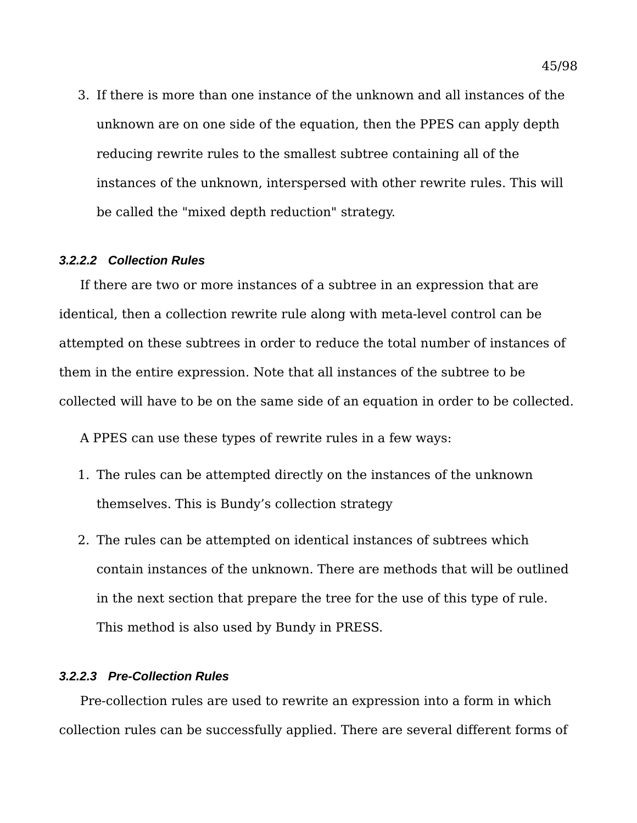3. If there is more than one instance of the unknown and all instances of the unknown are on one side of the equation, then the PPES can apply depth reducing rewrite rules to the smallest subtree containing all of the instances of the unknown, interspersed with other rewrite rules. This will be called the "mixed depth reduction" strategy.

#### *3.2.2.2 Collection Rules*

If there are two or more instances of a subtree in an expression that are identical, then a collection rewrite rule along with meta-level control can be attempted on these subtrees in order to reduce the total number of instances of them in the entire expression. Note that all instances of the subtree to be collected will have to be on the same side of an equation in order to be collected.

A PPES can use these types of rewrite rules in a few ways:

- 1. The rules can be attempted directly on the instances of the unknown themselves. This is Bundy's collection strategy
- 2. The rules can be attempted on identical instances of subtrees which contain instances of the unknown. There are methods that will be outlined in the next section that prepare the tree for the use of this type of rule. This method is also used by Bundy in PRESS.

### *3.2.2.3 Pre-Collection Rules*

Pre-collection rules are used to rewrite an expression into a form in which collection rules can be successfully applied. There are several different forms of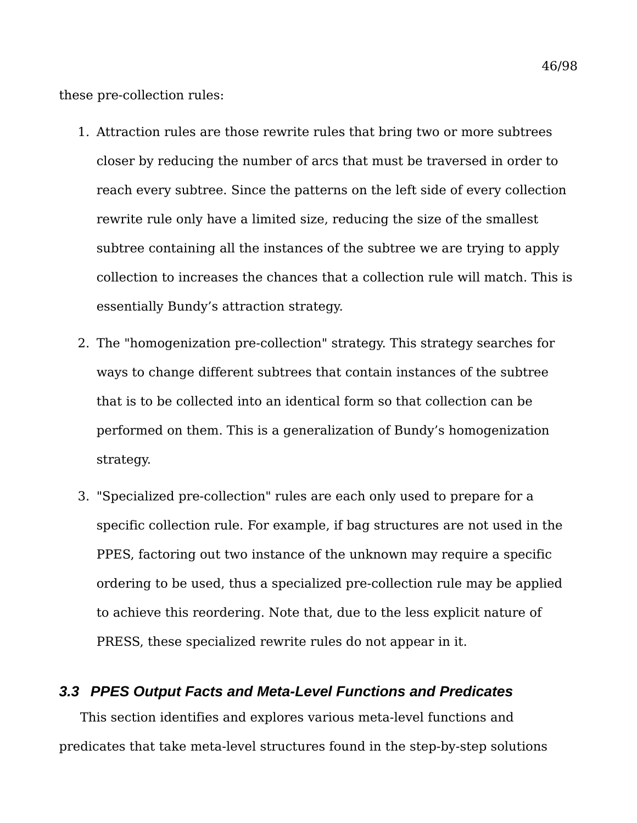these pre-collection rules:

- 1. Attraction rules are those rewrite rules that bring two or more subtrees closer by reducing the number of arcs that must be traversed in order to reach every subtree. Since the patterns on the left side of every collection rewrite rule only have a limited size, reducing the size of the smallest subtree containing all the instances of the subtree we are trying to apply collection to increases the chances that a collection rule will match. This is essentially Bundy's attraction strategy.
- 2. The "homogenization pre-collection" strategy. This strategy searches for ways to change different subtrees that contain instances of the subtree that is to be collected into an identical form so that collection can be performed on them. This is a generalization of Bundy's homogenization strategy.
- 3. "Specialized pre-collection" rules are each only used to prepare for a specific collection rule. For example, if bag structures are not used in the PPES, factoring out two instance of the unknown may require a specific ordering to be used, thus a specialized pre-collection rule may be applied to achieve this reordering. Note that, due to the less explicit nature of PRESS, these specialized rewrite rules do not appear in it.

## *3.3 PPES Output Facts and Meta-Level Functions and Predicates*

This section identifies and explores various meta-level functions and predicates that take meta-level structures found in the step-by-step solutions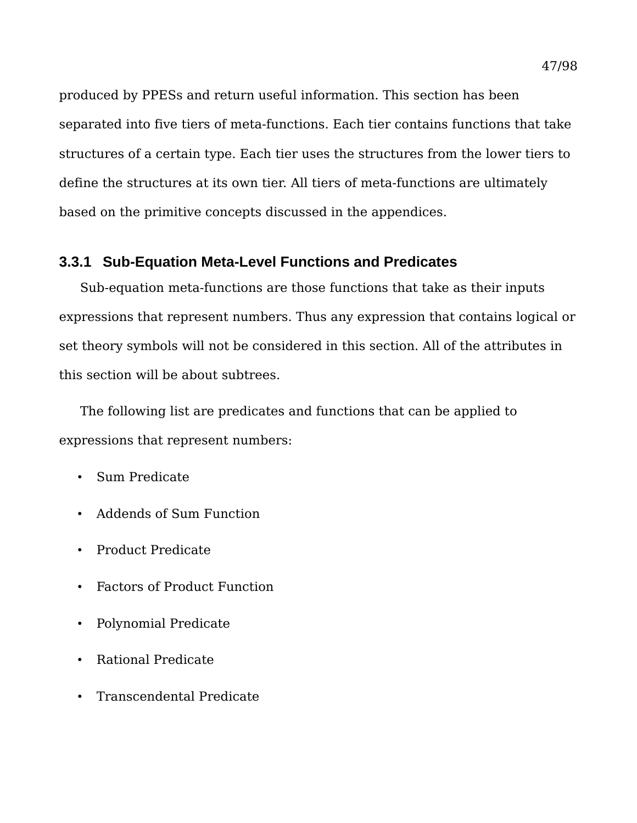produced by PPESs and return useful information. This section has been separated into five tiers of meta-functions. Each tier contains functions that take structures of a certain type. Each tier uses the structures from the lower tiers to define the structures at its own tier. All tiers of meta-functions are ultimately based on the primitive concepts discussed in the appendices.

# **3.3.1 Sub-Equation Meta-Level Functions and Predicates**

Sub-equation meta-functions are those functions that take as their inputs expressions that represent numbers. Thus any expression that contains logical or set theory symbols will not be considered in this section. All of the attributes in this section will be about subtrees.

The following list are predicates and functions that can be applied to expressions that represent numbers:

- Sum Predicate
- Addends of Sum Function
- Product Predicate
- Factors of Product Function
- Polynomial Predicate
- Rational Predicate
- Transcendental Predicate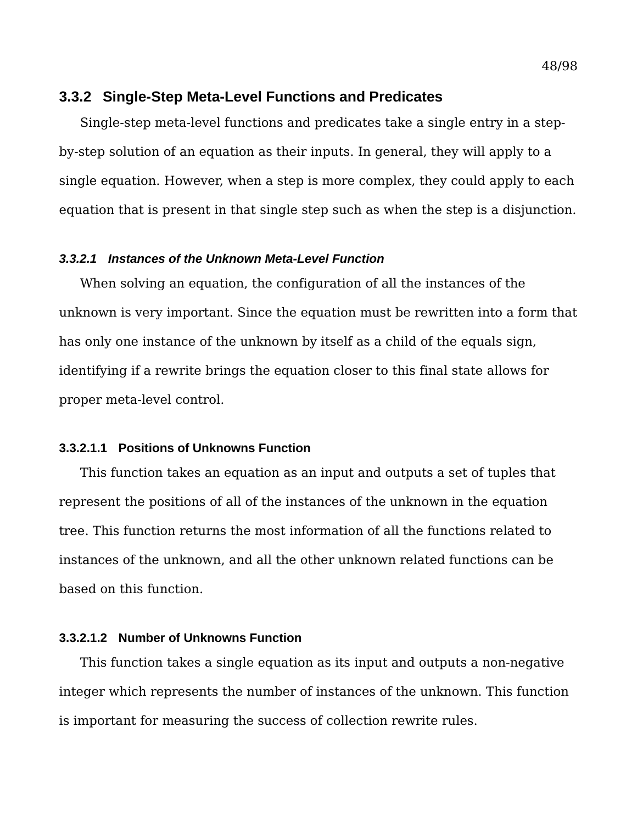## **3.3.2 Single-Step Meta-Level Functions and Predicates**

Single-step meta-level functions and predicates take a single entry in a stepby-step solution of an equation as their inputs. In general, they will apply to a single equation. However, when a step is more complex, they could apply to each equation that is present in that single step such as when the step is a disjunction.

### *3.3.2.1 Instances of the Unknown Meta-Level Function*

When solving an equation, the configuration of all the instances of the unknown is very important. Since the equation must be rewritten into a form that has only one instance of the unknown by itself as a child of the equals sign, identifying if a rewrite brings the equation closer to this final state allows for proper meta-level control.

#### **3.3.2.1.1 Positions of Unknowns Function**

This function takes an equation as an input and outputs a set of tuples that represent the positions of all of the instances of the unknown in the equation tree. This function returns the most information of all the functions related to instances of the unknown, and all the other unknown related functions can be based on this function.

#### **3.3.2.1.2 Number of Unknowns Function**

This function takes a single equation as its input and outputs a non-negative integer which represents the number of instances of the unknown. This function is important for measuring the success of collection rewrite rules.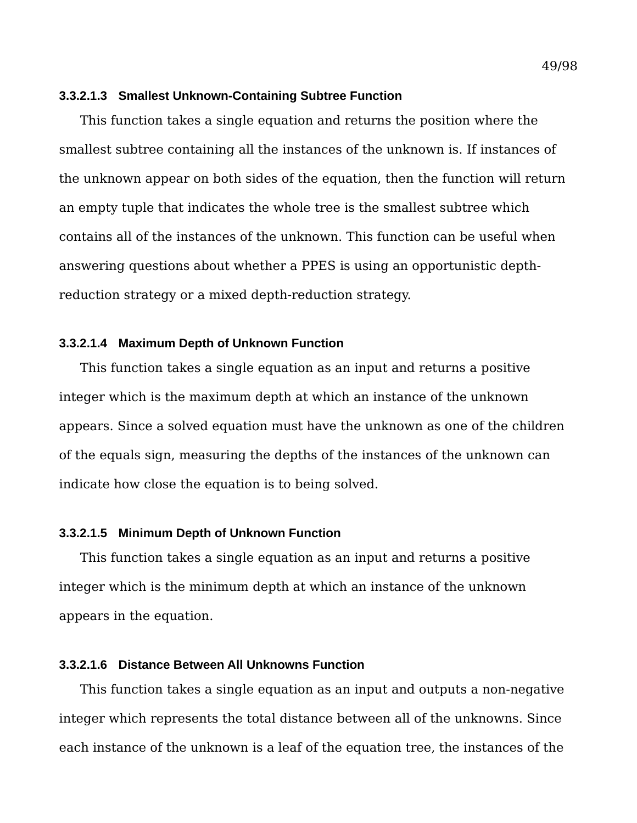#### **3.3.2.1.3 Smallest Unknown-Containing Subtree Function**

This function takes a single equation and returns the position where the smallest subtree containing all the instances of the unknown is. If instances of the unknown appear on both sides of the equation, then the function will return an empty tuple that indicates the whole tree is the smallest subtree which contains all of the instances of the unknown. This function can be useful when answering questions about whether a PPES is using an opportunistic depthreduction strategy or a mixed depth-reduction strategy.

#### **3.3.2.1.4 Maximum Depth of Unknown Function**

This function takes a single equation as an input and returns a positive integer which is the maximum depth at which an instance of the unknown appears. Since a solved equation must have the unknown as one of the children of the equals sign, measuring the depths of the instances of the unknown can indicate how close the equation is to being solved.

### **3.3.2.1.5 Minimum Depth of Unknown Function**

This function takes a single equation as an input and returns a positive integer which is the minimum depth at which an instance of the unknown appears in the equation.

## **3.3.2.1.6 Distance Between All Unknowns Function**

This function takes a single equation as an input and outputs a non-negative integer which represents the total distance between all of the unknowns. Since each instance of the unknown is a leaf of the equation tree, the instances of the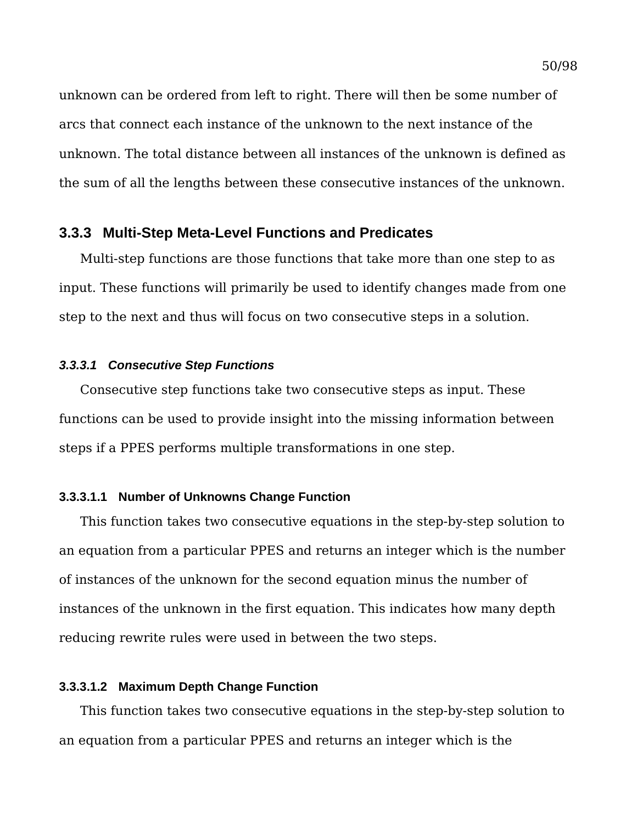unknown can be ordered from left to right. There will then be some number of arcs that connect each instance of the unknown to the next instance of the unknown. The total distance between all instances of the unknown is defined as the sum of all the lengths between these consecutive instances of the unknown.

### **3.3.3 Multi-Step Meta-Level Functions and Predicates**

Multi-step functions are those functions that take more than one step to as input. These functions will primarily be used to identify changes made from one step to the next and thus will focus on two consecutive steps in a solution.

#### *3.3.3.1 Consecutive Step Functions*

Consecutive step functions take two consecutive steps as input. These functions can be used to provide insight into the missing information between steps if a PPES performs multiple transformations in one step.

### **3.3.3.1.1 Number of Unknowns Change Function**

This function takes two consecutive equations in the step-by-step solution to an equation from a particular PPES and returns an integer which is the number of instances of the unknown for the second equation minus the number of instances of the unknown in the first equation. This indicates how many depth reducing rewrite rules were used in between the two steps.

### **3.3.3.1.2 Maximum Depth Change Function**

This function takes two consecutive equations in the step-by-step solution to an equation from a particular PPES and returns an integer which is the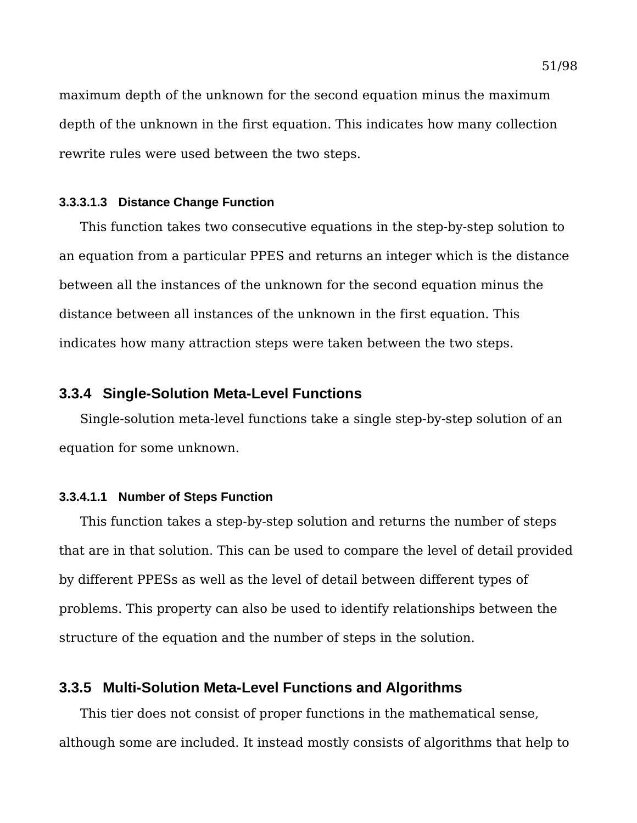maximum depth of the unknown for the second equation minus the maximum depth of the unknown in the first equation. This indicates how many collection rewrite rules were used between the two steps.

#### **3.3.3.1.3 Distance Change Function**

This function takes two consecutive equations in the step-by-step solution to an equation from a particular PPES and returns an integer which is the distance between all the instances of the unknown for the second equation minus the distance between all instances of the unknown in the first equation. This indicates how many attraction steps were taken between the two steps.

## **3.3.4 Single-Solution Meta-Level Functions**

Single-solution meta-level functions take a single step-by-step solution of an equation for some unknown.

#### **3.3.4.1.1 Number of Steps Function**

This function takes a step-by-step solution and returns the number of steps that are in that solution. This can be used to compare the level of detail provided by different PPESs as well as the level of detail between different types of problems. This property can also be used to identify relationships between the structure of the equation and the number of steps in the solution.

# **3.3.5 Multi-Solution Meta-Level Functions and Algorithms**

This tier does not consist of proper functions in the mathematical sense, although some are included. It instead mostly consists of algorithms that help to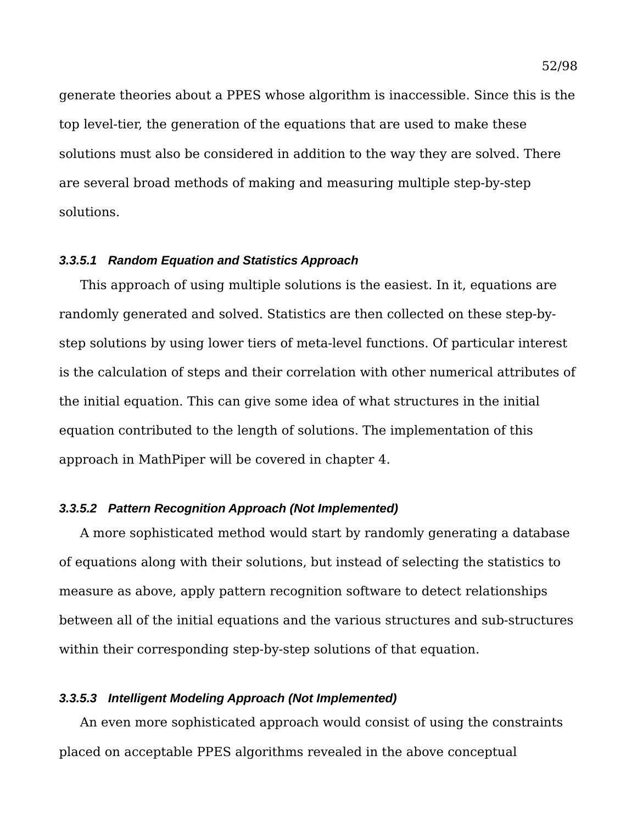generate theories about a PPES whose algorithm is inaccessible. Since this is the top level-tier, the generation of the equations that are used to make these solutions must also be considered in addition to the way they are solved. There are several broad methods of making and measuring multiple step-by-step solutions.

#### *3.3.5.1 Random Equation and Statistics Approach*

This approach of using multiple solutions is the easiest. In it, equations are randomly generated and solved. Statistics are then collected on these step-bystep solutions by using lower tiers of meta-level functions. Of particular interest is the calculation of steps and their correlation with other numerical attributes of the initial equation. This can give some idea of what structures in the initial equation contributed to the length of solutions. The implementation of this approach in MathPiper will be covered in chapter [4.](#page-54-0)

### *3.3.5.2 Pattern Recognition Approach (Not Implemented)*

A more sophisticated method would start by randomly generating a database of equations along with their solutions, but instead of selecting the statistics to measure as above, apply pattern recognition software to detect relationships between all of the initial equations and the various structures and sub-structures within their corresponding step-by-step solutions of that equation.

### *3.3.5.3 Intelligent Modeling Approach (Not Implemented)*

An even more sophisticated approach would consist of using the constraints placed on acceptable PPES algorithms revealed in the above conceptual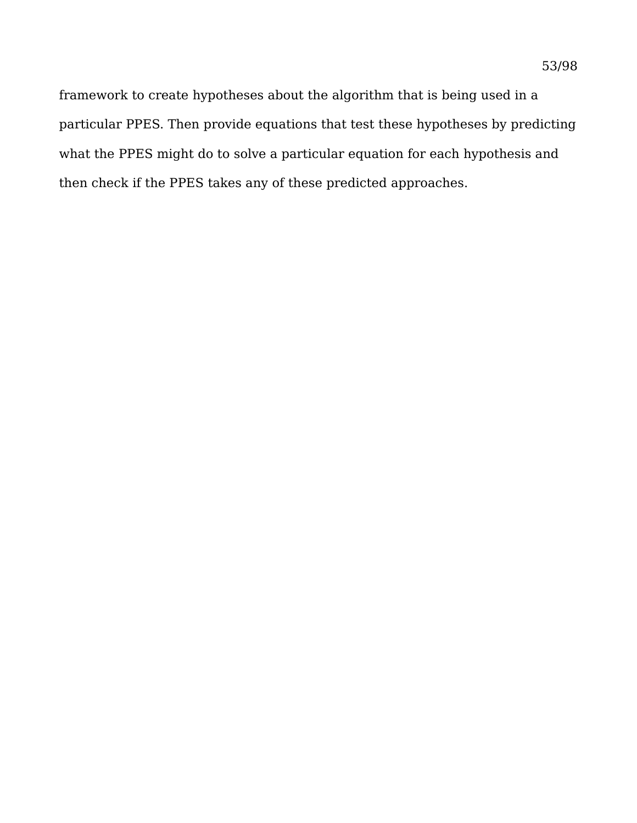framework to create hypotheses about the algorithm that is being used in a particular PPES. Then provide equations that test these hypotheses by predicting what the PPES might do to solve a particular equation for each hypothesis and then check if the PPES takes any of these predicted approaches.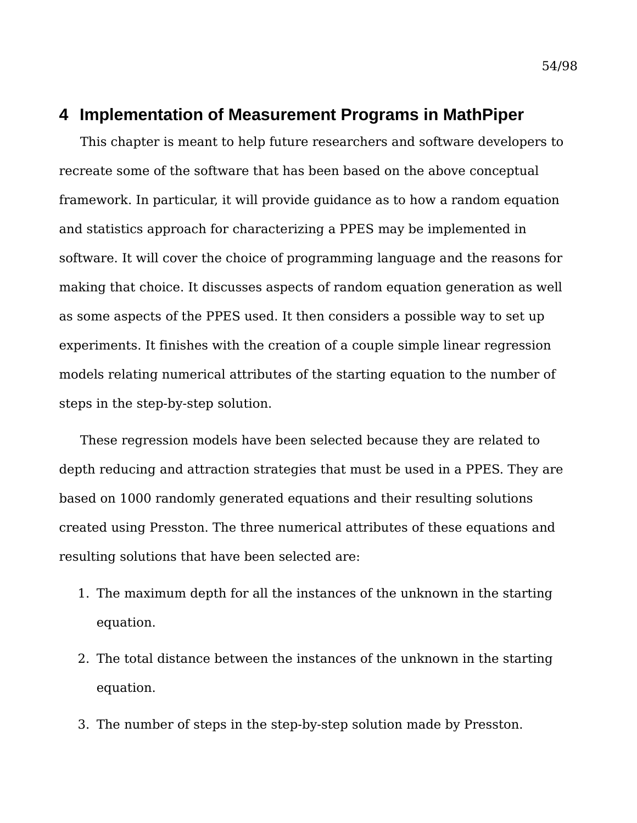# <span id="page-54-0"></span>**4 Implementation of Measurement Programs in MathPiper**

This chapter is meant to help future researchers and software developers to recreate some of the software that has been based on the above conceptual framework. In particular, it will provide guidance as to how a random equation and statistics approach for characterizing a PPES may be implemented in software. It will cover the choice of programming language and the reasons for making that choice. It discusses aspects of random equation generation as well as some aspects of the PPES used. It then considers a possible way to set up experiments. It finishes with the creation of a couple simple linear regression models relating numerical attributes of the starting equation to the number of steps in the step-by-step solution.

These regression models have been selected because they are related to depth reducing and attraction strategies that must be used in a PPES. They are based on 1000 randomly generated equations and their resulting solutions created using Presston. The three numerical attributes of these equations and resulting solutions that have been selected are:

- 1. The maximum depth for all the instances of the unknown in the starting equation.
- 2. The total distance between the instances of the unknown in the starting equation.
- 3. The number of steps in the step-by-step solution made by Presston.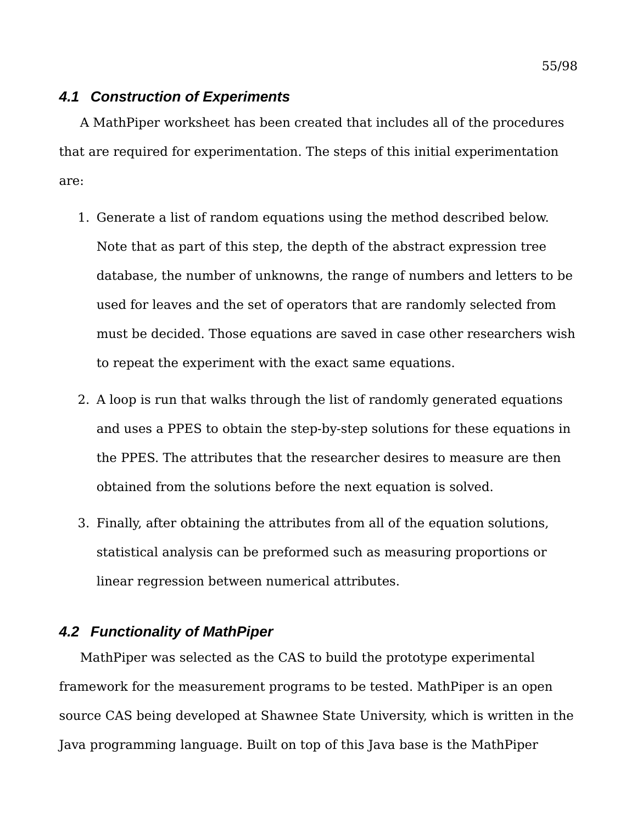## *4.1 Construction of Experiments*

A MathPiper worksheet has been created that includes all of the procedures that are required for experimentation. The steps of this initial experimentation are:

- 1. Generate a list of random equations using the method described below. Note that as part of this step, the depth of the abstract expression tree database, the number of unknowns, the range of numbers and letters to be used for leaves and the set of operators that are randomly selected from must be decided. Those equations are saved in case other researchers wish to repeat the experiment with the exact same equations.
- 2. A loop is run that walks through the list of randomly generated equations and uses a PPES to obtain the step-by-step solutions for these equations in the PPES. The attributes that the researcher desires to measure are then obtained from the solutions before the next equation is solved.
- 3. Finally, after obtaining the attributes from all of the equation solutions, statistical analysis can be preformed such as measuring proportions or linear regression between numerical attributes.

# *4.2 Functionality of MathPiper*

MathPiper was selected as the CAS to build the prototype experimental framework for the measurement programs to be tested. MathPiper is an open source CAS being developed at Shawnee State University, which is written in the Java programming language. Built on top of this Java base is the MathPiper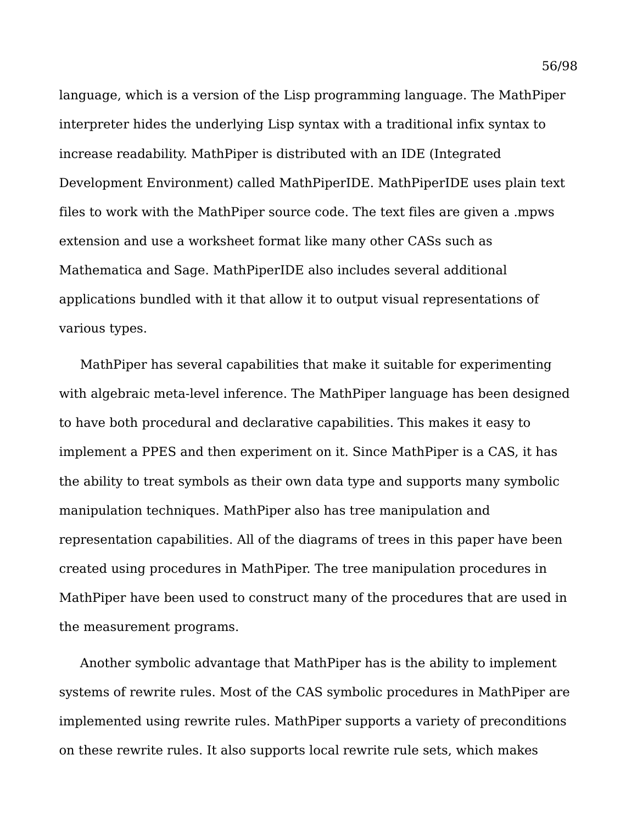language, which is a version of the Lisp programming language. The MathPiper interpreter hides the underlying Lisp syntax with a traditional infix syntax to increase readability. MathPiper is distributed with an IDE (Integrated Development Environment) called MathPiperIDE. MathPiperIDE uses plain text files to work with the MathPiper source code. The text files are given a .mpws extension and use a worksheet format like many other CASs such as Mathematica and Sage. MathPiperIDE also includes several additional applications bundled with it that allow it to output visual representations of various types.

MathPiper has several capabilities that make it suitable for experimenting with algebraic meta-level inference. The MathPiper language has been designed to have both procedural and declarative capabilities. This makes it easy to implement a PPES and then experiment on it. Since MathPiper is a CAS, it has the ability to treat symbols as their own data type and supports many symbolic manipulation techniques. MathPiper also has tree manipulation and representation capabilities. All of the diagrams of trees in this paper have been created using procedures in MathPiper. The tree manipulation procedures in MathPiper have been used to construct many of the procedures that are used in the measurement programs.

Another symbolic advantage that MathPiper has is the ability to implement systems of rewrite rules. Most of the CAS symbolic procedures in MathPiper are implemented using rewrite rules. MathPiper supports a variety of preconditions on these rewrite rules. It also supports local rewrite rule sets, which makes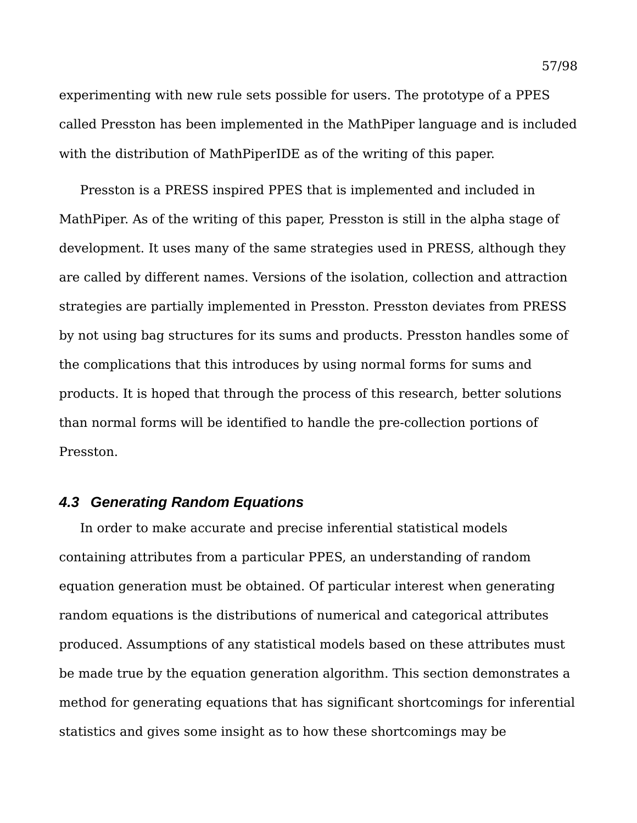experimenting with new rule sets possible for users. The prototype of a PPES called Presston has been implemented in the MathPiper language and is included with the distribution of MathPiperIDE as of the writing of this paper.

Presston is a PRESS inspired PPES that is implemented and included in MathPiper. As of the writing of this paper, Presston is still in the alpha stage of development. It uses many of the same strategies used in PRESS, although they are called by different names. Versions of the isolation, collection and attraction strategies are partially implemented in Presston. Presston deviates from PRESS by not using bag structures for its sums and products. Presston handles some of the complications that this introduces by using normal forms for sums and products. It is hoped that through the process of this research, better solutions than normal forms will be identified to handle the pre-collection portions of Presston.

## *4.3 Generating Random Equations*

In order to make accurate and precise inferential statistical models containing attributes from a particular PPES, an understanding of random equation generation must be obtained. Of particular interest when generating random equations is the distributions of numerical and categorical attributes produced. Assumptions of any statistical models based on these attributes must be made true by the equation generation algorithm. This section demonstrates a method for generating equations that has significant shortcomings for inferential statistics and gives some insight as to how these shortcomings may be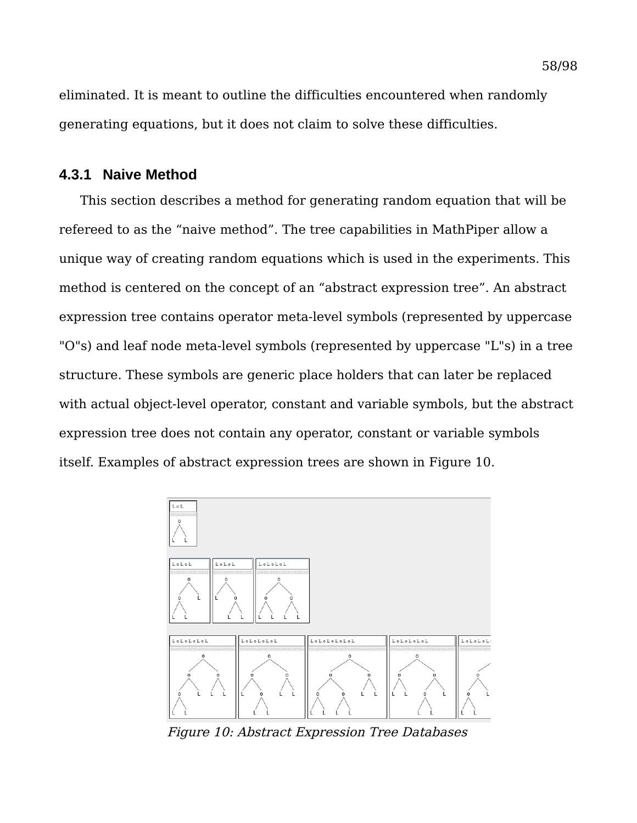eliminated. It is meant to outline the difficulties encountered when randomly generating equations, but it does not claim to solve these difficulties.

# **4.3.1 Naive Method**

This section describes a method for generating random equation that will be refereed to as the "naive method". The tree capabilities in MathPiper allow a unique way of creating random equations which is used in the experiments. This method is centered on the concept of an "abstract expression tree". An abstract expression tree contains operator meta-level symbols (represented by uppercase "O"s) and leaf node meta-level symbols (represented by uppercase "L"s) in a tree structure. These symbols are generic place holders that can later be replaced with actual object-level operator, constant and variable symbols, but the abstract expression tree does not contain any operator, constant or variable symbols itself. Examples of abstract expression trees are shown in [Figure 10.](#page-58-0)



<span id="page-58-0"></span>Figure 10: Abstract Expression Tree Databases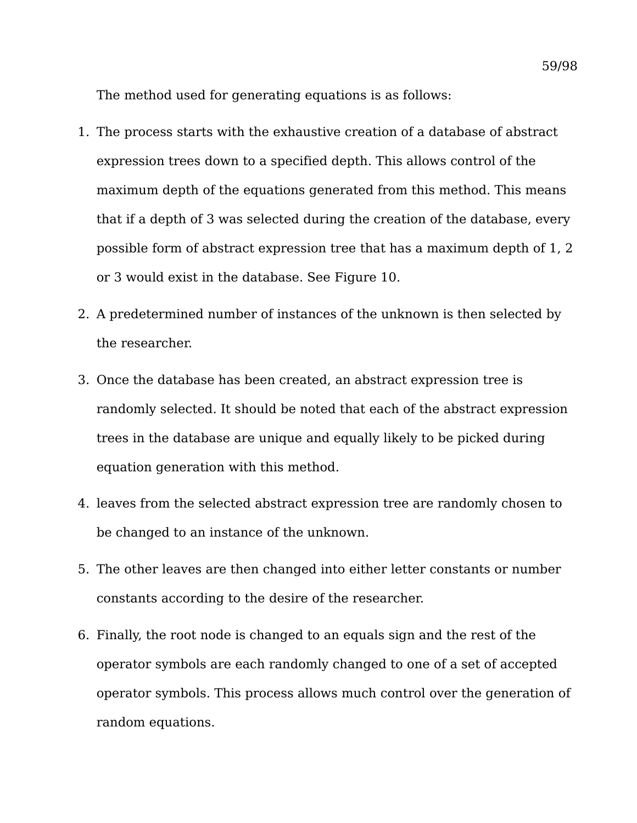The method used for generating equations is as follows:

- 1. The process starts with the exhaustive creation of a database of abstract expression trees down to a specified depth. This allows control of the maximum depth of the equations generated from this method. This means that if a depth of 3 was selected during the creation of the database, every possible form of abstract expression tree that has a maximum depth of 1, 2 or 3 would exist in the database. See [Figure 10.](#page-58-0)
- 2. A predetermined number of instances of the unknown is then selected by the researcher.
- 3. Once the database has been created, an abstract expression tree is randomly selected. It should be noted that each of the abstract expression trees in the database are unique and equally likely to be picked during equation generation with this method.
- 4. leaves from the selected abstract expression tree are randomly chosen to be changed to an instance of the unknown.
- 5. The other leaves are then changed into either letter constants or number constants according to the desire of the researcher.
- 6. Finally, the root node is changed to an equals sign and the rest of the operator symbols are each randomly changed to one of a set of accepted operator symbols. This process allows much control over the generation of random equations.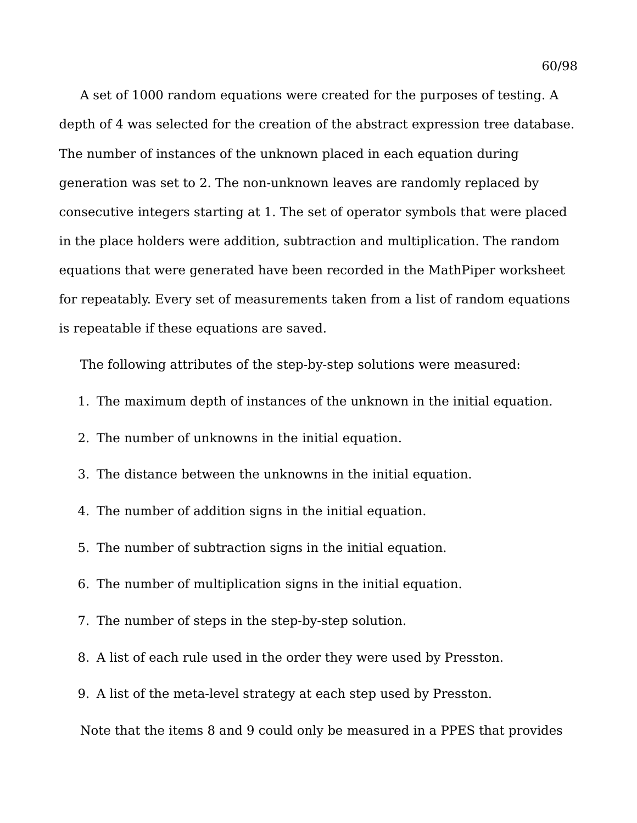A set of 1000 random equations were created for the purposes of testing. A depth of 4 was selected for the creation of the abstract expression tree database. The number of instances of the unknown placed in each equation during generation was set to 2. The non-unknown leaves are randomly replaced by consecutive integers starting at 1. The set of operator symbols that were placed in the place holders were addition, subtraction and multiplication. The random equations that were generated have been recorded in the MathPiper worksheet for repeatably. Every set of measurements taken from a list of random equations is repeatable if these equations are saved.

The following attributes of the step-by-step solutions were measured:

- 1. The maximum depth of instances of the unknown in the initial equation.
- 2. The number of unknowns in the initial equation.
- 3. The distance between the unknowns in the initial equation.
- 4. The number of addition signs in the initial equation.
- 5. The number of subtraction signs in the initial equation.
- 6. The number of multiplication signs in the initial equation.
- 7. The number of steps in the step-by-step solution.
- 8. A list of each rule used in the order they were used by Presston.
- 9. A list of the meta-level strategy at each step used by Presston.

Note that the items 8 and 9 could only be measured in a PPES that provides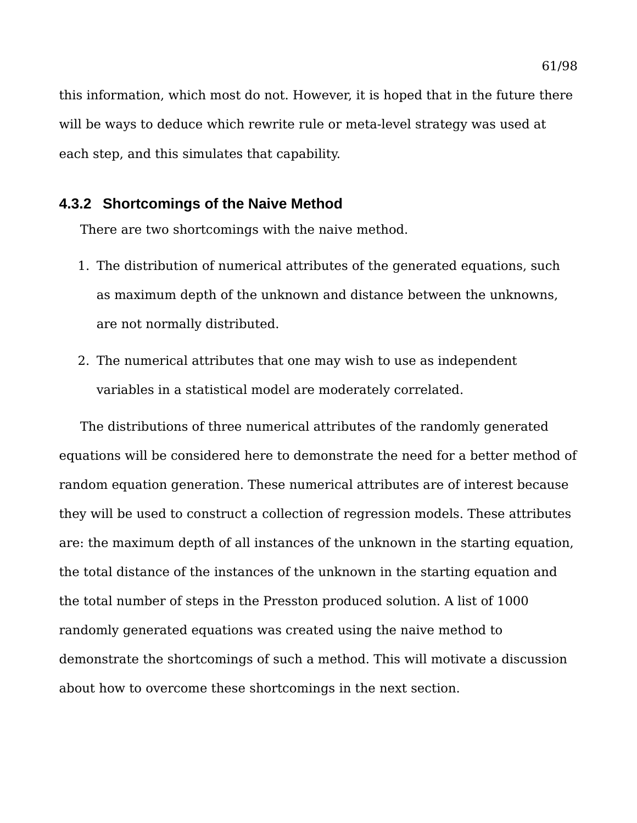this information, which most do not. However, it is hoped that in the future there will be ways to deduce which rewrite rule or meta-level strategy was used at each step, and this simulates that capability.

### **4.3.2 Shortcomings of the Naive Method**

There are two shortcomings with the naive method.

- 1. The distribution of numerical attributes of the generated equations, such as maximum depth of the unknown and distance between the unknowns, are not normally distributed.
- 2. The numerical attributes that one may wish to use as independent variables in a statistical model are moderately correlated.

The distributions of three numerical attributes of the randomly generated equations will be considered here to demonstrate the need for a better method of random equation generation. These numerical attributes are of interest because they will be used to construct a collection of regression models. These attributes are: the maximum depth of all instances of the unknown in the starting equation, the total distance of the instances of the unknown in the starting equation and the total number of steps in the Presston produced solution. A list of 1000 randomly generated equations was created using the naive method to demonstrate the shortcomings of such a method. This will motivate a discussion about how to overcome these shortcomings in the next section.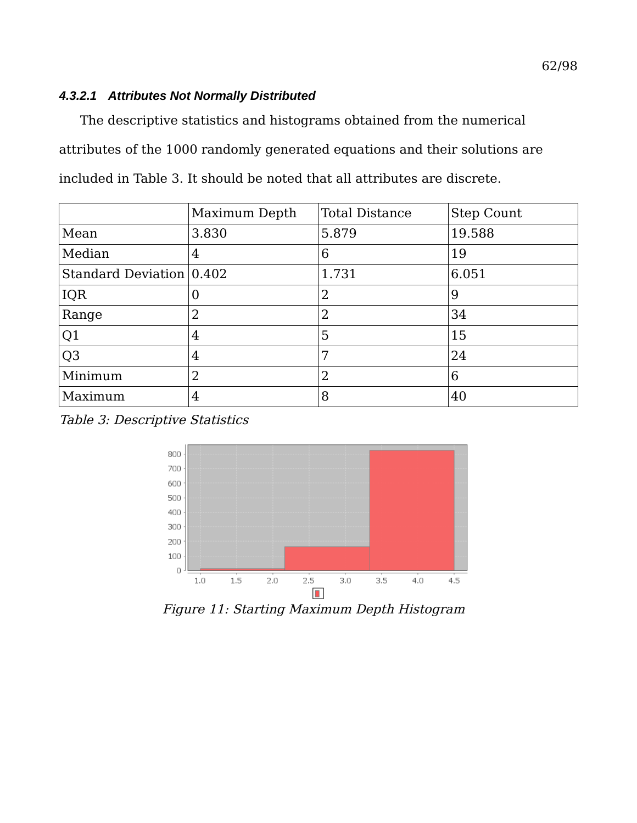## *4.3.2.1 Attributes Not Normally Distributed*

The descriptive statistics and histograms obtained from the numerical attributes of the 1000 randomly generated equations and their solutions are included in [Table 3.](#page-62-0) It should be noted that all attributes are discrete.

|                          | Maximum Depth | <b>Total Distance</b> | <b>Step Count</b> |
|--------------------------|---------------|-----------------------|-------------------|
| Mean                     | 3.830         | 5.879                 | 19.588            |
| Median                   | 4             | 6                     | 19                |
| Standard Deviation 0.402 |               | 1.731                 | 6.051             |
| IQR                      | 0             | $\overline{2}$        | 9                 |
| Range                    | 2             | $\overline{2}$        | 34                |
| Q1                       | 4             | 5                     | 15                |
| Q <sub>3</sub>           | 4             | 7                     | 24                |
| Minimum                  | 2             | $\overline{2}$        | 6                 |
| Maximum                  | 4             | 8                     | 40                |

<span id="page-62-0"></span>Table 3: Descriptive Statistics



<span id="page-62-1"></span>Figure 11: Starting Maximum Depth Histogram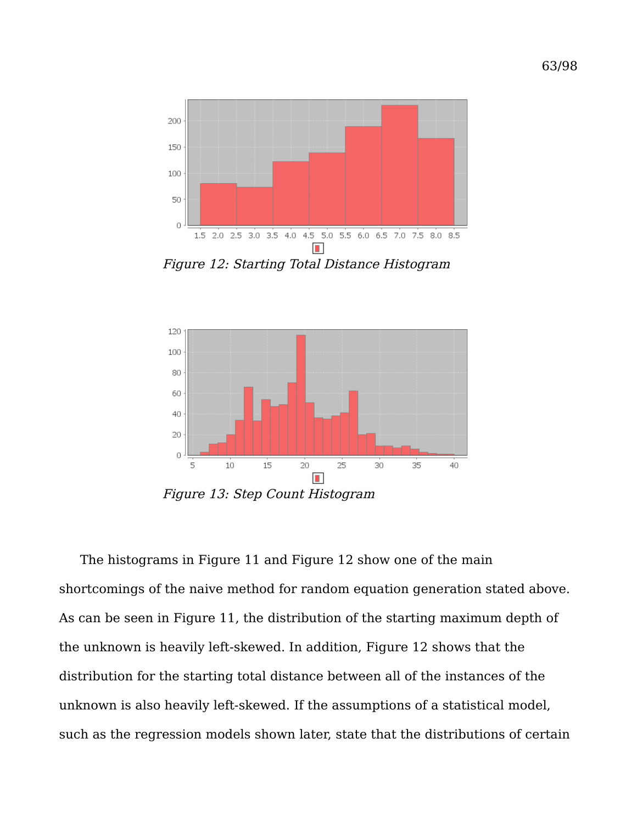

<span id="page-63-0"></span>Figure 12: Starting Total Distance Histogram



The histograms in [Figure 11](#page-62-1) and [Figure 12](#page-63-0) show one of the main shortcomings of the naive method for random equation generation stated above. As can be seen in [Figure 11,](#page-62-1) the distribution of the starting maximum depth of the unknown is heavily left-skewed. In addition, [Figure 12](#page-63-0) shows that the distribution for the starting total distance between all of the instances of the unknown is also heavily left-skewed. If the assumptions of a statistical model, such as the regression models shown later, state that the distributions of certain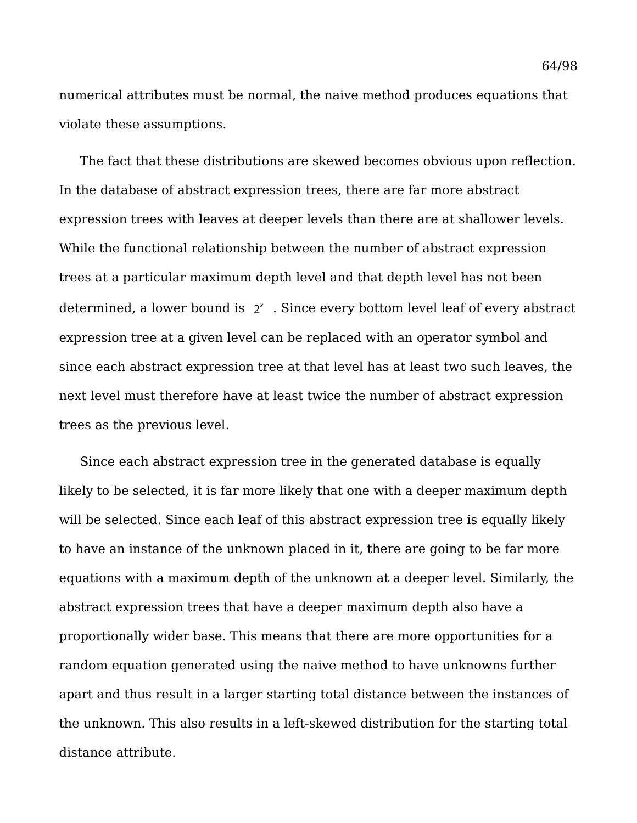numerical attributes must be normal, the naive method produces equations that violate these assumptions.

The fact that these distributions are skewed becomes obvious upon reflection. In the database of abstract expression trees, there are far more abstract expression trees with leaves at deeper levels than there are at shallower levels. While the functional relationship between the number of abstract expression trees at a particular maximum depth level and that depth level has not been determined, a lower bound is 2 *x* . Since every bottom level leaf of every abstract expression tree at a given level can be replaced with an operator symbol and since each abstract expression tree at that level has at least two such leaves, the next level must therefore have at least twice the number of abstract expression trees as the previous level.

Since each abstract expression tree in the generated database is equally likely to be selected, it is far more likely that one with a deeper maximum depth will be selected. Since each leaf of this abstract expression tree is equally likely to have an instance of the unknown placed in it, there are going to be far more equations with a maximum depth of the unknown at a deeper level. Similarly, the abstract expression trees that have a deeper maximum depth also have a proportionally wider base. This means that there are more opportunities for a random equation generated using the naive method to have unknowns further apart and thus result in a larger starting total distance between the instances of the unknown. This also results in a left-skewed distribution for the starting total distance attribute.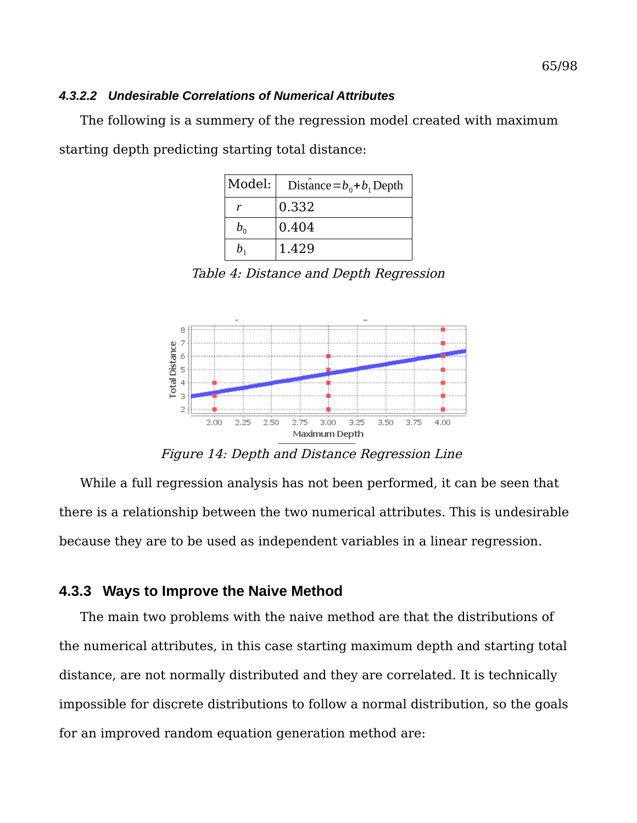#### *4.3.2.2 Undesirable Correlations of Numerical Attributes*

The following is a summery of the regression model created with maximum starting depth predicting starting total distance:

| Model:  | Distance $=b_0 + b_1$ Depth |
|---------|-----------------------------|
| r       | 0.332                       |
| $b_0$   | 0.404                       |
| $h_{1}$ | 1.429                       |

<span id="page-65-0"></span>Table 4: Distance and Depth Regression



Figure 14: Depth and Distance Regression Line

While a full regression analysis has not been performed, it can be seen that there is a relationship between the two numerical attributes. This is undesirable because they are to be used as independent variables in a linear regression.

## **4.3.3 Ways to Improve the Naive Method**

The main two problems with the naive method are that the distributions of the numerical attributes, in this case starting maximum depth and starting total distance, are not normally distributed and they are correlated. It is technically impossible for discrete distributions to follow a normal distribution, so the goals for an improved random equation generation method are: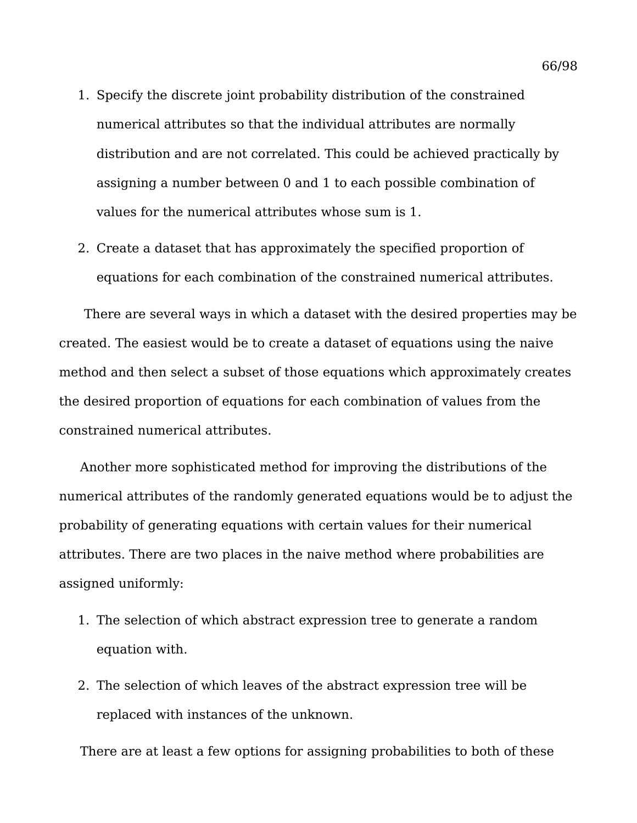- 1. Specify the discrete joint probability distribution of the constrained numerical attributes so that the individual attributes are normally distribution and are not correlated. This could be achieved practically by assigning a number between 0 and 1 to each possible combination of values for the numerical attributes whose sum is 1.
- 2. Create a dataset that has approximately the specified proportion of equations for each combination of the constrained numerical attributes.

 There are several ways in which a dataset with the desired properties may be created. The easiest would be to create a dataset of equations using the naive method and then select a subset of those equations which approximately creates the desired proportion of equations for each combination of values from the constrained numerical attributes.

Another more sophisticated method for improving the distributions of the numerical attributes of the randomly generated equations would be to adjust the probability of generating equations with certain values for their numerical attributes. There are two places in the naive method where probabilities are assigned uniformly:

- 1. The selection of which abstract expression tree to generate a random equation with.
- 2. The selection of which leaves of the abstract expression tree will be replaced with instances of the unknown.

There are at least a few options for assigning probabilities to both of these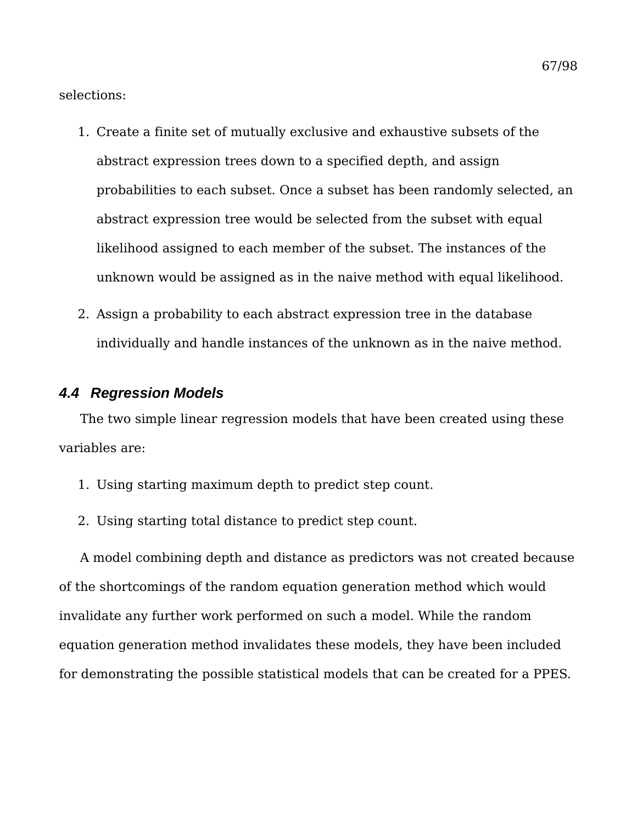selections:

- 1. Create a finite set of mutually exclusive and exhaustive subsets of the abstract expression trees down to a specified depth, and assign probabilities to each subset. Once a subset has been randomly selected, an abstract expression tree would be selected from the subset with equal likelihood assigned to each member of the subset. The instances of the unknown would be assigned as in the naive method with equal likelihood.
- 2. Assign a probability to each abstract expression tree in the database individually and handle instances of the unknown as in the naive method.

### *4.4 Regression Models*

The two simple linear regression models that have been created using these variables are:

- 1. Using starting maximum depth to predict step count.
- 2. Using starting total distance to predict step count.

A model combining depth and distance as predictors was not created because of the shortcomings of the random equation generation method which would invalidate any further work performed on such a model. While the random equation generation method invalidates these models, they have been included for demonstrating the possible statistical models that can be created for a PPES.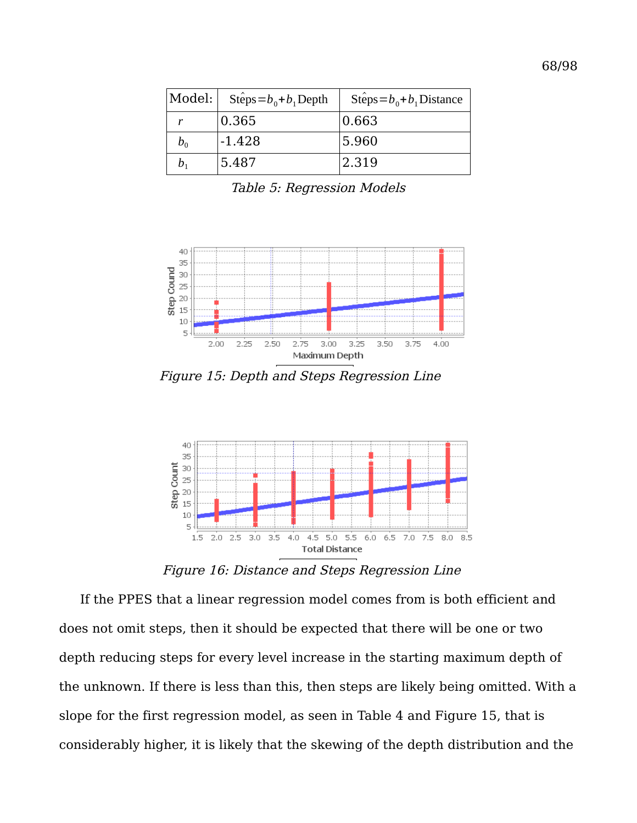| Model:  | Steps= $b_0 + b_1$ Depth | Steps= $b_0 + b_1$ Distance |
|---------|--------------------------|-----------------------------|
|         | 0.365                    | 0.663                       |
| $b_0$   | $-1.428$                 | 5.960                       |
| $b_{1}$ | 5.487                    | 2.319                       |

Table 5: Regression Models



<span id="page-68-0"></span>Figure 15: Depth and Steps Regression Line



<span id="page-68-1"></span>Figure 16: Distance and Steps Regression Line

If the PPES that a linear regression model comes from is both efficient and does not omit steps, then it should be expected that there will be one or two depth reducing steps for every level increase in the starting maximum depth of the unknown. If there is less than this, then steps are likely being omitted. With a slope for the first regression model, as seen in [Table 4](#page-65-0) and [Figure 15,](#page-68-0) that is considerably higher, it is likely that the skewing of the depth distribution and the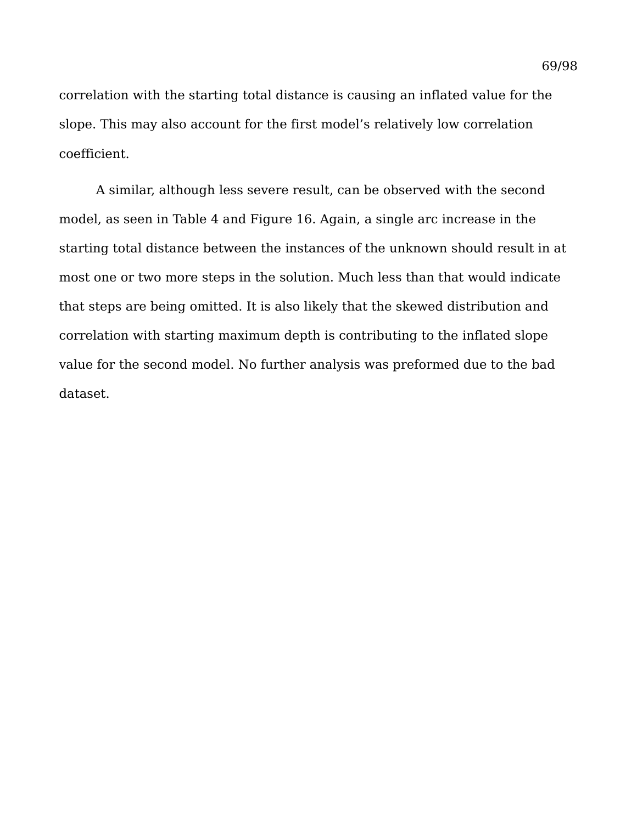correlation with the starting total distance is causing an inflated value for the slope. This may also account for the first model's relatively low correlation coefficient.

A similar, although less severe result, can be observed with the second model, as seen in [Table 4](#page-65-0) and [Figure 16.](#page-68-1) Again, a single arc increase in the starting total distance between the instances of the unknown should result in at most one or two more steps in the solution. Much less than that would indicate that steps are being omitted. It is also likely that the skewed distribution and correlation with starting maximum depth is contributing to the inflated slope value for the second model. No further analysis was preformed due to the bad dataset.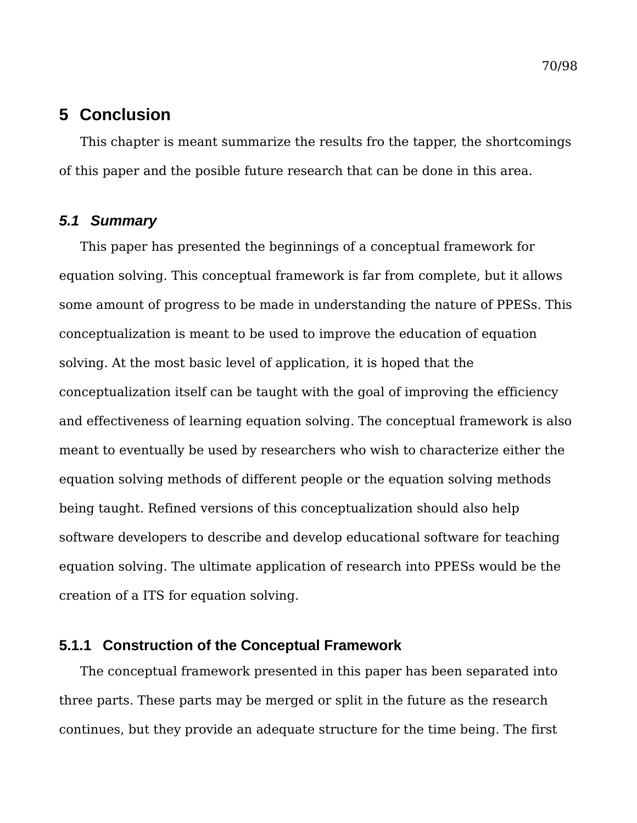# **5 Conclusion**

This chapter is meant summarize the results fro the tapper, the shortcomings of this paper and the posible future research that can be done in this area.

## *5.1 Summary*

This paper has presented the beginnings of a conceptual framework for equation solving. This conceptual framework is far from complete, but it allows some amount of progress to be made in understanding the nature of PPESs. This conceptualization is meant to be used to improve the education of equation solving. At the most basic level of application, it is hoped that the conceptualization itself can be taught with the goal of improving the efficiency and effectiveness of learning equation solving. The conceptual framework is also meant to eventually be used by researchers who wish to characterize either the equation solving methods of different people or the equation solving methods being taught. Refined versions of this conceptualization should also help software developers to describe and develop educational software for teaching equation solving. The ultimate application of research into PPESs would be the creation of a ITS for equation solving.

# **5.1.1 Construction of the Conceptual Framework**

The conceptual framework presented in this paper has been separated into three parts. These parts may be merged or split in the future as the research continues, but they provide an adequate structure for the time being. The first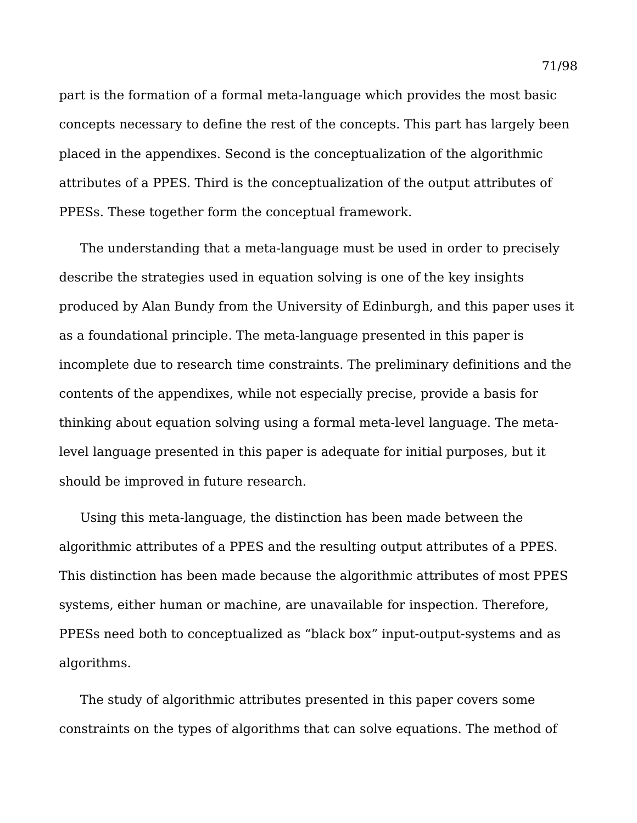part is the formation of a formal meta-language which provides the most basic concepts necessary to define the rest of the concepts. This part has largely been placed in the appendixes. Second is the conceptualization of the algorithmic attributes of a PPES. Third is the conceptualization of the output attributes of PPESs. These together form the conceptual framework.

The understanding that a meta-language must be used in order to precisely describe the strategies used in equation solving is one of the key insights produced by Alan Bundy from the University of Edinburgh, and this paper uses it as a foundational principle. The meta-language presented in this paper is incomplete due to research time constraints. The preliminary definitions and the contents of the appendixes, while not especially precise, provide a basis for thinking about equation solving using a formal meta-level language. The metalevel language presented in this paper is adequate for initial purposes, but it should be improved in future research.

Using this meta-language, the distinction has been made between the algorithmic attributes of a PPES and the resulting output attributes of a PPES. This distinction has been made because the algorithmic attributes of most PPES systems, either human or machine, are unavailable for inspection. Therefore, PPESs need both to conceptualized as "black box" input-output-systems and as algorithms.

The study of algorithmic attributes presented in this paper covers some constraints on the types of algorithms that can solve equations. The method of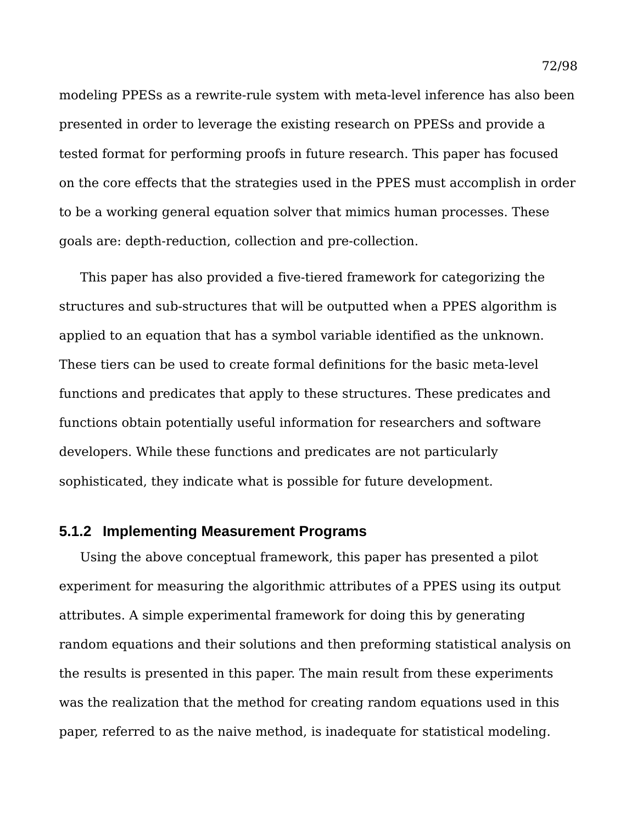modeling PPESs as a rewrite-rule system with meta-level inference has also been presented in order to leverage the existing research on PPESs and provide a tested format for performing proofs in future research. This paper has focused on the core effects that the strategies used in the PPES must accomplish in order to be a working general equation solver that mimics human processes. These goals are: depth-reduction, collection and pre-collection.

This paper has also provided a five-tiered framework for categorizing the structures and sub-structures that will be outputted when a PPES algorithm is applied to an equation that has a symbol variable identified as the unknown. These tiers can be used to create formal definitions for the basic meta-level functions and predicates that apply to these structures. These predicates and functions obtain potentially useful information for researchers and software developers. While these functions and predicates are not particularly sophisticated, they indicate what is possible for future development.

## **5.1.2 Implementing Measurement Programs**

Using the above conceptual framework, this paper has presented a pilot experiment for measuring the algorithmic attributes of a PPES using its output attributes. A simple experimental framework for doing this by generating random equations and their solutions and then preforming statistical analysis on the results is presented in this paper. The main result from these experiments was the realization that the method for creating random equations used in this paper, referred to as the naive method, is inadequate for statistical modeling.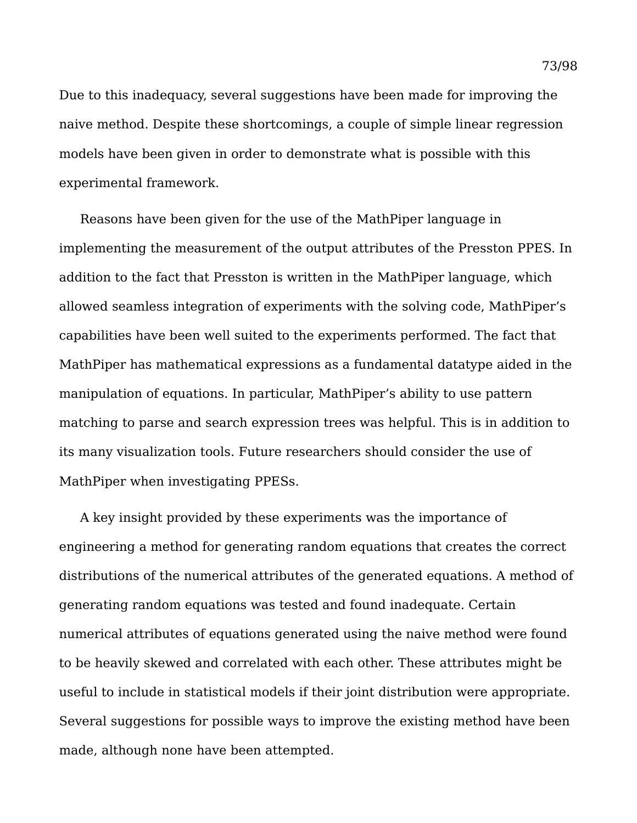Due to this inadequacy, several suggestions have been made for improving the naive method. Despite these shortcomings, a couple of simple linear regression models have been given in order to demonstrate what is possible with this experimental framework.

Reasons have been given for the use of the MathPiper language in implementing the measurement of the output attributes of the Presston PPES. In addition to the fact that Presston is written in the MathPiper language, which allowed seamless integration of experiments with the solving code, MathPiper's capabilities have been well suited to the experiments performed. The fact that MathPiper has mathematical expressions as a fundamental datatype aided in the manipulation of equations. In particular, MathPiper's ability to use pattern matching to parse and search expression trees was helpful. This is in addition to its many visualization tools. Future researchers should consider the use of MathPiper when investigating PPESs.

A key insight provided by these experiments was the importance of engineering a method for generating random equations that creates the correct distributions of the numerical attributes of the generated equations. A method of generating random equations was tested and found inadequate. Certain numerical attributes of equations generated using the naive method were found to be heavily skewed and correlated with each other. These attributes might be useful to include in statistical models if their joint distribution were appropriate. Several suggestions for possible ways to improve the existing method have been made, although none have been attempted.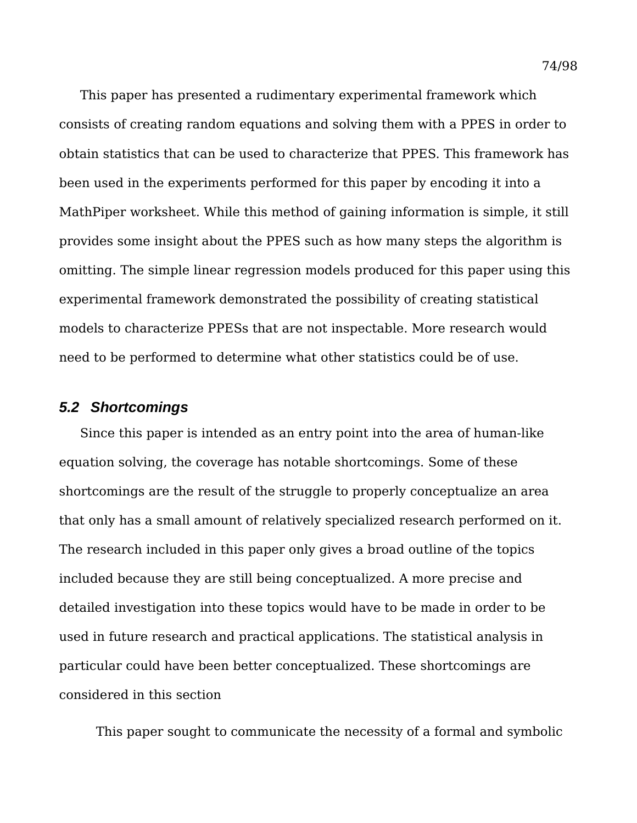This paper has presented a rudimentary experimental framework which consists of creating random equations and solving them with a PPES in order to obtain statistics that can be used to characterize that PPES. This framework has been used in the experiments performed for this paper by encoding it into a MathPiper worksheet. While this method of gaining information is simple, it still provides some insight about the PPES such as how many steps the algorithm is omitting. The simple linear regression models produced for this paper using this experimental framework demonstrated the possibility of creating statistical models to characterize PPESs that are not inspectable. More research would need to be performed to determine what other statistics could be of use.

### *5.2 Shortcomings*

Since this paper is intended as an entry point into the area of human-like equation solving, the coverage has notable shortcomings. Some of these shortcomings are the result of the struggle to properly conceptualize an area that only has a small amount of relatively specialized research performed on it. The research included in this paper only gives a broad outline of the topics included because they are still being conceptualized. A more precise and detailed investigation into these topics would have to be made in order to be used in future research and practical applications. The statistical analysis in particular could have been better conceptualized. These shortcomings are considered in this section

This paper sought to communicate the necessity of a formal and symbolic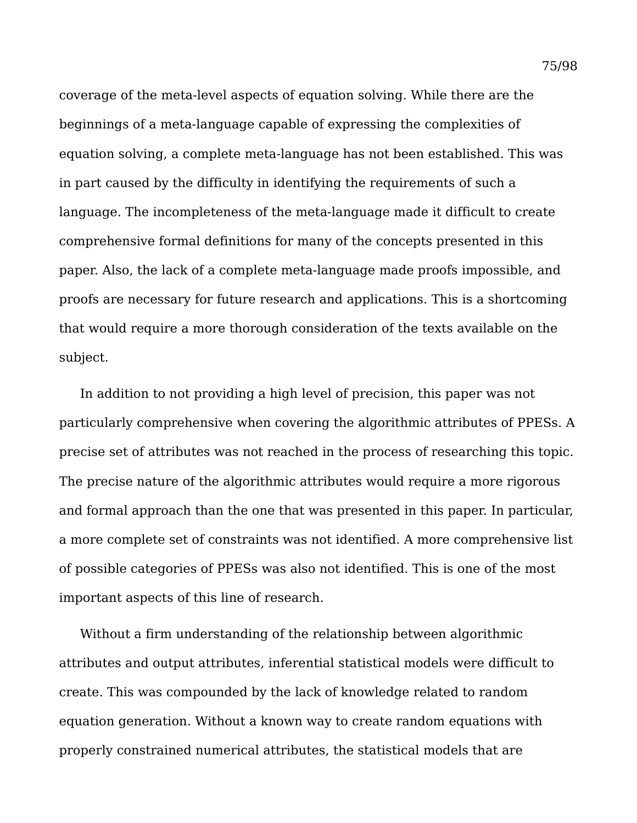coverage of the meta-level aspects of equation solving. While there are the beginnings of a meta-language capable of expressing the complexities of equation solving, a complete meta-language has not been established. This was in part caused by the difficulty in identifying the requirements of such a language. The incompleteness of the meta-language made it difficult to create comprehensive formal definitions for many of the concepts presented in this paper. Also, the lack of a complete meta-language made proofs impossible, and proofs are necessary for future research and applications. This is a shortcoming that would require a more thorough consideration of the texts available on the subject.

In addition to not providing a high level of precision, this paper was not particularly comprehensive when covering the algorithmic attributes of PPESs. A precise set of attributes was not reached in the process of researching this topic. The precise nature of the algorithmic attributes would require a more rigorous and formal approach than the one that was presented in this paper. In particular, a more complete set of constraints was not identified. A more comprehensive list of possible categories of PPESs was also not identified. This is one of the most important aspects of this line of research.

Without a firm understanding of the relationship between algorithmic attributes and output attributes, inferential statistical models were difficult to create. This was compounded by the lack of knowledge related to random equation generation. Without a known way to create random equations with properly constrained numerical attributes, the statistical models that are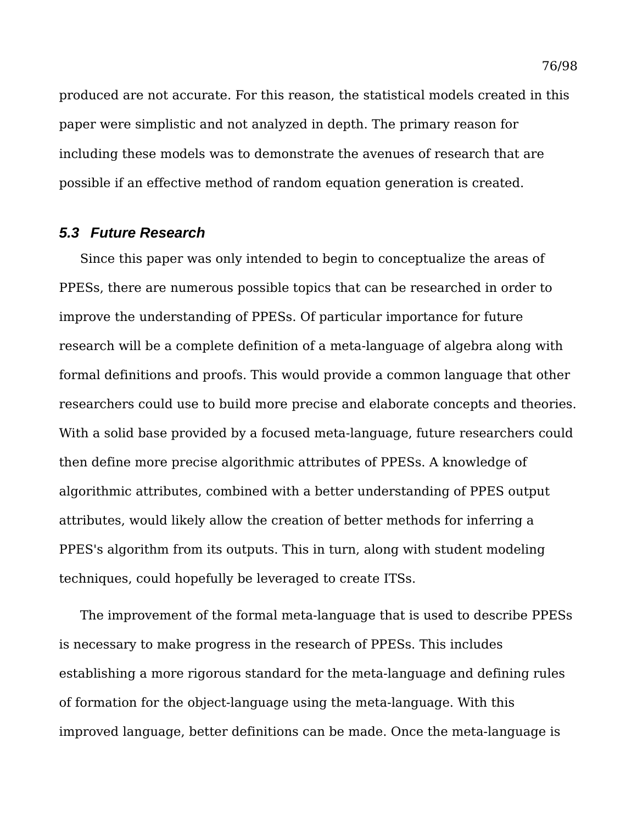produced are not accurate. For this reason, the statistical models created in this paper were simplistic and not analyzed in depth. The primary reason for including these models was to demonstrate the avenues of research that are possible if an effective method of random equation generation is created.

### *5.3 Future Research*

Since this paper was only intended to begin to conceptualize the areas of PPESs, there are numerous possible topics that can be researched in order to improve the understanding of PPESs. Of particular importance for future research will be a complete definition of a meta-language of algebra along with formal definitions and proofs. This would provide a common language that other researchers could use to build more precise and elaborate concepts and theories. With a solid base provided by a focused meta-language, future researchers could then define more precise algorithmic attributes of PPESs. A knowledge of algorithmic attributes, combined with a better understanding of PPES output attributes, would likely allow the creation of better methods for inferring a PPES's algorithm from its outputs. This in turn, along with student modeling techniques, could hopefully be leveraged to create ITSs.

The improvement of the formal meta-language that is used to describe PPESs is necessary to make progress in the research of PPESs. This includes establishing a more rigorous standard for the meta-language and defining rules of formation for the object-language using the meta-language. With this improved language, better definitions can be made. Once the meta-language is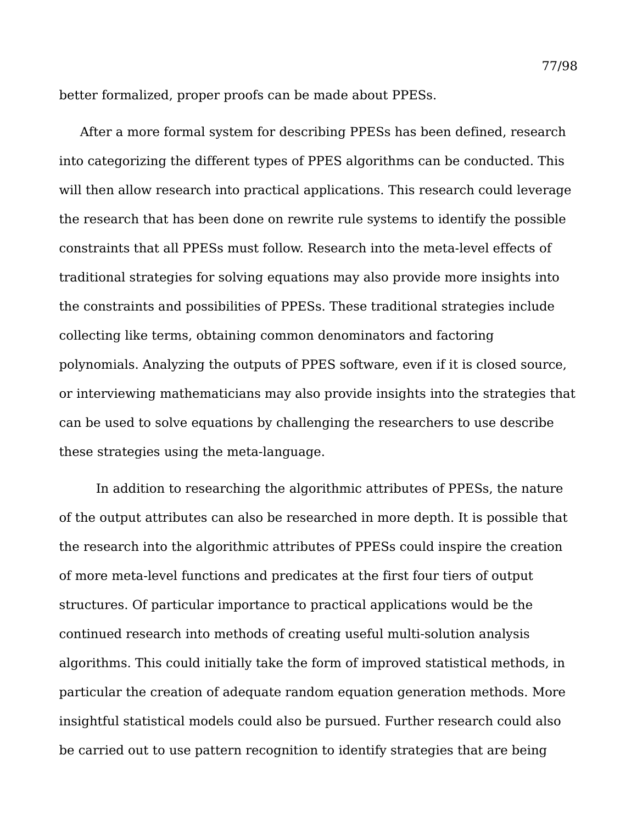better formalized, proper proofs can be made about PPESs.

After a more formal system for describing PPESs has been defined, research into categorizing the different types of PPES algorithms can be conducted. This will then allow research into practical applications. This research could leverage the research that has been done on rewrite rule systems to identify the possible constraints that all PPESs must follow. Research into the meta-level effects of traditional strategies for solving equations may also provide more insights into the constraints and possibilities of PPESs. These traditional strategies include collecting like terms, obtaining common denominators and factoring polynomials. Analyzing the outputs of PPES software, even if it is closed source, or interviewing mathematicians may also provide insights into the strategies that can be used to solve equations by challenging the researchers to use describe these strategies using the meta-language.

In addition to researching the algorithmic attributes of PPESs, the nature of the output attributes can also be researched in more depth. It is possible that the research into the algorithmic attributes of PPESs could inspire the creation of more meta-level functions and predicates at the first four tiers of output structures. Of particular importance to practical applications would be the continued research into methods of creating useful multi-solution analysis algorithms. This could initially take the form of improved statistical methods, in particular the creation of adequate random equation generation methods. More insightful statistical models could also be pursued. Further research could also be carried out to use pattern recognition to identify strategies that are being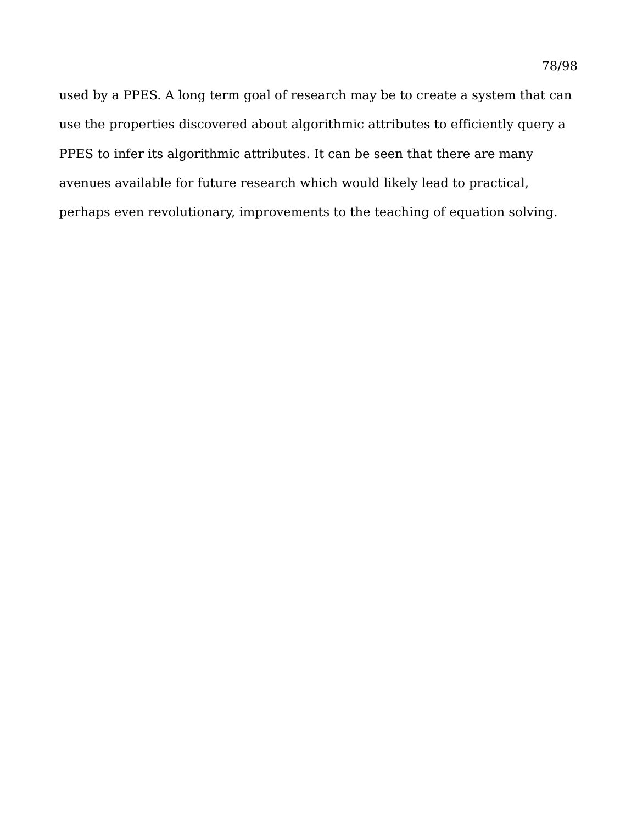used by a PPES. A long term goal of research may be to create a system that can use the properties discovered about algorithmic attributes to efficiently query a PPES to infer its algorithmic attributes. It can be seen that there are many avenues available for future research which would likely lead to practical, perhaps even revolutionary, improvements to the teaching of equation solving.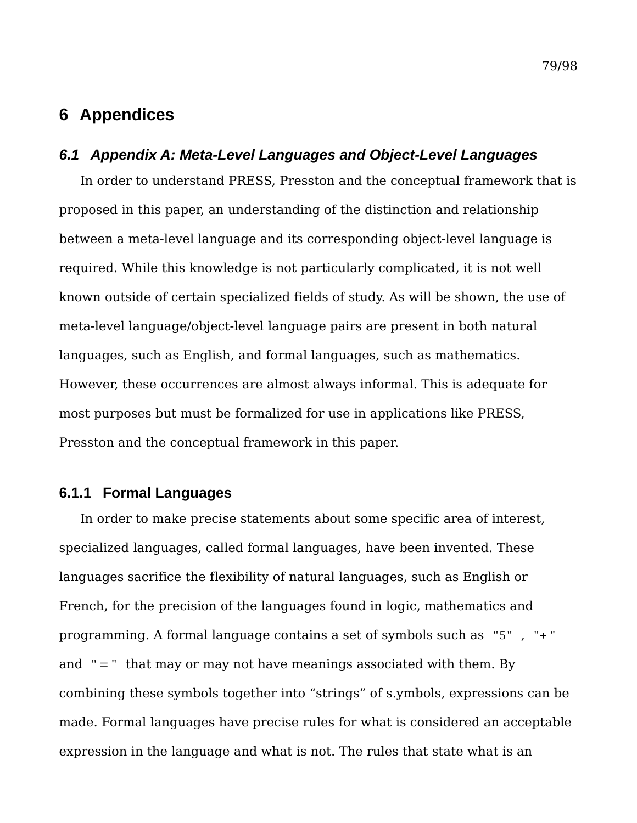# **6 Appendices**

## *6.1 Appendix A: Meta-Level Languages and Object-Level Languages*

In order to understand PRESS, Presston and the conceptual framework that is proposed in this paper, an understanding of the distinction and relationship between a meta-level language and its corresponding object-level language is required. While this knowledge is not particularly complicated, it is not well known outside of certain specialized fields of study. As will be shown, the use of meta-level language/object-level language pairs are present in both natural languages, such as English, and formal languages, such as mathematics. However, these occurrences are almost always informal. This is adequate for most purposes but must be formalized for use in applications like PRESS, Presston and the conceptual framework in this paper.

## **6.1.1 Formal Languages**

In order to make precise statements about some specific area of interest, specialized languages, called formal languages, have been invented. These languages sacrifice the flexibility of natural languages, such as English or French, for the precision of the languages found in logic, mathematics and programming. A formal language contains a set of symbols such as "5" , "+ " and  $" = "$  that may or may not have meanings associated with them. By combining these symbols together into "strings" of s.ymbols, expressions can be made. Formal languages have precise rules for what is considered an acceptable expression in the language and what is not. The rules that state what is an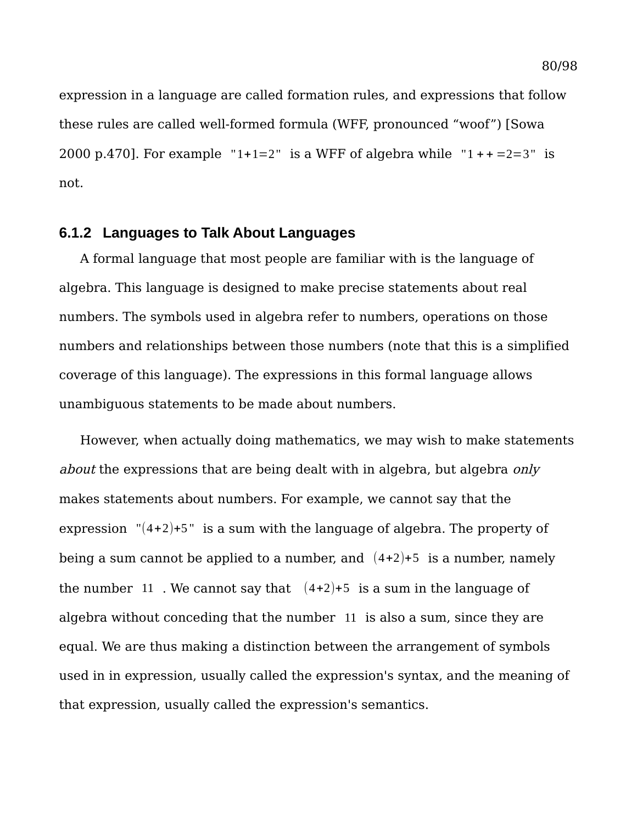expression in a language are called formation rules, and expressions that follow these rules are called well-formed formula (WFF, pronounced "woof") [Sowa 2000 p.470]. For example "1+1=2" is a WFF of algebra while "1++=2=3" is not.

## **6.1.2 Languages to Talk About Languages**

A formal language that most people are familiar with is the language of algebra. This language is designed to make precise statements about real numbers. The symbols used in algebra refer to numbers, operations on those numbers and relationships between those numbers (note that this is a simplified coverage of this language). The expressions in this formal language allows unambiguous statements to be made about numbers.

However, when actually doing mathematics, we may wish to make statements about the expressions that are being dealt with in algebra, but algebra only makes statements about numbers. For example, we cannot say that the expression  $(4+2)+5$ " is a sum with the language of algebra. The property of being a sum cannot be applied to a number, and  $(4+2)+5$  is a number, namely the number 11. We cannot say that  $(4+2)+5$  is a sum in the language of algebra without conceding that the number 11 is also a sum, since they are equal. We are thus making a distinction between the arrangement of symbols used in in expression, usually called the expression's syntax, and the meaning of that expression, usually called the expression's semantics.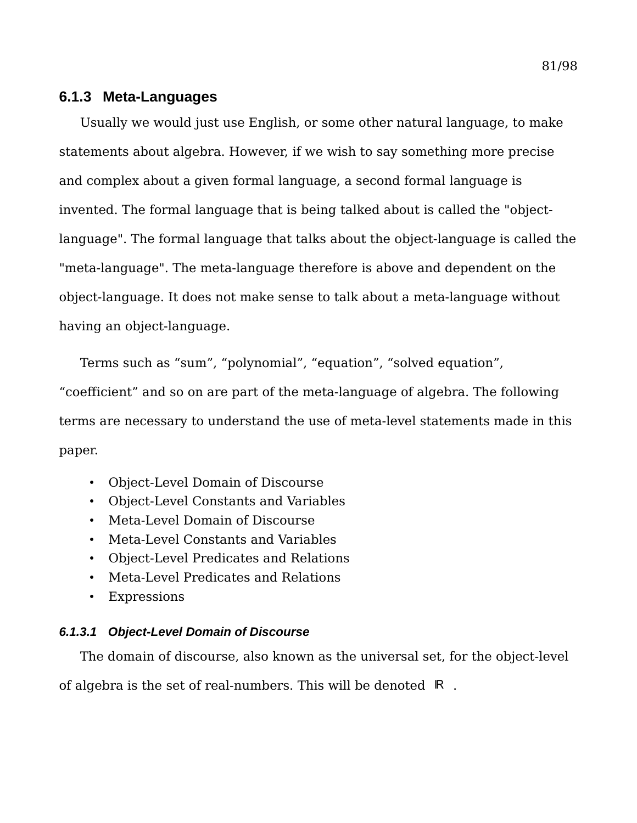## **6.1.3 Meta-Languages**

Usually we would just use English, or some other natural language, to make statements about algebra. However, if we wish to say something more precise and complex about a given formal language, a second formal language is invented. The formal language that is being talked about is called the "objectlanguage". The formal language that talks about the object-language is called the "meta-language". The meta-language therefore is above and dependent on the object-language. It does not make sense to talk about a meta-language without having an object-language.

Terms such as "sum", "polynomial", "equation", "solved equation",

"coefficient" and so on are part of the meta-language of algebra. The following terms are necessary to understand the use of meta-level statements made in this paper.

- Object-Level Domain of Discourse
- Object-Level Constants and Variables
- Meta-Level Domain of Discourse
- Meta-Level Constants and Variables
- Object-Level Predicates and Relations
- Meta-Level Predicates and Relations
- Expressions

## *6.1.3.1 Object-Level Domain of Discourse*

The domain of discourse, also known as the universal set, for the object-level of algebra is the set of real-numbers. This will be denoted R.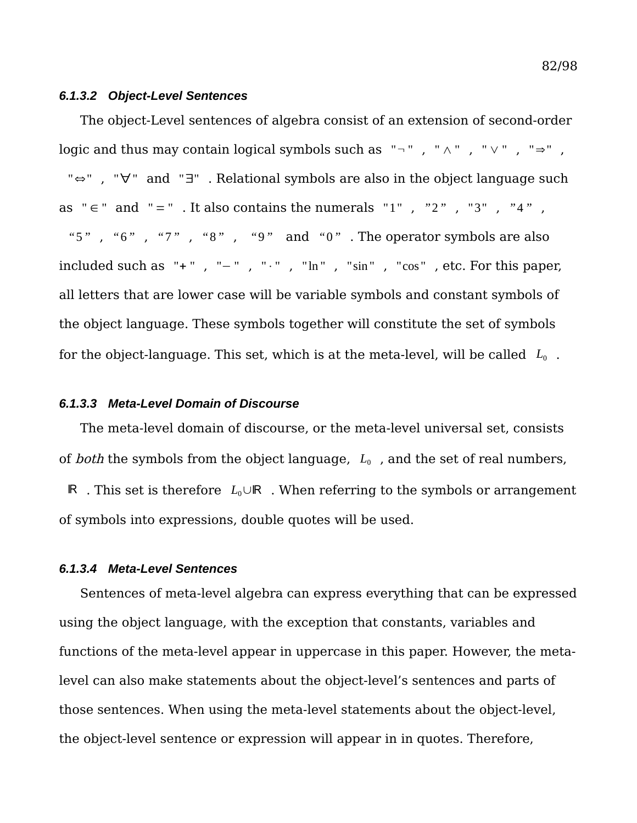#### *6.1.3.2 Object-Level Sentences*

The object-Level sentences of algebra consist of an extension of second-order logic and thus may contain logical symbols such as  $" \neg "$ ,  $" \wedge"$ ,  $" \vee"$ ,  $" \Rightarrow"$ , "⇔" , "∀" and "∃" . Relational symbols are also in the object language such as  $" \in$  " and  $" = "$ . It also contains the numerals "1", "2", "3", "4", *"*5*"* , *"*6*"* , *"*7*"* , *"*8*"* , *"*9*"* and *"*0*"* . The operator symbols are also included such as "+", "-", "⋅", "ln", "sin", "cos", etc. For this paper, all letters that are lower case will be variable symbols and constant symbols of the object language. These symbols together will constitute the set of symbols for the object-language. This set, which is at the meta-level, will be called  $L_0$ .

#### *6.1.3.3 Meta-Level Domain of Discourse*

The meta-level domain of discourse, or the meta-level universal set, consists of *both* the symbols from the object language,  $L_0$ , and the set of real numbers, R . This set is therefore  $L_0 \cup \mathbb{R}$ . When referring to the symbols or arrangement of symbols into expressions, double quotes will be used.

#### *6.1.3.4 Meta-Level Sentences*

Sentences of meta-level algebra can express everything that can be expressed using the object language, with the exception that constants, variables and functions of the meta-level appear in uppercase in this paper. However, the metalevel can also make statements about the object-level's sentences and parts of those sentences. When using the meta-level statements about the object-level, the object-level sentence or expression will appear in in quotes. Therefore,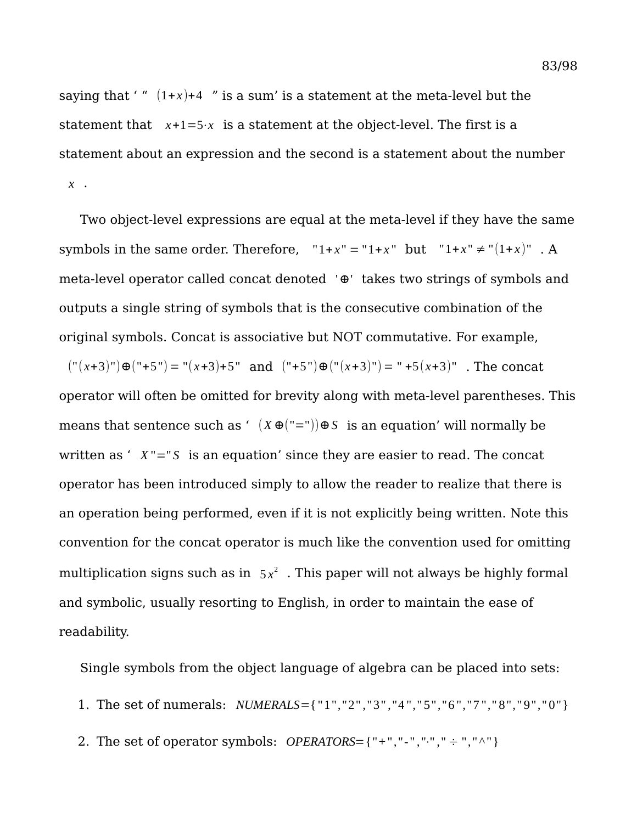saying that ' "  $(1+x)+4$  " is a sum' is a statement at the meta-level but the statement that  $x+1=5 \cdot x$  is a statement at the object-level. The first is a statement about an expression and the second is a statement about the number *x* .

Two object-level expressions are equal at the meta-level if they have the same symbols in the same order. Therefore,  $"1+x" = "1+x"$  but  $"1+x" \neq "1+x"$ . A meta-level operator called concat denoted '⊕' takes two strings of symbols and outputs a single string of symbols that is the consecutive combination of the original symbols. Concat is associative but NOT commutative. For example,

("( *x*+3)")⊕("+5") = "( *x*+3)+5" and ("+5")⊕("(*x*+3)") = " +5(*x*+3)" . The concat operator will often be omitted for brevity along with meta-level parentheses. This means that sentence such as '  $(X \oplus (T=T)) \oplus S$  is an equation' will normally be written as '  $X'' = S$  is an equation' since they are easier to read. The concat operator has been introduced simply to allow the reader to realize that there is an operation being performed, even if it is not explicitly being written. Note this convention for the concat operator is much like the convention used for omitting multiplication signs such as in  $5x^2$ . This paper will not always be highly formal and symbolic, usually resorting to English, in order to maintain the ease of readability.

Single symbols from the object language of algebra can be placed into sets:

- 1. The set of numerals: *NUMERALS*={ "1"*,*"2" *,*"3" *,*"4 "*,*" 5"*,*"6 "*,*"7 "*,*" 8"*,*" 9"*,*" 0"}
- 2. The set of operator symbols: *OPERATORS*={"+","-","<sup>*.*</sup>",";" ÷ ","<sup> $\wedge$ "}</sup>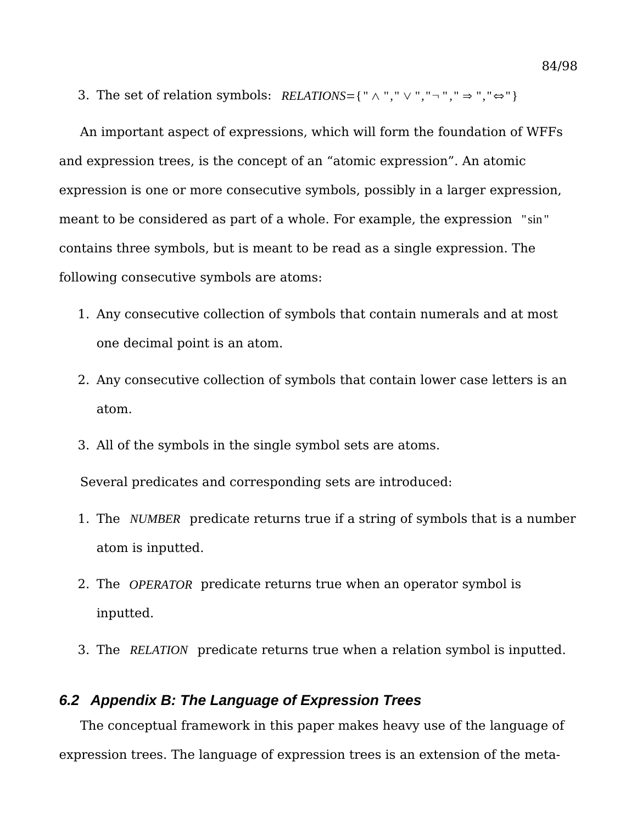3. The set of relation symbols: *RELATIONS*={ " ∧ "*,*" ∨ "*,* "¬ " *,*" ⇒ "*,*"⇔"}

An important aspect of expressions, which will form the foundation of WFFs and expression trees, is the concept of an "atomic expression". An atomic expression is one or more consecutive symbols, possibly in a larger expression, meant to be considered as part of a whole. For example, the expression "sin " contains three symbols, but is meant to be read as a single expression. The following consecutive symbols are atoms:

- 1. Any consecutive collection of symbols that contain numerals and at most one decimal point is an atom.
- 2. Any consecutive collection of symbols that contain lower case letters is an atom.
- 3. All of the symbols in the single symbol sets are atoms.

Several predicates and corresponding sets are introduced:

- 1. The *NUMBER* predicate returns true if a string of symbols that is a number atom is inputted.
- 2. The *OPERATOR* predicate returns true when an operator symbol is inputted.
- 3. The *RELATION* predicate returns true when a relation symbol is inputted.

## *6.2 Appendix B: The Language of Expression Trees*

The conceptual framework in this paper makes heavy use of the language of expression trees. The language of expression trees is an extension of the meta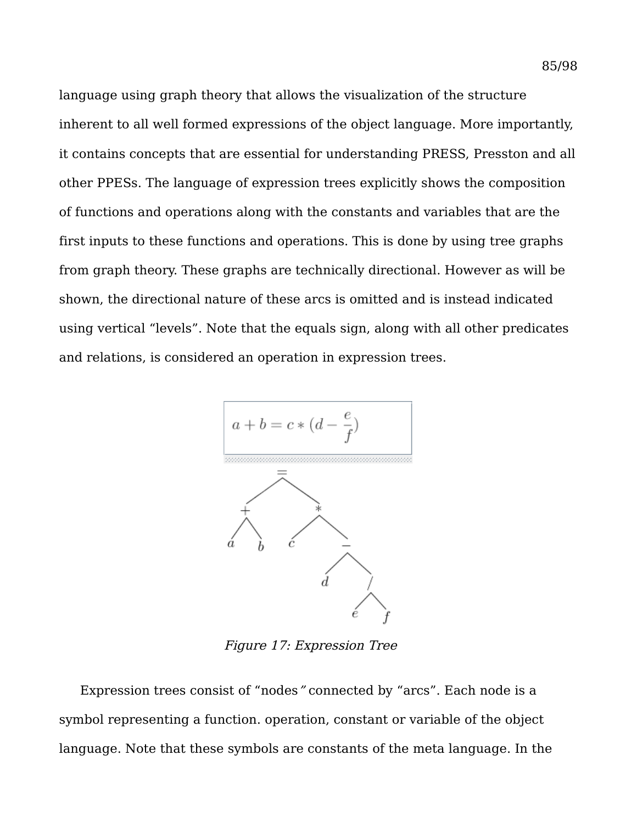language using graph theory that allows the visualization of the structure inherent to all well formed expressions of the object language. More importantly, it contains concepts that are essential for understanding PRESS, Presston and all other PPESs. The language of expression trees explicitly shows the composition of functions and operations along with the constants and variables that are the first inputs to these functions and operations. This is done by using tree graphs from graph theory. These graphs are technically directional. However as will be shown, the directional nature of these arcs is omitted and is instead indicated using vertical "levels". Note that the equals sign, along with all other predicates and relations, is considered an operation in expression trees.



Figure 17: Expression Tree

Expression trees consist of "nodes" connected by "arcs". Each node is a symbol representing a function. operation, constant or variable of the object language. Note that these symbols are constants of the meta language. In the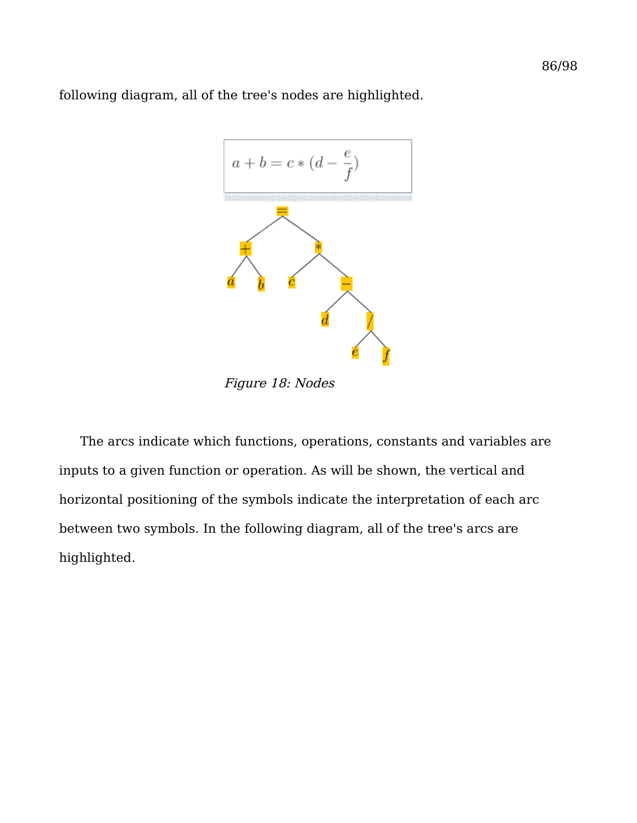following diagram, all of the tree's nodes are highlighted.



Figure 18: Nodes

The arcs indicate which functions, operations, constants and variables are inputs to a given function or operation. As will be shown, the vertical and horizontal positioning of the symbols indicate the interpretation of each arc between two symbols. In the following diagram, all of the tree's arcs are highlighted.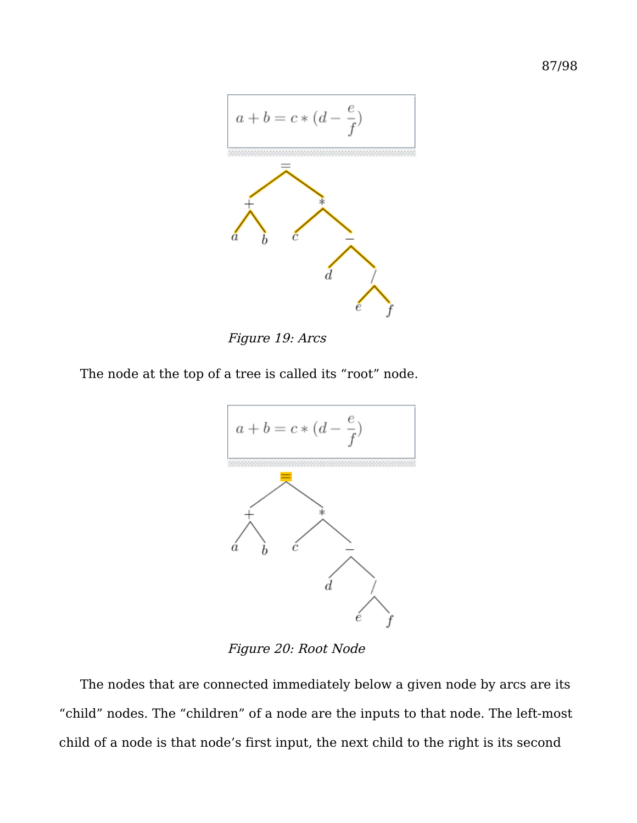



The node at the top of a tree is called its "root" node.



Figure 20: Root Node

The nodes that are connected immediately below a given node by arcs are its "child" nodes. The "children" of a node are the inputs to that node. The left-most child of a node is that node's first input, the next child to the right is its second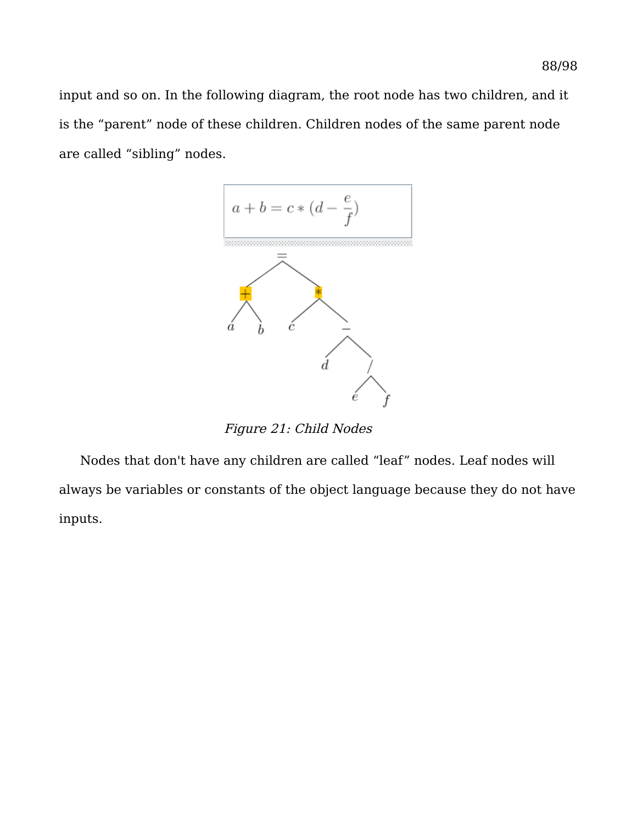input and so on. In the following diagram, the root node has two children, and it is the "parent" node of these children. Children nodes of the same parent node are called "sibling" nodes.



Figure 21: Child Nodes

Nodes that don't have any children are called "leaf" nodes. Leaf nodes will always be variables or constants of the object language because they do not have inputs.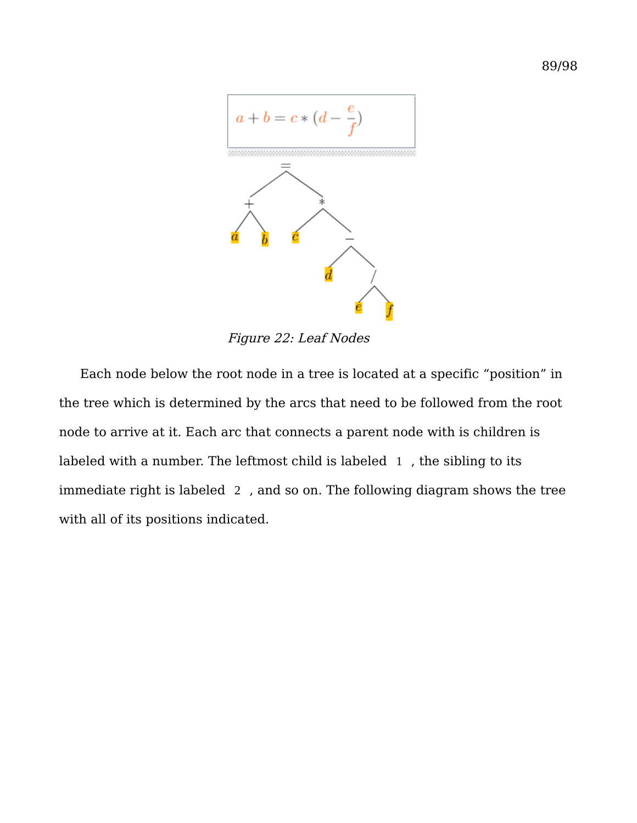

Figure 22: Leaf Nodes

Each node below the root node in a tree is located at a specific "position" in the tree which is determined by the arcs that need to be followed from the root node to arrive at it. Each arc that connects a parent node with is children is labeled with a number. The leftmost child is labeled 1 , the sibling to its immediate right is labeled 2 , and so on. The following diagram shows the tree with all of its positions indicated.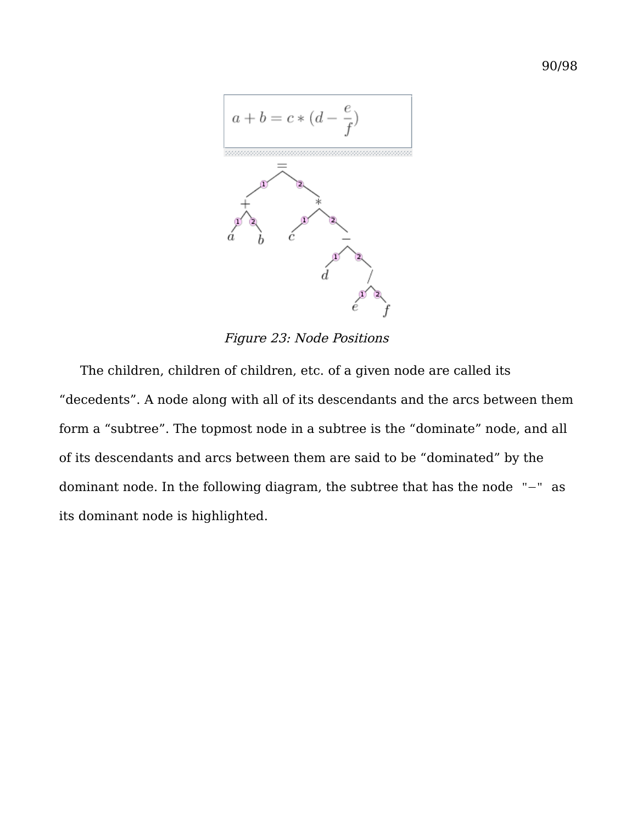

Figure 23: Node Positions

The children, children of children, etc. of a given node are called its "decedents". A node along with all of its descendants and the arcs between them form a "subtree". The topmost node in a subtree is the "dominate" node, and all of its descendants and arcs between them are said to be "dominated" by the dominant node. In the following diagram, the subtree that has the node "−" as its dominant node is highlighted.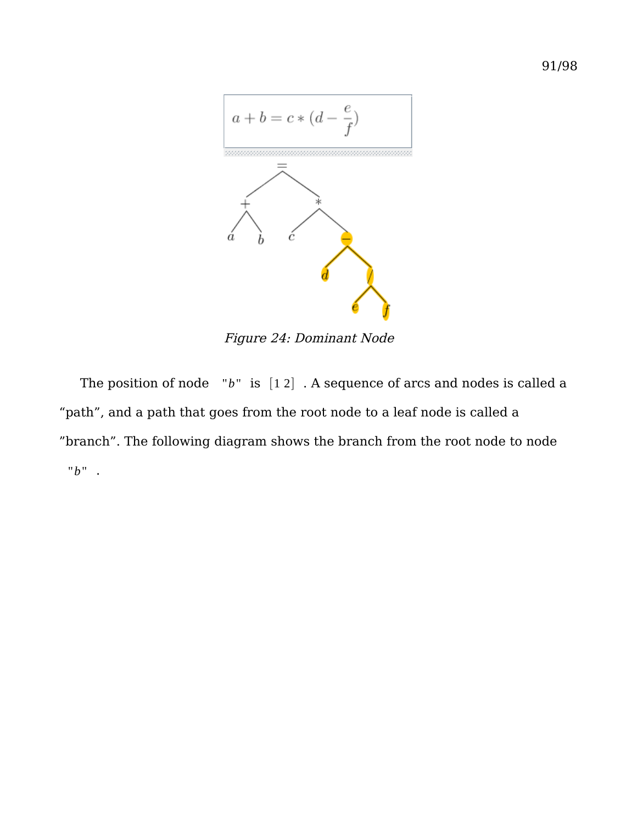

Figure 24: Dominant Node

The position of node "*b*" is [1 2] . A sequence of arcs and nodes is called a "path", and a path that goes from the root node to a leaf node is called a "branch". The following diagram shows the branch from the root node to node "*b*" .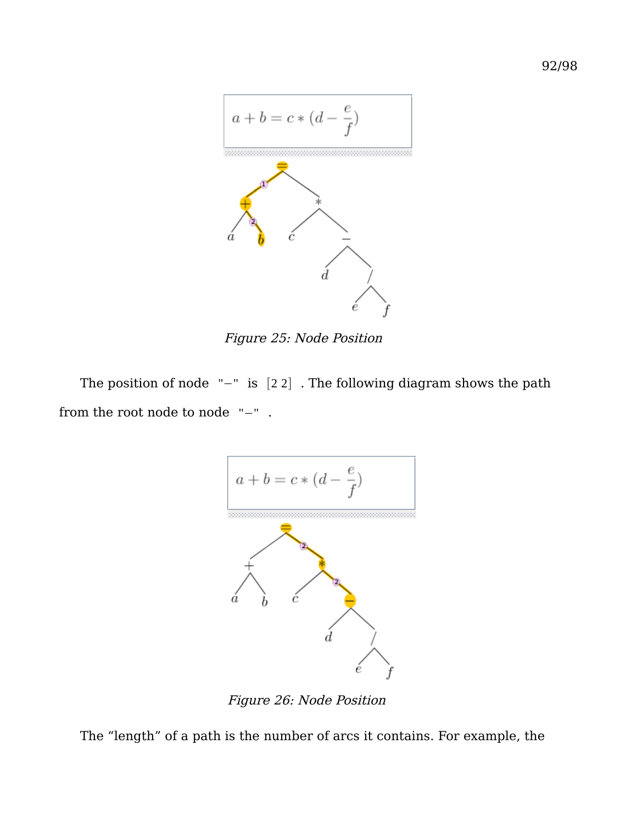

Figure 25: Node Position

The position of node "−" is [2 2] . The following diagram shows the path from the root node to node "−" .



Figure 26: Node Position

The "length" of a path is the number of arcs it contains. For example, the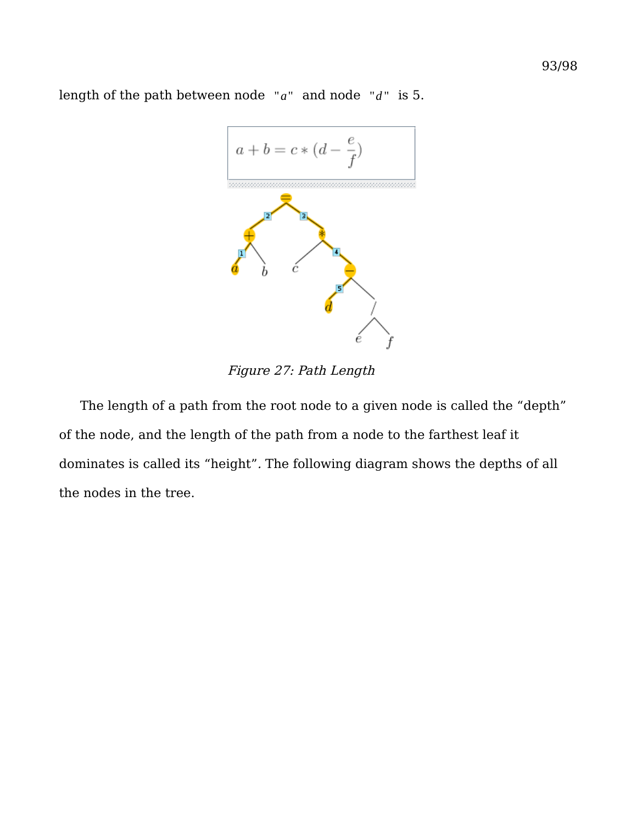$a + b = c * (d - \frac{e}{f})$ 

length of the path between node "a" and node "d" is 5.

Figure 27: Path Length

The length of a path from the root node to a given node is called the "depth" of the node, and the length of the path from a node to the farthest leaf it dominates is called its "height". The following diagram shows the depths of all the nodes in the tree.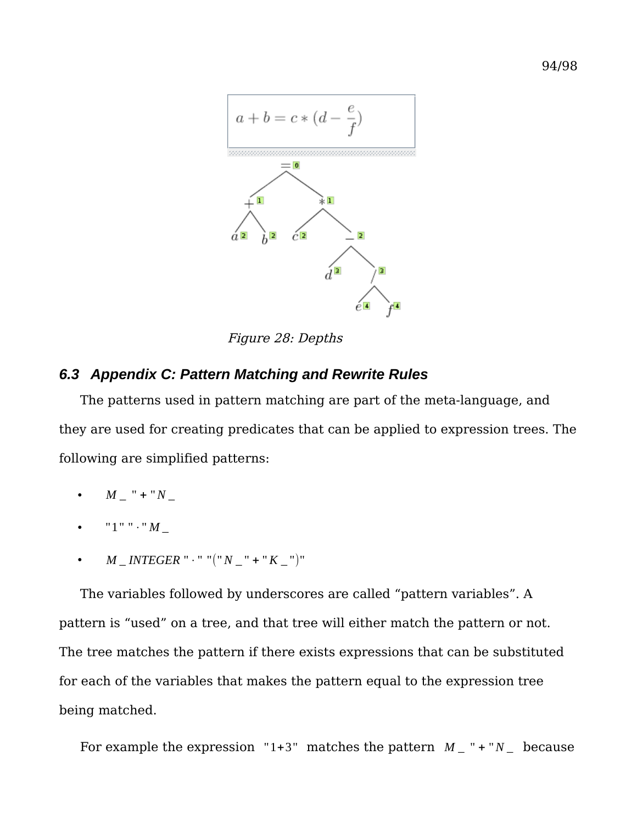

Figure 28: Depths

## *6.3 Appendix C: Pattern Matching and Rewrite Rules*

The patterns used in pattern matching are part of the meta-language, and they are used for creating predicates that can be applied to expression trees. The following are simplified patterns:

- $M$  \_ " + " $N$  \_
- "1" "⋅" *M* \_
- *M* \_ *INTEGER* "⋅" "("*N* \_ " + "*K* \_ ")"

The variables followed by underscores are called "pattern variables". A pattern is "used" on a tree, and that tree will either match the pattern or not. The tree matches the pattern if there exists expressions that can be substituted for each of the variables that makes the pattern equal to the expression tree being matched.

For example the expression  $"1+3"$  matches the pattern  $M$ <sup>-</sup>  $" + "N$ <sup>-because</sup>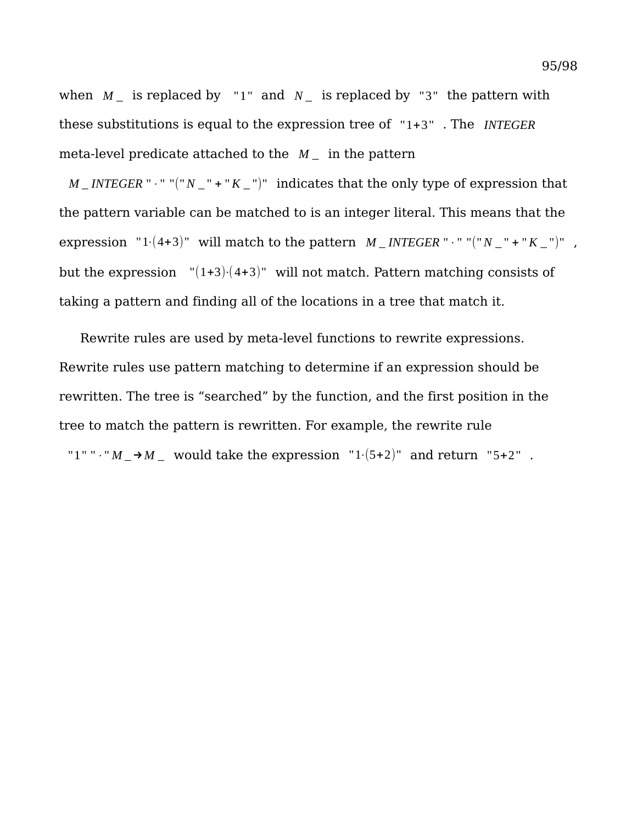when  $M_{-}$  is replaced by "1" and  $N_{-}$  is replaced by "3" the pattern with these substitutions is equal to the expression tree of "1+3" . The *INTEGER* meta-level predicate attached to the *M* \_ in the pattern

 $M$  \_*INTEGER* "  $\cdot$  " "(" $N$  \_ " + " $K$  \_ ")" indicates that the only type of expression that the pattern variable can be matched to is an integer literal. This means that the expression "1⋅(4+3)" will match to the pattern  $M$  \_ *INTEGER* "⋅" "(" $N$  \_" + " $K$  \_")", but the expression  $"(1+3)(4+3)"$  will not match. Pattern matching consists of taking a pattern and finding all of the locations in a tree that match it.

Rewrite rules are used by meta-level functions to rewrite expressions. Rewrite rules use pattern matching to determine if an expression should be rewritten. The tree is "searched" by the function, and the first position in the tree to match the pattern is rewritten. For example, the rewrite rule "1" " $\cdot$ " *M*  $\rightarrow$  *M* would take the expression "1 $\cdot$ (5+2)" and return "5+2".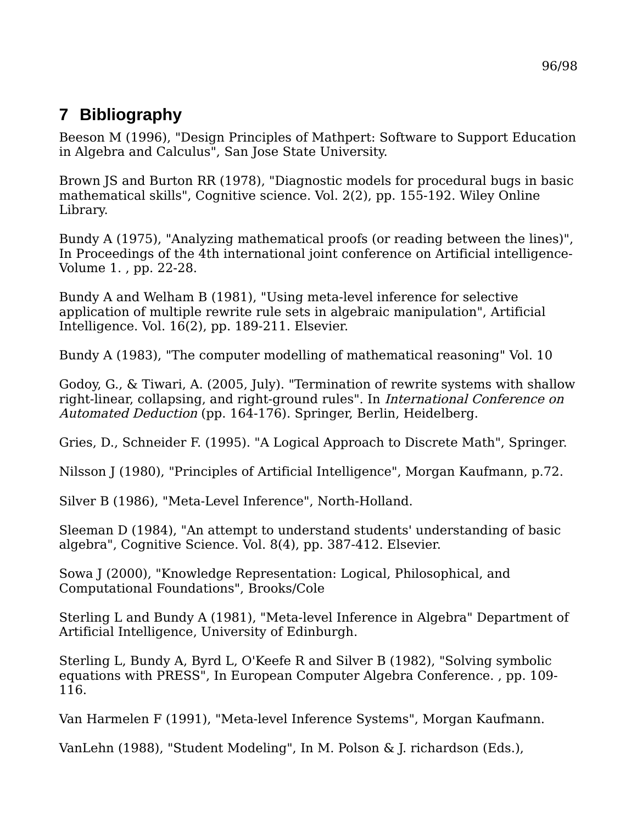# **7 Bibliography**

Beeson M (1996), "Design Principles of Mathpert: Software to Support Education in Algebra and Calculus", San Jose State University.

Brown JS and Burton RR (1978), "Diagnostic models for procedural bugs in basic mathematical skills", Cognitive science. Vol. 2(2), pp. 155-192. Wiley Online Library.

Bundy A (1975), "Analyzing mathematical proofs (or reading between the lines)", In Proceedings of the 4th international joint conference on Artificial intelligence-Volume 1. , pp. 22-28.

Bundy A and Welham B (1981), "Using meta-level inference for selective application of multiple rewrite rule sets in algebraic manipulation", Artificial Intelligence. Vol. 16(2), pp. 189-211. Elsevier.

Bundy A (1983), "The computer modelling of mathematical reasoning" Vol. 10

Godoy, G., & Tiwari, A. (2005, July). "Termination of rewrite systems with shallow right-linear, collapsing, and right-ground rules". In International Conference on Automated Deduction (pp. 164-176). Springer, Berlin, Heidelberg.

Gries, D., Schneider F. (1995). "A Logical Approach to Discrete Math", Springer.

Nilsson J (1980), "Principles of Artificial Intelligence", Morgan Kaufmann, p.72.

Silver B (1986), "Meta-Level Inference", North-Holland.

Sleeman D (1984), "An attempt to understand students' understanding of basic algebra", Cognitive Science. Vol. 8(4), pp. 387-412. Elsevier.

Sowa J (2000), "Knowledge Representation: Logical, Philosophical, and Computational Foundations", Brooks/Cole

Sterling L and Bundy A (1981), "Meta-level Inference in Algebra" Department of Artificial Intelligence, University of Edinburgh.

Sterling L, Bundy A, Byrd L, O'Keefe R and Silver B (1982), "Solving symbolic equations with PRESS", In European Computer Algebra Conference. , pp. 109- 116.

Van Harmelen F (1991), "Meta-level Inference Systems", Morgan Kaufmann.

VanLehn (1988), "Student Modeling", In M. Polson & J. richardson (Eds.),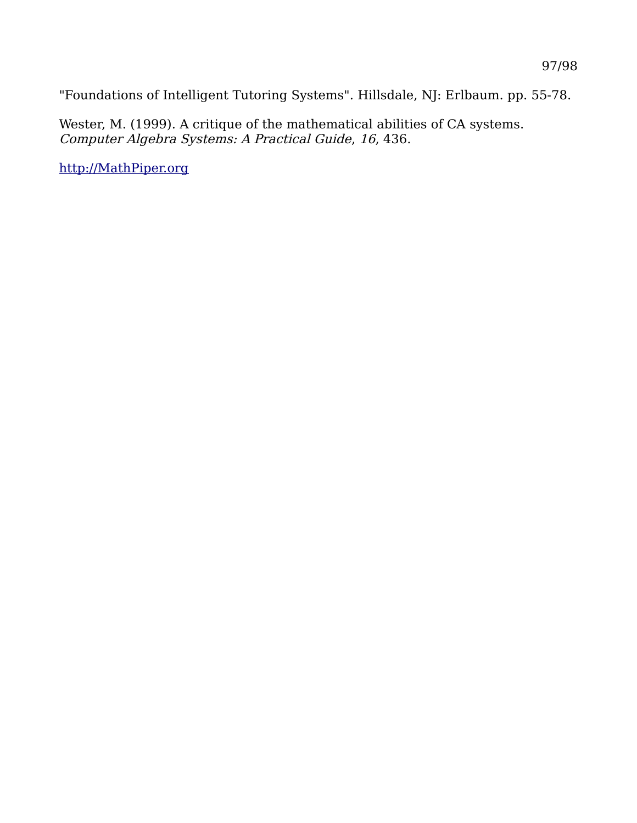"Foundations of Intelligent Tutoring Systems". Hillsdale, NJ: Erlbaum. pp. 55-78.

Wester, M. (1999). A critique of the mathematical abilities of CA systems. Computer Algebra Systems: A Practical Guide, 16, 436.

[http://MathPiper.org](http://MathPiper.org/)